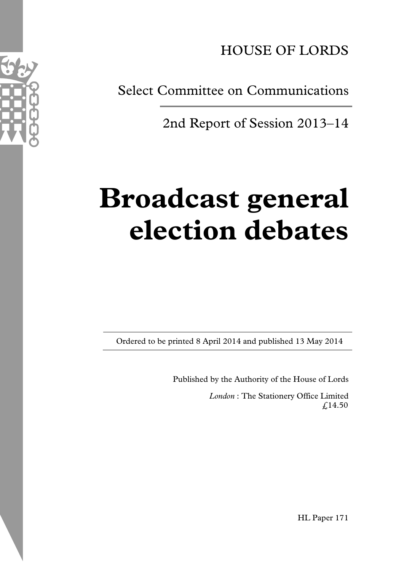HOUSE OF LORDS

Select Committee on Communications

2nd Report of Session 2013–14

# **Broadcast general election debates**

Ordered to be printed 8 April 2014 and published 13 May 2014

Published by the Authority of the House of Lords

*London* : The Stationery Office Limited £14.50



HL Paper 171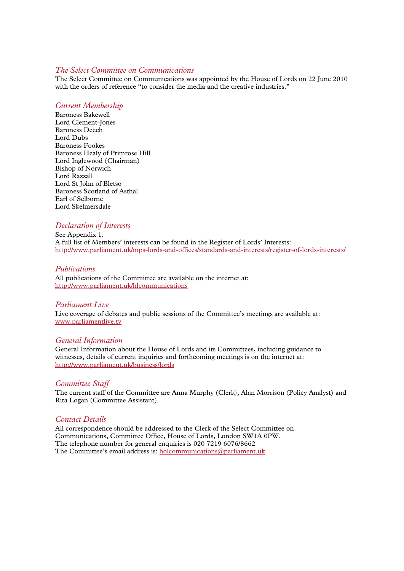#### *The Select Committee on Communications*

The Select Committee on Communications was appointed by the House of Lords on 22 June 2010 with the orders of reference "to consider the media and the creative industries."

#### *Current Membership*

Baroness Bakewell Lord Clement-Jones Baroness Deech Lord Dubs Baroness Fookes Baroness Healy of Primrose Hill Lord Inglewood (Chairman) Bishop of Norwich Lord Razzall Lord St John of Bletso Baroness Scotland of Asthal Earl of Selborne Lord Skelmersdale

#### *Declaration of Interests*

See Appendix 1. A full list of Members' interests can be found in the Register of Lords' Interests: http://www.parliament.uk/mps-lords-and-offices/standards-and-interests/register-of-lords-interests/

#### *Publications*

All publications of the Committee are available on the internet at: http://www.parliament.uk/hlcommunications

#### *Parliament Live*

Live coverage of debates and public sessions of the Committee's meetings are available at: www.parliamentlive.tv

#### *General Information*

General Information about the House of Lords and its Committees, including guidance to witnesses, details of current inquiries and forthcoming meetings is on the internet at: http://www.parliament.uk/business/lords

#### *Committee Staff*

The current staff of the Committee are Anna Murphy (Clerk), Alan Morrison (Policy Analyst) and Rita Logan (Committee Assistant).

#### *Contact Details*

All correspondence should be addressed to the Clerk of the Select Committee on Communications, Committee Office, House of Lords, London SW1A 0PW. The telephone number for general enquiries is 020 7219 6076/8662 The Committee's email address is: holcommunications@parliament.uk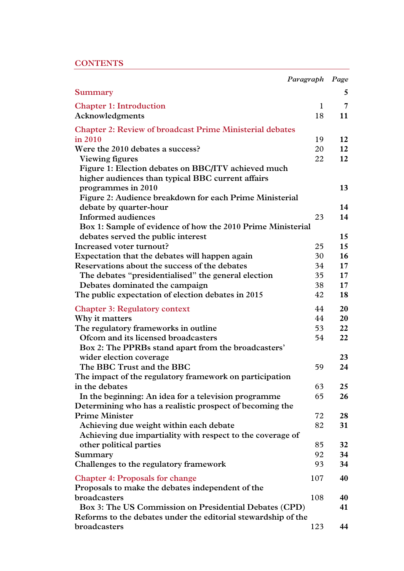|  | <b>CONTENTS</b> |  |
|--|-----------------|--|
|  |                 |  |

| <b>Summary</b>                                                          | 5               |
|-------------------------------------------------------------------------|-----------------|
| <b>Chapter 1: Introduction</b><br>$\mathbf{1}$                          | 7               |
| Acknowledgments<br>18                                                   | 11              |
| <b>Chapter 2: Review of broadcast Prime Ministerial debates</b>         |                 |
| in 2010<br>19                                                           | 12              |
| Were the 2010 debates a success?<br>20                                  | 12              |
| 22<br>Viewing figures                                                   | 12              |
| Figure 1: Election debates on BBC/ITV achieved much                     |                 |
| higher audiences than typical BBC current affairs                       |                 |
| programmes in 2010                                                      | 13              |
| Figure 2: Audience breakdown for each Prime Ministerial                 | 14              |
| debate by quarter-hour<br><b>Informed audiences</b><br>23               | 14              |
| Box 1: Sample of evidence of how the 2010 Prime Ministerial             |                 |
| debates served the public interest                                      | 15              |
| Increased voter turnout?<br>25                                          | 15              |
| Expectation that the debates will happen again<br>30                    | 16              |
| Reservations about the success of the debates<br>34                     | 17              |
| The debates "presidentialised" the general election<br>35               | 17 <sub>2</sub> |
| 38<br>Debates dominated the campaign                                    | 17              |
| The public expectation of election debates in 2015<br>42                | 18              |
|                                                                         |                 |
| 44<br><b>Chapter 3: Regulatory context</b>                              | 20              |
| Why it matters<br>44                                                    | 20              |
| 53<br>The regulatory frameworks in outline                              | 22              |
| Ofcom and its licensed broadcasters<br>54                               | 22              |
| Box 2: The PPRBs stand apart from the broadcasters'                     | 23              |
| wider election coverage<br>The BBC Trust and the BBC<br>59              | 24              |
| The impact of the regulatory framework on participation                 |                 |
| 63<br>in the debates                                                    | 25              |
| In the beginning: An idea for a television programme<br>65              | 26              |
| Determining who has a realistic prospect of becoming the                |                 |
| <b>Prime Minister</b><br>72                                             | 28              |
| Achieving due weight within each debate<br>82                           | 31              |
| Achieving due impartiality with respect to the coverage of              |                 |
| other political parties<br>85                                           | 32              |
| 92<br>Summary                                                           | 34              |
| Challenges to the regulatory framework<br>93                            | 34              |
| 107<br><b>Chapter 4: Proposals for change</b>                           | 40              |
| Proposals to make the debates independent of the<br>broadcasters<br>108 | 40              |
| Box 3: The US Commission on Presidential Debates (CPD)                  | 41              |
| Reforms to the debates under the editorial stewardship of the           |                 |
| broadcasters<br>123                                                     | 44              |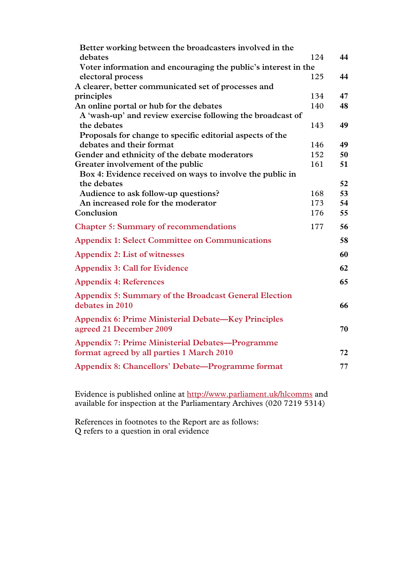| Better working between the broadcasters involved in the                                             |     |    |
|-----------------------------------------------------------------------------------------------------|-----|----|
| debates                                                                                             | 124 | 44 |
| Voter information and encouraging the public's interest in the                                      |     |    |
| electoral process                                                                                   | 125 | 44 |
| A clearer, better communicated set of processes and                                                 |     |    |
| principles                                                                                          | 134 | 47 |
| An online portal or hub for the debates                                                             | 140 | 48 |
| A 'wash-up' and review exercise following the broadcast of                                          |     |    |
| the debates                                                                                         | 143 | 49 |
| Proposals for change to specific editorial aspects of the                                           |     |    |
| debates and their format                                                                            | 146 | 49 |
| Gender and ethnicity of the debate moderators                                                       | 152 | 50 |
| Greater involvement of the public                                                                   | 161 | 51 |
| Box 4: Evidence received on ways to involve the public in                                           |     |    |
| the debates                                                                                         |     | 52 |
| Audience to ask follow-up questions?                                                                | 168 | 53 |
| An increased role for the moderator                                                                 | 173 | 54 |
| Conclusion                                                                                          | 176 | 55 |
| <b>Chapter 5: Summary of recommendations</b>                                                        | 177 | 56 |
| <b>Appendix 1: Select Committee on Communications</b>                                               |     | 58 |
| <b>Appendix 2: List of witnesses</b>                                                                |     | 60 |
| <b>Appendix 3: Call for Evidence</b>                                                                |     | 62 |
| <b>Appendix 4: References</b>                                                                       |     | 65 |
| Appendix 5: Summary of the Broadcast General Election<br>debates in 2010                            |     | 66 |
| <b>Appendix 6: Prime Ministerial Debate—Key Principles</b><br>agreed 21 December 2009               |     | 70 |
| <b>Appendix 7: Prime Ministerial Debates-Programme</b><br>format agreed by all parties 1 March 2010 |     | 72 |
| Appendix 8: Chancellors' Debate-Programme format                                                    |     | 77 |
|                                                                                                     |     |    |

Evidence is published online at http://www.parliament.uk/hlcomms and available for inspection at the Parliamentary Archives (020 7219 5314)

References in footnotes to the Report are as follows: Q refers to a question in oral evidence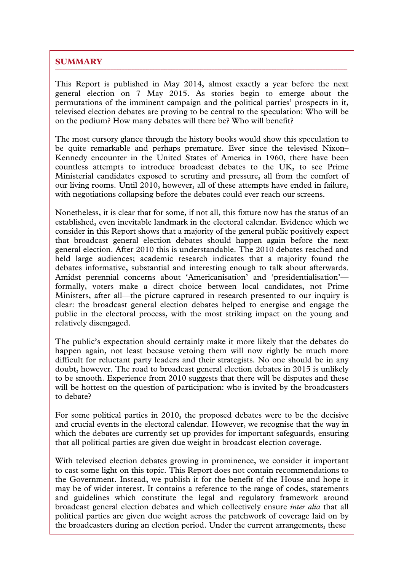# **SUMMARY**

This Report is published in May 2014, almost exactly a year before the next general election on 7 May 2015. As stories begin to emerge about the permutations of the imminent campaign and the political parties' prospects in it, televised election debates are proving to be central to the speculation: Who will be on the podium? How many debates will there be? Who will benefit?

The most cursory glance through the history books would show this speculation to be quite remarkable and perhaps premature. Ever since the televised Nixon– Kennedy encounter in the United States of America in 1960, there have been countless attempts to introduce broadcast debates to the UK, to see Prime Ministerial candidates exposed to scrutiny and pressure, all from the comfort of our living rooms. Until 2010, however, all of these attempts have ended in failure, with negotiations collapsing before the debates could ever reach our screens.

Nonetheless, it is clear that for some, if not all, this fixture now has the status of an established, even inevitable landmark in the electoral calendar. Evidence which we consider in this Report shows that a majority of the general public positively expect that broadcast general election debates should happen again before the next general election. After 2010 this is understandable. The 2010 debates reached and held large audiences; academic research indicates that a majority found the debates informative, substantial and interesting enough to talk about afterwards. Amidst perennial concerns about 'Americanisation' and 'presidentialisation'formally, voters make a direct choice between local candidates, not Prime Ministers, after all—the picture captured in research presented to our inquiry is clear: the broadcast general election debates helped to energise and engage the public in the electoral process, with the most striking impact on the young and relatively disengaged.

The public's expectation should certainly make it more likely that the debates do happen again, not least because vetoing them will now rightly be much more difficult for reluctant party leaders and their strategists. No one should be in any doubt, however. The road to broadcast general election debates in 2015 is unlikely to be smooth. Experience from 2010 suggests that there will be disputes and these will be hottest on the question of participation: who is invited by the broadcasters to debate?

For some political parties in 2010, the proposed debates were to be the decisive and crucial events in the electoral calendar. However, we recognise that the way in which the debates are currently set up provides for important safeguards, ensuring that all political parties are given due weight in broadcast election coverage.

With televised election debates growing in prominence, we consider it important to cast some light on this topic. This Report does not contain recommendations to the Government. Instead, we publish it for the benefit of the House and hope it may be of wider interest. It contains a reference to the range of codes, statements and guidelines which constitute the legal and regulatory framework around broadcast general election debates and which collectively ensure *inter alia* that all political parties are given due weight across the patchwork of coverage laid on by the broadcasters during an election period. Under the current arrangements, these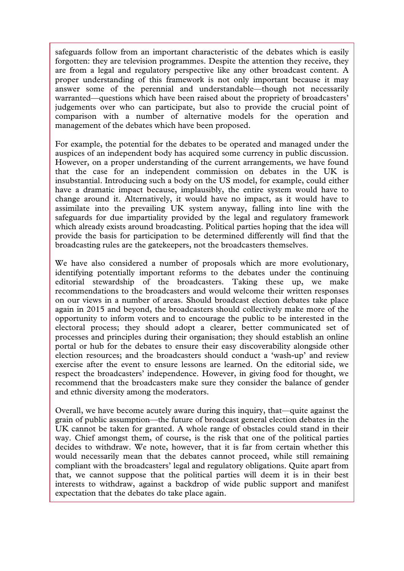safeguards follow from an important characteristic of the debates which is easily forgotten: they are television programmes. Despite the attention they receive, they are from a legal and regulatory perspective like any other broadcast content. A proper understanding of this framework is not only important because it may answer some of the perennial and understandable—though not necessarily warranted—questions which have been raised about the propriety of broadcasters' judgements over who can participate, but also to provide the crucial point of comparison with a number of alternative models for the operation and management of the debates which have been proposed.

For example, the potential for the debates to be operated and managed under the auspices of an independent body has acquired some currency in public discussion. However, on a proper understanding of the current arrangements, we have found that the case for an independent commission on debates in the UK is insubstantial. Introducing such a body on the US model, for example, could either have a dramatic impact because, implausibly, the entire system would have to change around it. Alternatively, it would have no impact, as it would have to assimilate into the prevailing UK system anyway, falling into line with the safeguards for due impartiality provided by the legal and regulatory framework which already exists around broadcasting. Political parties hoping that the idea will provide the basis for participation to be determined differently will find that the broadcasting rules are the gatekeepers, not the broadcasters themselves.

We have also considered a number of proposals which are more evolutionary, identifying potentially important reforms to the debates under the continuing editorial stewardship of the broadcasters. Taking these up, we make recommendations to the broadcasters and would welcome their written responses on our views in a number of areas. Should broadcast election debates take place again in 2015 and beyond, the broadcasters should collectively make more of the opportunity to inform voters and to encourage the public to be interested in the electoral process; they should adopt a clearer, better communicated set of processes and principles during their organisation; they should establish an online portal or hub for the debates to ensure their easy discoverability alongside other election resources; and the broadcasters should conduct a 'wash-up' and review exercise after the event to ensure lessons are learned. On the editorial side, we respect the broadcasters' independence. However, in giving food for thought, we recommend that the broadcasters make sure they consider the balance of gender and ethnic diversity among the moderators.

Overall, we have become acutely aware during this inquiry, that—quite against the grain of public assumption—the future of broadcast general election debates in the UK cannot be taken for granted. A whole range of obstacles could stand in their way. Chief amongst them, of course, is the risk that one of the political parties decides to withdraw. We note, however, that it is far from certain whether this would necessarily mean that the debates cannot proceed, while still remaining compliant with the broadcasters' legal and regulatory obligations. Quite apart from that, we cannot suppose that the political parties will deem it is in their best interests to withdraw, against a backdrop of wide public support and manifest expectation that the debates do take place again.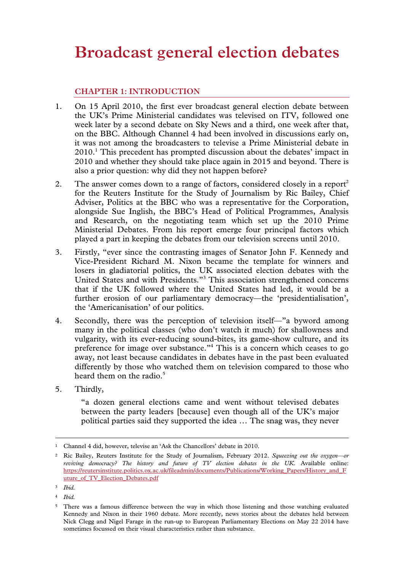# **Broadcast general election debates**

# **CHAPTER 1: INTRODUCTION**

- 1. On 15 April 2010, the first ever broadcast general election debate between the UK's Prime Ministerial candidates was televised on ITV, followed one week later by a second debate on Sky News and a third, one week after that, on the BBC. Although Channel 4 had been involved in discussions early on, it was not among the broadcasters to televise a Prime Ministerial debate in 2010.<sup>1</sup> This precedent has prompted discussion about the debates' impact in 2010 and whether they should take place again in 2015 and beyond. There is also a prior question: why did they not happen before?
- 2. The answer comes down to a range of factors, considered closely in a report<sup>2</sup> for the Reuters Institute for the Study of Journalism by Ric Bailey, Chief Adviser, Politics at the BBC who was a representative for the Corporation, alongside Sue Inglish, the BBC's Head of Political Programmes, Analysis and Research, on the negotiating team which set up the 2010 Prime Ministerial Debates. From his report emerge four principal factors which played a part in keeping the debates from our television screens until 2010.
- 3. Firstly, "ever since the contrasting images of Senator John F. Kennedy and Vice-President Richard M. Nixon became the template for winners and losers in gladiatorial politics, the UK associated election debates with the United States and with Presidents."3 This association strengthened concerns that if the UK followed where the United States had led, it would be a further erosion of our parliamentary democracy—the 'presidentialisation', the 'Americanisation' of our politics.
- 4. Secondly, there was the perception of television itself—"a byword among many in the political classes (who don't watch it much) for shallowness and vulgarity, with its ever-reducing sound-bites, its game-show culture, and its preference for image over substance."<sup>4</sup> This is a concern which ceases to go away, not least because candidates in debates have in the past been evaluated differently by those who watched them on television compared to those who heard them on the radio. $5$
- 5. Thirdly,

"a dozen general elections came and went without televised debates between the party leaders [because] even though all of the UK's major political parties said they supported the idea … The snag was, they never

<sup>&</sup>lt;sup>1</sup> Channel 4 did, however, televise an 'Ask the Chancellors' debate in 2010.

<sup>2</sup> Ric Bailey, Reuters Institute for the Study of Journalism, February 2012. *Squeezing out the oxygen—or reviving democracy? The history and future of TV election debates in the UK*. Available online: https://reutersinstitute.politics.ox.ac.uk/fileadmin/documents/Publications/Working\_Papers/History\_and\_F uture of TV Election Debates.pdf

<sup>3</sup> *Ibid.*

<sup>4</sup> *Ibid.*

<sup>5</sup> There was a famous difference between the way in which those listening and those watching evaluated Kennedy and Nixon in their 1960 debate. More recently, news stories about the debates held between Nick Clegg and Nigel Farage in the run-up to European Parliamentary Elections on May 22 2014 have sometimes focussed on their visual characteristics rather than substance.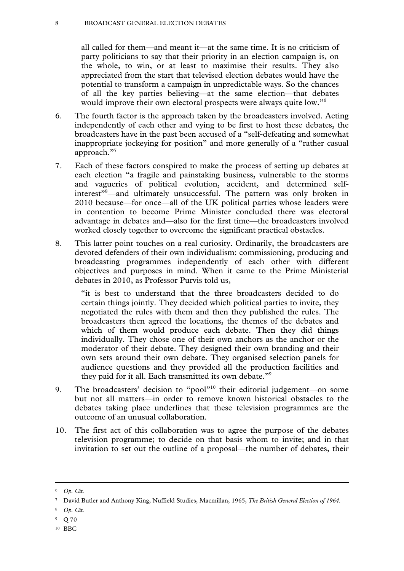#### 8 BROADCAST GENERAL ELECTION DEBATES

all called for them—and meant it—at the same time. It is no criticism of party politicians to say that their priority in an election campaign is, on the whole, to win, or at least to maximise their results. They also appreciated from the start that televised election debates would have the potential to transform a campaign in unpredictable ways. So the chances of all the key parties believing—at the same election—that debates would improve their own electoral prospects were always quite low."6

- 6. The fourth factor is the approach taken by the broadcasters involved. Acting independently of each other and vying to be first to host these debates, the broadcasters have in the past been accused of a "self-defeating and somewhat inappropriate jockeying for position" and more generally of a "rather casual approach."<sup>7</sup>
- 7. Each of these factors conspired to make the process of setting up debates at each election "a fragile and painstaking business, vulnerable to the storms and vagueries of political evolution, accident, and determined selfinterest"8 —and ultimately unsuccessful. The pattern was only broken in 2010 because—for once—all of the UK political parties whose leaders were in contention to become Prime Minister concluded there was electoral advantage in debates and—also for the first time—the broadcasters involved worked closely together to overcome the significant practical obstacles.
- 8. This latter point touches on a real curiosity. Ordinarily, the broadcasters are devoted defenders of their own individualism: commissioning, producing and broadcasting programmes independently of each other with different objectives and purposes in mind. When it came to the Prime Ministerial debates in 2010, as Professor Purvis told us,

"it is best to understand that the three broadcasters decided to do certain things jointly. They decided which political parties to invite, they negotiated the rules with them and then they published the rules. The broadcasters then agreed the locations, the themes of the debates and which of them would produce each debate. Then they did things individually. They chose one of their own anchors as the anchor or the moderator of their debate. They designed their own branding and their own sets around their own debate. They organised selection panels for audience questions and they provided all the production facilities and they paid for it all. Each transmitted its own debate."<sup>9</sup>

- 9. The broadcasters' decision to "pool"<sup>10</sup> their editorial judgement—on some but not all matters—in order to remove known historical obstacles to the debates taking place underlines that these television programmes are the outcome of an unusual collaboration.
- 10. The first act of this collaboration was to agree the purpose of the debates television programme; to decide on that basis whom to invite; and in that invitation to set out the outline of a proposal—the number of debates, their

- <sup>8</sup> *Op. Cit.*
- 9 Q 70
- 10 BBC

 <sup>6</sup> *Op. Cit.* 

<sup>7</sup> David Butler and Anthony King, Nuffield Studies, Macmillan, 1965, *The British General Election of 1964*.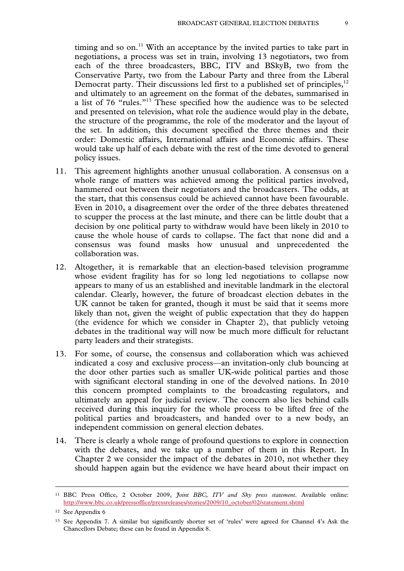timing and so on.<sup>11</sup> With an acceptance by the invited parties to take part in negotiations, a process was set in train, involving 13 negotiators, two from each of the three broadcasters, BBC, ITV and BSkyB, two from the Conservative Party, two from the Labour Party and three from the Liberal Democrat party. Their discussions led first to a published set of principles,<sup>12</sup> and ultimately to an agreement on the format of the debates, summarised in a list of 76 "rules."13 These specified how the audience was to be selected and presented on television, what role the audience would play in the debate, the structure of the programme, the role of the moderator and the layout of the set. In addition, this document specified the three themes and their order: Domestic affairs, International affairs and Economic affairs. These would take up half of each debate with the rest of the time devoted to general policy issues.

- 11. This agreement highlights another unusual collaboration. A consensus on a whole range of matters was achieved among the political parties involved, hammered out between their negotiators and the broadcasters. The odds, at the start, that this consensus could be achieved cannot have been favourable. Even in 2010, a disagreement over the order of the three debates threatened to scupper the process at the last minute, and there can be little doubt that a decision by one political party to withdraw would have been likely in 2010 to cause the whole house of cards to collapse. The fact that none did and a consensus was found masks how unusual and unprecedented the collaboration was.
- 12. Altogether, it is remarkable that an election-based television programme whose evident fragility has for so long led negotiations to collapse now appears to many of us an established and inevitable landmark in the electoral calendar. Clearly, however, the future of broadcast election debates in the UK cannot be taken for granted, though it must be said that it seems more likely than not, given the weight of public expectation that they do happen (the evidence for which we consider in Chapter 2), that publicly vetoing debates in the traditional way will now be much more difficult for reluctant party leaders and their strategists.
- 13. For some, of course, the consensus and collaboration which was achieved indicated a cosy and exclusive process—an invitation-only club bouncing at the door other parties such as smaller UK-wide political parties and those with significant electoral standing in one of the devolved nations. In 2010 this concern prompted complaints to the broadcasting regulators, and ultimately an appeal for judicial review. The concern also lies behind calls received during this inquiry for the whole process to be lifted free of the political parties and broadcasters, and handed over to a new body, an independent commission on general election debates.
- 14. There is clearly a whole range of profound questions to explore in connection with the debates, and we take up a number of them in this Report. In Chapter 2 we consider the impact of the debates in 2010, not whether they should happen again but the evidence we have heard about their impact on

 <sup>11</sup> BBC Press Office, 2 October 2009, *Joint BBC, ITV and Sky press statement*. Available online: http://www.bbc.co.uk/pressoffice/pressreleases/stories/2009/10\_october/02/statement.shtml

<sup>12</sup> See Appendix 6

<sup>13</sup> See Appendix 7. A similar but significantly shorter set of 'rules' were agreed for Channel 4's Ask the Chancellors Debate; these can be found in Appendix 8.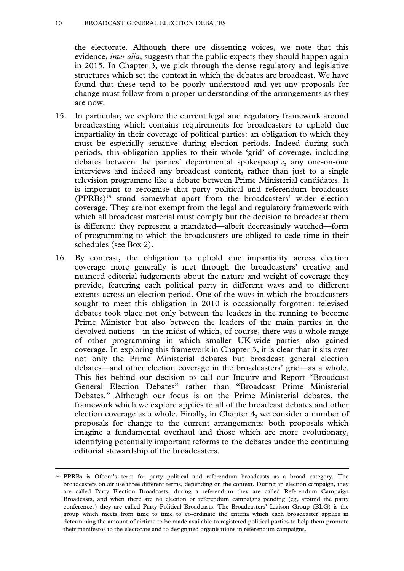#### 10 BROADCAST GENERAL ELECTION DEBATES

the electorate. Although there are dissenting voices, we note that this evidence, *inter alia*, suggests that the public expects they should happen again in 2015. In Chapter 3, we pick through the dense regulatory and legislative structures which set the context in which the debates are broadcast. We have found that these tend to be poorly understood and yet any proposals for change must follow from a proper understanding of the arrangements as they are now.

- 15. In particular, we explore the current legal and regulatory framework around broadcasting which contains requirements for broadcasters to uphold due impartiality in their coverage of political parties: an obligation to which they must be especially sensitive during election periods. Indeed during such periods, this obligation applies to their whole 'grid' of coverage, including debates between the parties' departmental spokespeople, any one-on-one interviews and indeed any broadcast content, rather than just to a single television programme like a debate between Prime Ministerial candidates. It is important to recognise that party political and referendum broadcasts (PPRBs)14 stand somewhat apart from the broadcasters' wider election coverage. They are not exempt from the legal and regulatory framework with which all broadcast material must comply but the decision to broadcast them is different: they represent a mandated—albeit decreasingly watched—form of programming to which the broadcasters are obliged to cede time in their schedules (see Box 2).
- 16. By contrast, the obligation to uphold due impartiality across election coverage more generally is met through the broadcasters' creative and nuanced editorial judgements about the nature and weight of coverage they provide, featuring each political party in different ways and to different extents across an election period. One of the ways in which the broadcasters sought to meet this obligation in 2010 is occasionally forgotten: televised debates took place not only between the leaders in the running to become Prime Minister but also between the leaders of the main parties in the devolved nations—in the midst of which, of course, there was a whole range of other programming in which smaller UK-wide parties also gained coverage. In exploring this framework in Chapter 3, it is clear that it sits over not only the Prime Ministerial debates but broadcast general election debates—and other election coverage in the broadcasters' grid—as a whole. This lies behind our decision to call our Inquiry and Report "Broadcast General Election Debates" rather than "Broadcast Prime Ministerial Debates." Although our focus is on the Prime Ministerial debates, the framework which we explore applies to all of the broadcast debates and other election coverage as a whole. Finally, in Chapter 4, we consider a number of proposals for change to the current arrangements: both proposals which imagine a fundamental overhaul and those which are more evolutionary, identifying potentially important reforms to the debates under the continuing editorial stewardship of the broadcasters.

 <sup>14</sup> PPRBs is Ofcom's term for party political and referendum broadcasts as a broad category. The broadcasters on air use three different terms, depending on the context. During an election campaign, they are called Party Election Broadcasts; during a referendum they are called Referendum Campaign Broadcasts, and when there are no election or referendum campaigns pending (eg, around the party conferences) they are called Party Political Broadcasts. The Broadcasters' Liaison Group (BLG) is the group which meets from time to time to co-ordinate the criteria which each broadcaster applies in determining the amount of airtime to be made available to registered political parties to help them promote their manifestos to the electorate and to designated organisations in referendum campaigns.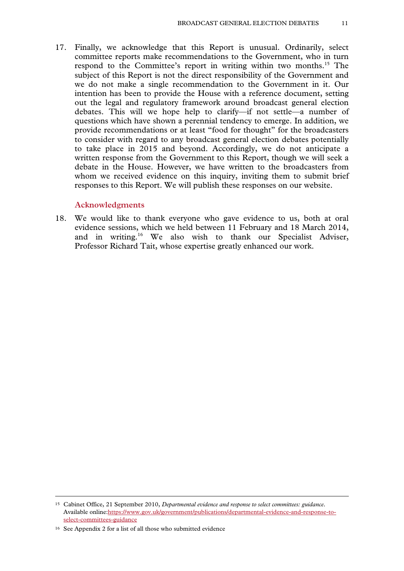17. Finally, we acknowledge that this Report is unusual. Ordinarily, select committee reports make recommendations to the Government, who in turn respond to the Committee's report in writing within two months.<sup>15</sup> The subject of this Report is not the direct responsibility of the Government and we do not make a single recommendation to the Government in it. Our intention has been to provide the House with a reference document, setting out the legal and regulatory framework around broadcast general election debates. This will we hope help to clarify—if not settle—a number of questions which have shown a perennial tendency to emerge. In addition, we provide recommendations or at least "food for thought" for the broadcasters to consider with regard to any broadcast general election debates potentially to take place in 2015 and beyond. Accordingly, we do not anticipate a written response from the Government to this Report, though we will seek a debate in the House. However, we have written to the broadcasters from whom we received evidence on this inquiry, inviting them to submit brief responses to this Report. We will publish these responses on our website.

#### **Acknowledgments**

18. We would like to thank everyone who gave evidence to us, both at oral evidence sessions, which we held between 11 February and 18 March 2014, and in writing.16 We also wish to thank our Specialist Adviser, Professor Richard Tait, whose expertise greatly enhanced our work.

 <sup>15</sup> Cabinet Office, 21 September 2010, *Departmental evidence and response to select committees: guidance*. Available online:https://www.gov.uk/government/publications/departmental-evidence-and-response-toselect-committees-guidance

<sup>16</sup> See Appendix 2 for a list of all those who submitted evidence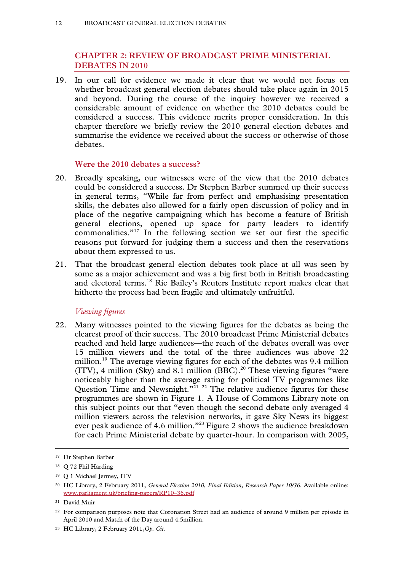# **CHAPTER 2: REVIEW OF BROADCAST PRIME MINISTERIAL DEBATES IN 2010**

19. In our call for evidence we made it clear that we would not focus on whether broadcast general election debates should take place again in 2015 and beyond. During the course of the inquiry however we received a considerable amount of evidence on whether the 2010 debates could be considered a success. This evidence merits proper consideration. In this chapter therefore we briefly review the 2010 general election debates and summarise the evidence we received about the success or otherwise of those debates.

#### **Were the 2010 debates a success?**

- 20. Broadly speaking, our witnesses were of the view that the 2010 debates could be considered a success. Dr Stephen Barber summed up their success in general terms, "While far from perfect and emphasising presentation skills, the debates also allowed for a fairly open discussion of policy and in place of the negative campaigning which has become a feature of British general elections, opened up space for party leaders to identify commonalities."17 In the following section we set out first the specific reasons put forward for judging them a success and then the reservations about them expressed to us.
- 21. That the broadcast general election debates took place at all was seen by some as a major achievement and was a big first both in British broadcasting and electoral terms.18 Ric Bailey's Reuters Institute report makes clear that hitherto the process had been fragile and ultimately unfruitful.

#### *Viewing figures*

22. Many witnesses pointed to the viewing figures for the debates as being the clearest proof of their success. The 2010 broadcast Prime Ministerial debates reached and held large audiences—the reach of the debates overall was over 15 million viewers and the total of the three audiences was above 22 million.<sup>19</sup> The average viewing figures for each of the debates was 9.4 million (ITV), 4 million (Sky) and 8.1 million (BBC).<sup>20</sup> These viewing figures "were noticeably higher than the average rating for political TV programmes like Question Time and Newsnight."<sup>21 22</sup> The relative audience figures for these programmes are shown in Figure 1. A House of Commons Library note on this subject points out that "even though the second debate only averaged 4 million viewers across the television networks, it gave Sky News its biggest ever peak audience of 4.6 million."<sup>23</sup> Figure 2 shows the audience breakdown for each Prime Ministerial debate by quarter-hour. In comparison with 2005,

 <sup>17</sup> Dr Stephen Barber

<sup>18</sup> Q 72 Phil Harding

<sup>&</sup>lt;sup>19</sup> O 1 Michael Jermey, ITV

<sup>20</sup> HC Library, 2 February 2011, *General Election 2010, Final Edition, Research Paper 10/36.* Available online: www.parliament.uk/briefing-papers/RP10–36.pdf

<sup>21</sup> David Muir

<sup>22</sup> For comparison purposes note that Coronation Street had an audience of around 9 million per episode in April 2010 and Match of the Day around 4.5million.

<sup>23</sup> HC Library, 2 February 2011,*Op. Cit.*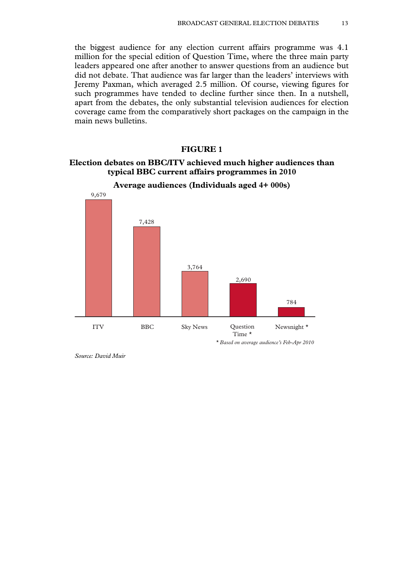the biggest audience for any election current affairs programme was 4.1 million for the special edition of Question Time, where the three main party leaders appeared one after another to answer questions from an audience but did not debate. That audience was far larger than the leaders' interviews with Jeremy Paxman, which averaged 2.5 million. Of course, viewing figures for such programmes have tended to decline further since then. In a nutshell, apart from the debates, the only substantial television audiences for election coverage came from the comparatively short packages on the campaign in the main news bulletins.

#### **FIGURE 1**

#### **Election debates on BBC/ITV achieved much higher audiences than typical BBC current affairs programmes in 2010**



**Average audiences (Individuals aged 4+ 000s)** 

*Source: David Muir*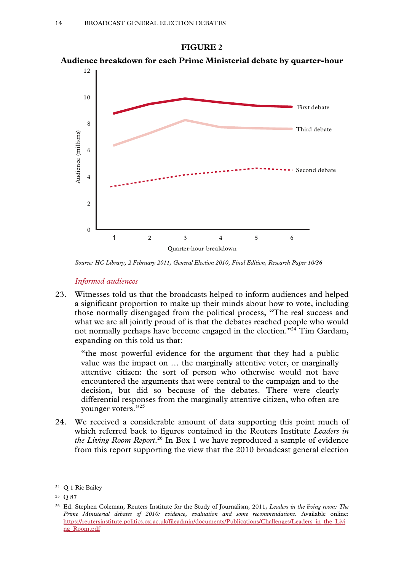

**Audience breakdown for each Prime Ministerial debate by quarter-hour** 



*Source: HC Library, 2 February 2011, General Election 2010, Final Edition, Research Paper 10/36* 

#### *Informed audiences*

23. Witnesses told us that the broadcasts helped to inform audiences and helped a significant proportion to make up their minds about how to vote, including those normally disengaged from the political process, "The real success and what we are all jointly proud of is that the debates reached people who would not normally perhaps have become engaged in the election."24 Tim Gardam, expanding on this told us that:

"the most powerful evidence for the argument that they had a public value was the impact on … the marginally attentive voter, or marginally attentive citizen: the sort of person who otherwise would not have encountered the arguments that were central to the campaign and to the decision, but did so because of the debates. There were clearly differential responses from the marginally attentive citizen, who often are younger voters."25

24. We received a considerable amount of data supporting this point much of which referred back to figures contained in the Reuters Institute *Leaders in the Living Room Report*. 26 In Box 1 we have reproduced a sample of evidence from this report supporting the view that the 2010 broadcast general election

 <sup>24</sup> Q 1 Ric Bailey

<sup>25</sup> Q 87

<sup>26</sup> Ed. Stephen Coleman, Reuters Institute for the Study of Journalism, 2011, *Leaders in the living room: The Prime Ministerial debates of 2010: evidence, evaluation and some recommendations*. Available online: https://reutersinstitute.politics.ox.ac.uk/fileadmin/documents/Publications/Challenges/Leaders\_in\_the\_Livi ng\_Room.pdf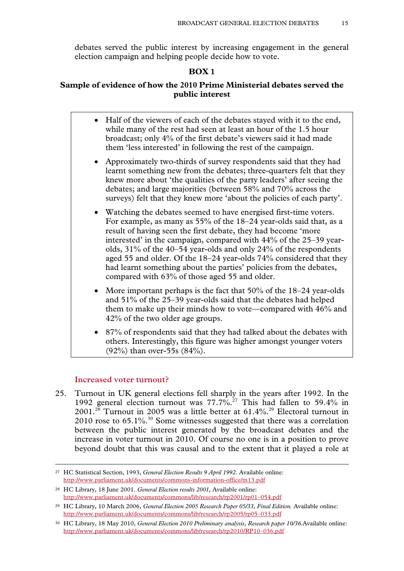debates served the public interest by increasing engagement in the general election campaign and helping people decide how to vote.

# **BOX 1**

# **Sample of evidence of how the 2010 Prime Ministerial debates served the public interest**

- Half of the viewers of each of the debates stayed with it to the end, while many of the rest had seen at least an hour of the 1.5 hour broadcast; only 4% of the first debate's viewers said it had made them 'less interested' in following the rest of the campaign.
- Approximately two-thirds of survey respondents said that they had learnt something new from the debates; three-quarters felt that they knew more about 'the qualities of the party leaders' after seeing the debates; and large majorities (between 58% and 70% across the surveys) felt that they knew more 'about the policies of each party'.
- Watching the debates seemed to have energised first-time voters. For example, as many as 55% of the 18–24 year-olds said that, as a result of having seen the first debate, they had become 'more interested' in the campaign, compared with 44% of the 25–39 yearolds, 31% of the 40–54 year-olds and only 24% of the respondents aged 55 and older. Of the 18–24 year-olds 74% considered that they had learnt something about the parties' policies from the debates, compared with 63% of those aged 55 and older.
- More important perhaps is the fact that  $50\%$  of the  $18-24$  year-olds and 51% of the 25–39 year-olds said that the debates had helped them to make up their minds how to vote—compared with 46% and 42% of the two older age groups.
- 87% of respondents said that they had talked about the debates with others. Interestingly, this figure was higher amongst younger voters (92%) than over-55s (84%).

#### **Increased voter turnout?**

25. Turnout in UK general elections fell sharply in the years after 1992. In the 1992 general election turnout was 77.7%.<sup>27</sup> This had fallen to 59.4% in  $2001.<sup>28</sup>$  Turnout in 2005 was a little better at 61.4%.<sup>29</sup> Electoral turnout in 2010 rose to  $65.1\%$ <sup>30</sup> Some witnesses suggested that there was a correlation between the public interest generated by the broadcast debates and the increase in voter turnout in 2010. Of course no one is in a position to prove beyond doubt that this was causal and to the extent that it played a role at

 <sup>27</sup> HC Statistical Section, 1993, *General Election Results 9 April 1992.* Available online: http://www.parliament.uk/documents/commons-information-office/m13.pdf

<sup>28</sup> HC Library, 18 June 2001. *General Election results 2001,* Available online: http://www.parliament.uk/documents/commons/lib/research/rp2001/rp01–054.pdf

<sup>29</sup> HC Library, 10 March 2006, *General Election 2005 Research Paper 05/33, Final Edition.* Available online: http://www.parliament.uk/documents/commons/lib/research/rp2005/rp05–033.pdf

<sup>&</sup>lt;sup>30</sup> HC Library, 18 May 2010, *General Election 2010 Preliminary analysis, Research paper 10/36.*Available online: http://www.parliament.uk/documents/commons/lib/research/rp2010/RP10–036.pdf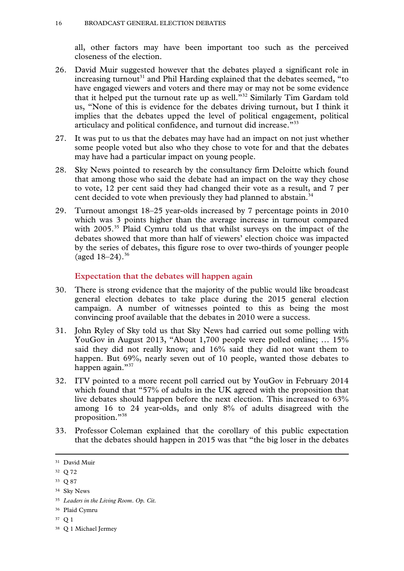all, other factors may have been important too such as the perceived closeness of the election.

- 26. David Muir suggested however that the debates played a significant role in increasing turnout<sup>31</sup> and Phil Harding explained that the debates seemed, "to have engaged viewers and voters and there may or may not be some evidence that it helped put the turnout rate up as well.<sup>332</sup> Similarly Tim Gardam told us, "None of this is evidence for the debates driving turnout, but I think it implies that the debates upped the level of political engagement, political articulacy and political confidence, and turnout did increase."33
- 27. It was put to us that the debates may have had an impact on not just whether some people voted but also who they chose to vote for and that the debates may have had a particular impact on young people.
- 28. Sky News pointed to research by the consultancy firm Deloitte which found that among those who said the debate had an impact on the way they chose to vote, 12 per cent said they had changed their vote as a result, and 7 per cent decided to vote when previously they had planned to abstain.<sup>34</sup>
- 29. Turnout amongst 18–25 year-olds increased by 7 percentage points in 2010 which was 3 points higher than the average increase in turnout compared with 2005.<sup>35</sup> Plaid Cymru told us that whilst surveys on the impact of the debates showed that more than half of viewers' election choice was impacted by the series of debates, this figure rose to over two-thirds of younger people (aged  $18-24$ ).<sup>36</sup>

#### **Expectation that the debates will happen again**

- 30. There is strong evidence that the majority of the public would like broadcast general election debates to take place during the 2015 general election campaign. A number of witnesses pointed to this as being the most convincing proof available that the debates in 2010 were a success.
- 31. John Ryley of Sky told us that Sky News had carried out some polling with YouGov in August 2013, "About 1,700 people were polled online; … 15% said they did not really know; and 16% said they did not want them to happen. But 69%, nearly seven out of 10 people, wanted those debates to happen again."<sup>37</sup>
- 32. ITV pointed to a more recent poll carried out by YouGov in February 2014 which found that "57% of adults in the UK agreed with the proposition that live debates should happen before the next election. This increased to 63% among 16 to 24 year-olds, and only 8% of adults disagreed with the proposition."38
- 33. Professor Coleman explained that the corollary of this public expectation that the debates should happen in 2015 was that "the big loser in the debates

36 Plaid Cymru

 <sup>31</sup> David Muir

<sup>32</sup> Q 72

<sup>33</sup> Q 87

<sup>34</sup> Sky News

<sup>35</sup> *Leaders in the Living Room*. *Op. Cit.* 

<sup>37</sup> Q 1

<sup>38</sup> Q 1 Michael Jermey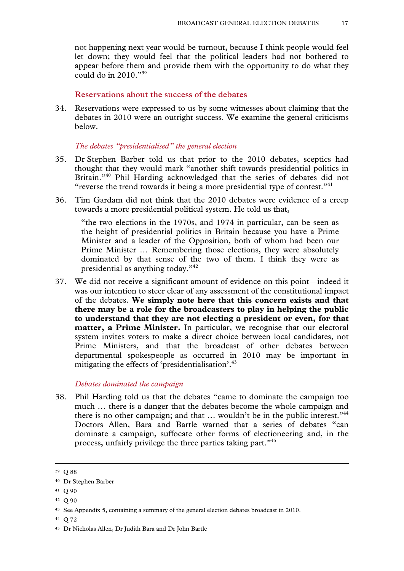not happening next year would be turnout, because I think people would feel let down; they would feel that the political leaders had not bothered to appear before them and provide them with the opportunity to do what they could do in  $2010$ ."<sup>39</sup>

#### **Reservations about the success of the debates**

34. Reservations were expressed to us by some witnesses about claiming that the debates in 2010 were an outright success. We examine the general criticisms below.

#### *The debates "presidentialised" the general election*

- 35. Dr Stephen Barber told us that prior to the 2010 debates, sceptics had thought that they would mark "another shift towards presidential politics in Britain."<sup>40</sup> Phil Harding acknowledged that the series of debates did not "reverse the trend towards it being a more presidential type of contest."<sup>41</sup>
- 36. Tim Gardam did not think that the 2010 debates were evidence of a creep towards a more presidential political system. He told us that,

"the two elections in the 1970s, and 1974 in particular, can be seen as the height of presidential politics in Britain because you have a Prime Minister and a leader of the Opposition, both of whom had been our Prime Minister … Remembering those elections, they were absolutely dominated by that sense of the two of them. I think they were as presidential as anything today."42

37. We did not receive a significant amount of evidence on this point—indeed it was our intention to steer clear of any assessment of the constitutional impact of the debates. **We simply note here that this concern exists and that there may be a role for the broadcasters to play in helping the public to understand that they are not electing a president or even, for that matter, a Prime Minister.** In particular, we recognise that our electoral system invites voters to make a direct choice between local candidates, not Prime Ministers, and that the broadcast of other debates between departmental spokespeople as occurred in 2010 may be important in mitigating the effects of 'presidentialisation'.<sup>43</sup>

#### *Debates dominated the campaign*

38. Phil Harding told us that the debates "came to dominate the campaign too much … there is a danger that the debates become the whole campaign and there is no other campaign; and that ... wouldn't be in the public interest."<sup>44</sup> Doctors Allen, Bara and Bartle warned that a series of debates "can dominate a campaign, suffocate other forms of electioneering and, in the process, unfairly privilege the three parties taking part."45

 <sup>39</sup> Q 88

<sup>40</sup> Dr Stephen Barber

<sup>41</sup> Q 90

<sup>42</sup> Q 90

<sup>43</sup> See Appendix 5, containing a summary of the general election debates broadcast in 2010.

<sup>44</sup> Q 72

<sup>45</sup> Dr Nicholas Allen, Dr Judith Bara and Dr John Bartle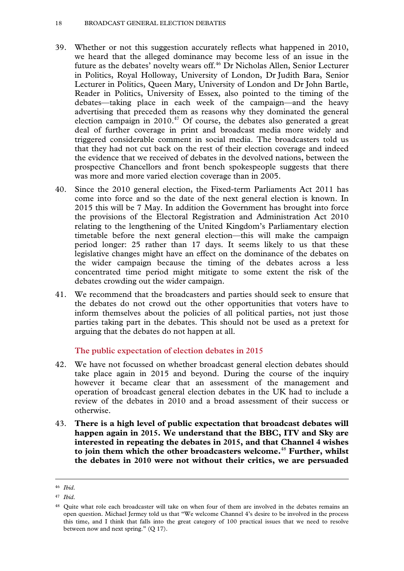- 39. Whether or not this suggestion accurately reflects what happened in 2010, we heard that the alleged dominance may become less of an issue in the future as the debates' novelty wears off.<sup>46</sup> Dr Nicholas Allen, Senior Lecturer in Politics, Royal Holloway, University of London, Dr Judith Bara, Senior Lecturer in Politics, Queen Mary, University of London and Dr John Bartle, Reader in Politics, University of Essex, also pointed to the timing of the debates—taking place in each week of the campaign—and the heavy advertising that preceded them as reasons why they dominated the general election campaign in  $2010<sup>47</sup>$  Of course, the debates also generated a great deal of further coverage in print and broadcast media more widely and triggered considerable comment in social media. The broadcasters told us that they had not cut back on the rest of their election coverage and indeed the evidence that we received of debates in the devolved nations, between the prospective Chancellors and front bench spokespeople suggests that there was more and more varied election coverage than in 2005.
- 40. Since the 2010 general election, the Fixed-term Parliaments Act 2011 has come into force and so the date of the next general election is known. In 2015 this will be 7 May. In addition the Government has brought into force the provisions of the Electoral Registration and Administration Act 2010 relating to the lengthening of the United Kingdom's Parliamentary election timetable before the next general election—this will make the campaign period longer: 25 rather than 17 days. It seems likely to us that these legislative changes might have an effect on the dominance of the debates on the wider campaign because the timing of the debates across a less concentrated time period might mitigate to some extent the risk of the debates crowding out the wider campaign.
- 41. We recommend that the broadcasters and parties should seek to ensure that the debates do not crowd out the other opportunities that voters have to inform themselves about the policies of all political parties, not just those parties taking part in the debates. This should not be used as a pretext for arguing that the debates do not happen at all.

**The public expectation of election debates in 2015** 

- 42. We have not focussed on whether broadcast general election debates should take place again in 2015 and beyond. During the course of the inquiry however it became clear that an assessment of the management and operation of broadcast general election debates in the UK had to include a review of the debates in 2010 and a broad assessment of their success or otherwise.
- 43. **There is a high level of public expectation that broadcast debates will happen again in 2015. We understand that the BBC, ITV and Sky are interested in repeating the debates in 2015, and that Channel 4 wishes to join them which the other broadcasters welcome.**<sup>48</sup> **Further, whilst the debates in 2010 were not without their critics, we are persuaded**

 <sup>46</sup> *Ibid*.

<sup>47</sup> *Ibid*.

<sup>&</sup>lt;sup>48</sup> Ouite what role each broadcaster will take on when four of them are involved in the debates remains an open question. Michael Jermey told us that "We welcome Channel 4's desire to be involved in the process this time, and I think that falls into the great category of 100 practical issues that we need to resolve between now and next spring." (Q 17).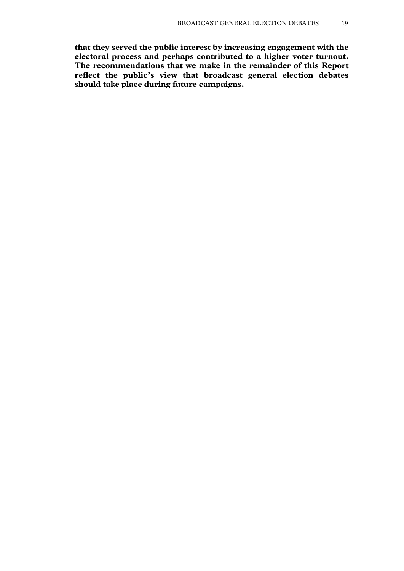**that they served the public interest by increasing engagement with the electoral process and perhaps contributed to a higher voter turnout. The recommendations that we make in the remainder of this Report reflect the public's view that broadcast general election debates should take place during future campaigns.**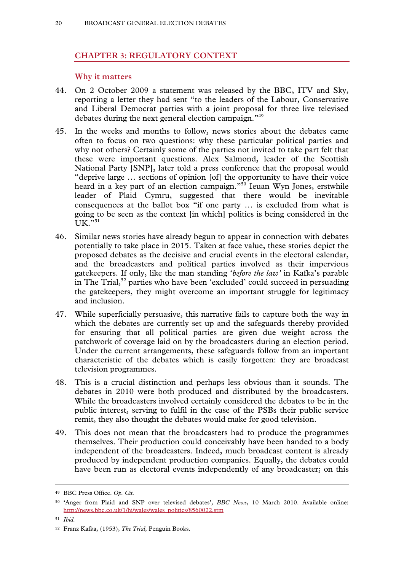# **CHAPTER 3: REGULATORY CONTEXT**

#### **Why it matters**

- 44. On 2 October 2009 a statement was released by the BBC, ITV and Sky, reporting a letter they had sent "to the leaders of the Labour, Conservative and Liberal Democrat parties with a joint proposal for three live televised debates during the next general election campaign."49
- 45. In the weeks and months to follow, news stories about the debates came often to focus on two questions: why these particular political parties and why not others? Certainly some of the parties not invited to take part felt that these were important questions. Alex Salmond, leader of the Scottish National Party [SNP], later told a press conference that the proposal would "deprive large … sections of opinion [of] the opportunity to have their voice heard in a key part of an election campaign."50 Ieuan Wyn Jones, erstwhile leader of Plaid Cymru, suggested that there would be inevitable consequences at the ballot box "if one party … is excluded from what is going to be seen as the context [in which] politics is being considered in the  $UK.$ "<sup>51</sup>
- 46. Similar news stories have already begun to appear in connection with debates potentially to take place in 2015. Taken at face value, these stories depict the proposed debates as the decisive and crucial events in the electoral calendar, and the broadcasters and political parties involved as their impervious gatekeepers. If only, like the man standing '*before the law'* in Kafka's parable in The Trial,<sup>52</sup> parties who have been 'excluded' could succeed in persuading the gatekeepers, they might overcome an important struggle for legitimacy and inclusion.
- 47. While superficially persuasive, this narrative fails to capture both the way in which the debates are currently set up and the safeguards thereby provided for ensuring that all political parties are given due weight across the patchwork of coverage laid on by the broadcasters during an election period. Under the current arrangements, these safeguards follow from an important characteristic of the debates which is easily forgotten: they are broadcast television programmes.
- 48. This is a crucial distinction and perhaps less obvious than it sounds. The debates in 2010 were both produced and distributed by the broadcasters. While the broadcasters involved certainly considered the debates to be in the public interest, serving to fulfil in the case of the PSBs their public service remit, they also thought the debates would make for good television.
- 49. This does not mean that the broadcasters had to produce the programmes themselves. Their production could conceivably have been handed to a body independent of the broadcasters. Indeed, much broadcast content is already produced by independent production companies. Equally, the debates could have been run as electoral events independently of any broadcaster; on this

 <sup>49</sup> BBC Press Office. *Op. Cit.* 

<sup>50 &#</sup>x27;Anger from Plaid and SNP over televised debates', *BBC News*, 10 March 2010. Available online: http://news.bbc.co.uk/1/hi/wales/wales\_politics/8560022.stm

<sup>51</sup> *Ibid.*

<sup>52</sup> Franz Kafka, (1953), *The Trial,* Penguin Books.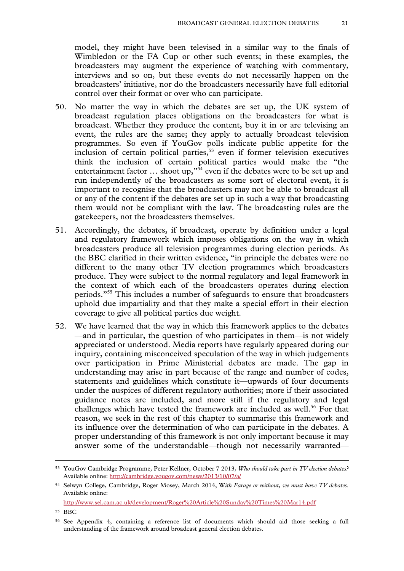model, they might have been televised in a similar way to the finals of Wimbledon or the FA Cup or other such events; in these examples, the broadcasters may augment the experience of watching with commentary, interviews and so on, but these events do not necessarily happen on the broadcasters' initiative, nor do the broadcasters necessarily have full editorial control over their format or over who can participate.

- 50. No matter the way in which the debates are set up, the UK system of broadcast regulation places obligations on the broadcasters for what is broadcast. Whether they produce the content, buy it in or are televising an event, the rules are the same; they apply to actually broadcast television programmes. So even if YouGov polls indicate public appetite for the inclusion of certain political parties, $\frac{1}{2}$  even if former television executives think the inclusion of certain political parties would make the "the entertainment factor  $\ldots$  shoot up,"<sup>54</sup> even if the debates were to be set up and run independently of the broadcasters as some sort of electoral event, it is important to recognise that the broadcasters may not be able to broadcast all or any of the content if the debates are set up in such a way that broadcasting them would not be compliant with the law. The broadcasting rules are the gatekeepers, not the broadcasters themselves.
- 51. Accordingly, the debates, if broadcast, operate by definition under a legal and regulatory framework which imposes obligations on the way in which broadcasters produce all television programmes during election periods. As the BBC clarified in their written evidence, "in principle the debates were no different to the many other TV election programmes which broadcasters produce. They were subject to the normal regulatory and legal framework in the context of which each of the broadcasters operates during election periods."55 This includes a number of safeguards to ensure that broadcasters uphold due impartiality and that they make a special effort in their election coverage to give all political parties due weight.
- 52. We have learned that the way in which this framework applies to the debates —and in particular, the question of who participates in them—is not widely appreciated or understood. Media reports have regularly appeared during our inquiry, containing misconceived speculation of the way in which judgements over participation in Prime Ministerial debates are made. The gap in understanding may arise in part because of the range and number of codes, statements and guidelines which constitute it—upwards of four documents under the auspices of different regulatory authorities; more if their associated guidance notes are included, and more still if the regulatory and legal challenges which have tested the framework are included as well.<sup>56</sup> For that reason, we seek in the rest of this chapter to summarise this framework and its influence over the determination of who can participate in the debates. A proper understanding of this framework is not only important because it may answer some of the understandable—though not necessarily warranted—

http://www.sel.cam.ac.uk/development/Roger%20Article%20Sunday%20Times%20Mar14.pdf

55 BBC

 <sup>53</sup> YouGov Cambridge Programme, Peter Kellner, October 7 2013, *Who should take part in TV election debates?*  Available online: http://cambridge.yougov.com/news/2013/10/07/a/

<sup>54</sup> Selwyn College, Cambridge, Roger Mosey, March 2014, W*ith Farage or without, we must have TV debates*. Available online:

<sup>56</sup> See Appendix 4, containing a reference list of documents which should aid those seeking a full understanding of the framework around broadcast general election debates.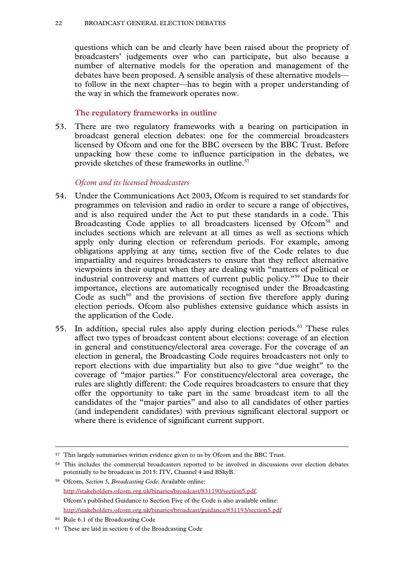questions which can be and clearly have been raised about the propriety of broadcasters' judgements over who can participate, but also because a number of alternative models for the operation and management of the debates have been proposed. A sensible analysis of these alternative models to follow in the next chapter—has to begin with a proper understanding of the way in which the framework operates now.

# **The regulatory frameworks in outline**

53. There are two regulatory frameworks with a bearing on participation in broadcast general election debates: one for the commercial broadcasters licensed by Ofcom and one for the BBC overseen by the BBC Trust. Before unpacking how these come to influence participation in the debates, we provide sketches of these frameworks in outline.<sup>57</sup>

# *Ofcom and its licensed broadcasters*

- 54. Under the Communications Act 2003, Ofcom is required to set standards for programmes on television and radio in order to secure a range of objectives, and is also required under the Act to put these standards in a code. This Broadcasting Code applies to all broadcasters licensed by Ofcom<sup>58</sup> and includes sections which are relevant at all times as well as sections which apply only during election or referendum periods. For example, among obligations applying at any time, section five of the Code relates to due impartiality and requires broadcasters to ensure that they reflect alternative viewpoints in their output when they are dealing with "matters of political or industrial controversy and matters of current public policy."59 Due to their importance, elections are automatically recognised under the Broadcasting Code as such<sup>60</sup> and the provisions of section five therefore apply during election periods. Ofcom also publishes extensive guidance which assists in the application of the Code.
- 55. In addition, special rules also apply during election periods.61 These rules affect two types of broadcast content about elections: coverage of an election in general and constituency/electoral area coverage. For the coverage of an election in general, the Broadcasting Code requires broadcasters not only to report elections with due impartiality but also to give "due weight" to the coverage of "major parties." For constituency/electoral area coverage, the rules are slightly different: the Code requires broadcasters to ensure that they offer the opportunity to take part in the same broadcast item to all the candidates of the "major parties" and also to all candidates of other parties (and independent candidates) with previous significant electoral support or where there is evidence of significant current support.

 <sup>57</sup> This largely summarises written evidence given to us by Ofcom and the BBC Trust.

<sup>58</sup> This includes the commercial broadcasters reported to be involved in discussions over election debates potentially to be broadcast in 2015: ITV, Channel 4 and BSkyB.

<sup>59</sup> Ofcom, *Section 5, Broadcasting Code*. Available online: http://stakeholders.ofcom.org.uk/binaries/broadcast/831190/section5.pdf. Ofcom's published Guidance to Section Five of the Code is also available online: http://stakeholders.ofcom.org.uk/binaries/broadcast/guidance/831193/section5.pdf

<sup>60</sup> Rule 6.1 of the Broadcasting Code

<sup>61</sup> These are laid in section 6 of the Broadcasting Code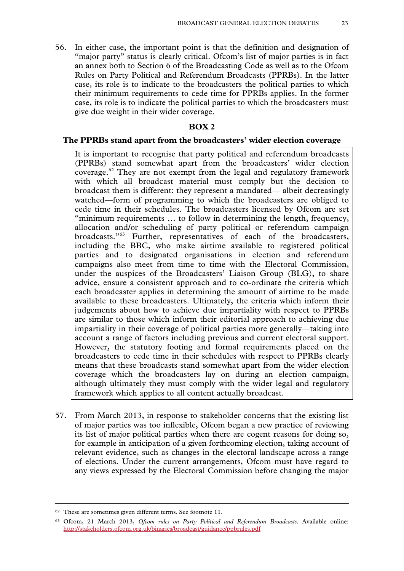56. In either case, the important point is that the definition and designation of "major party" status is clearly critical. Ofcom's list of major parties is in fact an annex both to Section 6 of the Broadcasting Code as well as to the Ofcom Rules on Party Political and Referendum Broadcasts (PPRBs). In the latter case, its role is to indicate to the broadcasters the political parties to which their minimum requirements to cede time for PPRBs applies. In the former case, its role is to indicate the political parties to which the broadcasters must give due weight in their wider coverage.

#### **BOX 2**

#### **The PPRBs stand apart from the broadcasters' wider election coverage**

It is important to recognise that party political and referendum broadcasts (PPRBs) stand somewhat apart from the broadcasters' wider election coverage.<sup>62</sup> They are not exempt from the legal and regulatory framework with which all broadcast material must comply but the decision to broadcast them is different: they represent a mandated— albeit decreasingly watched—form of programming to which the broadcasters are obliged to cede time in their schedules. The broadcasters licensed by Ofcom are set "minimum requirements … to follow in determining the length, frequency, allocation and/or scheduling of party political or referendum campaign broadcasts."63 Further, representatives of each of the broadcasters, including the BBC, who make airtime available to registered political parties and to designated organisations in election and referendum campaigns also meet from time to time with the Electoral Commission, under the auspices of the Broadcasters' Liaison Group (BLG), to share advice, ensure a consistent approach and to co-ordinate the criteria which each broadcaster applies in determining the amount of airtime to be made available to these broadcasters. Ultimately, the criteria which inform their judgements about how to achieve due impartiality with respect to PPRBs are similar to those which inform their editorial approach to achieving due impartiality in their coverage of political parties more generally—taking into account a range of factors including previous and current electoral support. However, the statutory footing and formal requirements placed on the broadcasters to cede time in their schedules with respect to PPRBs clearly means that these broadcasts stand somewhat apart from the wider election coverage which the broadcasters lay on during an election campaign, although ultimately they must comply with the wider legal and regulatory framework which applies to all content actually broadcast.

57. From March 2013, in response to stakeholder concerns that the existing list of major parties was too inflexible, Ofcom began a new practice of reviewing its list of major political parties when there are cogent reasons for doing so, for example in anticipation of a given forthcoming election, taking account of relevant evidence, such as changes in the electoral landscape across a range of elections. Under the current arrangements, Ofcom must have regard to any views expressed by the Electoral Commission before changing the major

 <sup>62</sup> These are sometimes given different terms. See footnote 11.

<sup>63</sup> Ofcom, 21 March 2013, *Ofcom rules on Party Political and Referendum Broadcasts*. Available online: http://stakeholders.ofcom.org.uk/binaries/broadcast/guidance/ppbrules.pdf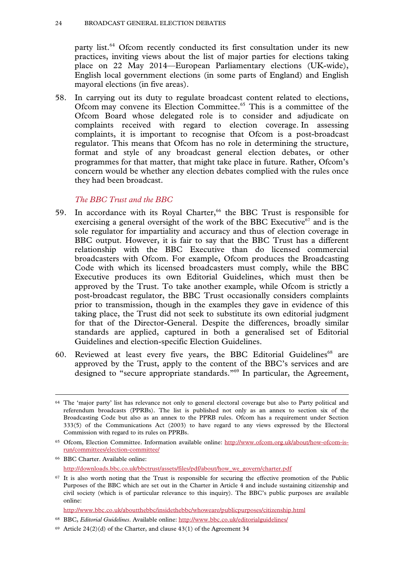party list.<sup>64</sup> Ofcom recently conducted its first consultation under its new practices, inviting views about the list of major parties for elections taking place on 22 May 2014—European Parliamentary elections (UK-wide), English local government elections (in some parts of England) and English mayoral elections (in five areas).

58. In carrying out its duty to regulate broadcast content related to elections, Ofcom may convene its Election Committee.65 This is a committee of the Ofcom Board whose delegated role is to consider and adjudicate on complaints received with regard to election coverage. In assessing complaints, it is important to recognise that Ofcom is a post-broadcast regulator. This means that Ofcom has no role in determining the structure, format and style of any broadcast general election debates, or other programmes for that matter, that might take place in future. Rather, Ofcom's concern would be whether any election debates complied with the rules once they had been broadcast.

# *The BBC Trust and the BBC*

- 59. In accordance with its Royal Charter,<sup>66</sup> the BBC Trust is responsible for exercising a general oversight of the work of the BBC Executive<sup>67</sup> and is the sole regulator for impartiality and accuracy and thus of election coverage in BBC output. However, it is fair to say that the BBC Trust has a different relationship with the BBC Executive than do licensed commercial broadcasters with Ofcom. For example, Ofcom produces the Broadcasting Code with which its licensed broadcasters must comply, while the BBC Executive produces its own Editorial Guidelines, which must then be approved by the Trust. To take another example, while Ofcom is strictly a post-broadcast regulator, the BBC Trust occasionally considers complaints prior to transmission, though in the examples they gave in evidence of this taking place, the Trust did not seek to substitute its own editorial judgment for that of the Director-General. Despite the differences, broadly similar standards are applied, captured in both a generalised set of Editorial Guidelines and election-specific Election Guidelines.
- 60. Reviewed at least every five years, the BBC Editorial Guidelines $68$  are approved by the Trust, apply to the content of the BBC's services and are designed to "secure appropriate standards."69 In particular, the Agreement,

<sup>&</sup>lt;sup>64</sup> The 'major party' list has relevance not only to general electoral coverage but also to Party political and referendum broadcasts (PPRBs). The list is published not only as an annex to section six of the Broadcasting Code but also as an annex to the PPRB rules. Ofcom has a requirement under Section 333(5) of the Communications Act (2003) to have regard to any views expressed by the Electoral Commission with regard to its rules on PPRBs.

<sup>65</sup> Ofcom, Election Committee. Information available online: http://www.ofcom.org.uk/about/how-ofcom-isrun/committees/election-committee/

<sup>66</sup> BBC Charter. Available online: http://downloads.bbc.co.uk/bbctrust/assets/files/pdf/about/how\_we\_govern/charter.pdf

<sup>&</sup>lt;sup>67</sup> It is also worth noting that the Trust is responsible for securing the effective promotion of the Public Purposes of the BBC which are set out in the Charter in Article 4 and include sustaining citizenship and civil society (which is of particular relevance to this inquiry). The BBC's public purposes are available online:

http://www.bbc.co.uk/aboutthebbc/insidethebbc/whoweare/publicpurposes/citizenship.html

<sup>68</sup> BBC, *Editorial Guidelines*. Available online: http://www.bbc.co.uk/editorialguidelines/

 $69$  Article 24(2)(d) of the Charter, and clause 43(1) of the Agreement 34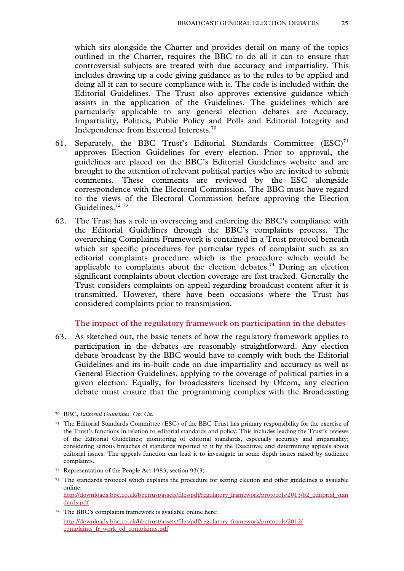which sits alongside the Charter and provides detail on many of the topics outlined in the Charter, requires the BBC to do all it can to ensure that controversial subjects are treated with due accuracy and impartiality. This includes drawing up a code giving guidance as to the rules to be applied and doing all it can to secure compliance with it. The code is included within the Editorial Guidelines. The Trust also approves extensive guidance which assists in the application of the Guidelines. The guidelines which are particularly applicable to any general election debates are Accuracy, Impartiality, Politics, Public Policy and Polls and Editorial Integrity and Independence from External Interests.70

- 61. Separately, the BBC Trust's Editorial Standards Committee  $(ESC)^{71}$ approves Election Guidelines for every election. Prior to approval, the guidelines are placed on the BBC's Editorial Guidelines website and are brought to the attention of relevant political parties who are invited to submit comments. These comments are reviewed by the ESC alongside correspondence with the Electoral Commission. The BBC must have regard to the views of the Electoral Commission before approving the Election Guidelines.<sup>72</sup> 73
- 62. The Trust has a role in overseeing and enforcing the BBC's compliance with the Editorial Guidelines through the BBC's complaints process. The overarching Complaints Framework is contained in a Trust protocol beneath which sit specific procedures for particular types of complaint such as an editorial complaints procedure which is the procedure which would be applicable to complaints about the election debates.<sup>74</sup> During an election significant complaints about election coverage are fast tracked. Generally the Trust considers complaints on appeal regarding broadcast content after it is transmitted. However, there have been occasions where the Trust has considered complaints prior to transmission.

#### **The impact of the regulatory framework on participation in the debates**

63. As sketched out, the basic tenets of how the regulatory framework applies to participation in the debates are reasonably straightforward. Any election debate broadcast by the BBC would have to comply with both the Editorial Guidelines and its in-built code on due impartiality and accuracy as well as General Election Guidelines, applying to the coverage of political parties in a given election. Equally, for broadcasters licensed by Ofcom, any election debate must ensure that the programming complies with the Broadcasting

http://downloads.bbc.co.uk/bbctrust/assets/files/pdf/regulatory\_framework/protocols/2013/b2\_editorial\_stan dards.pdf

74 The BBC's complaints framework is available online here:

http://downloads.bbc.co.uk/bbctrust/assets/files/pdf/regulatory\_framework/protocols/2012/ complaints fr\_work\_ed\_complaints.pdf

 <sup>70</sup> BBC, *Editorial Guidelines*. *Op. Cit.* 

<sup>71</sup> The Editorial Standards Committee (ESC) of the BBC Trust has primary responsibility for the exercise of the Trust's functions in relation to editorial standards and policy. This includes leading the Trust's reviews of the Editorial Guidelines; monitoring of editorial standards, especially accuracy and impartiality; considering serious breaches of standards reported to it by the Executive; and determining appeals about editorial issues. The appeals function can lead it to investigate in some depth issues raised by audience complaints.

<sup>72</sup> Representation of the People Act 1983, section 93(3)

<sup>73</sup> The standards protocol which explains the procedure for setting election and other guidelines is available online: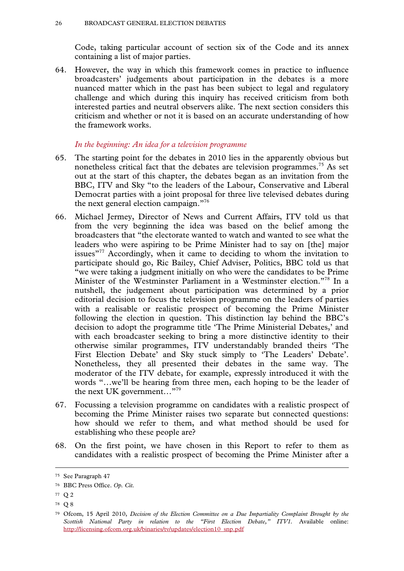Code, taking particular account of section six of the Code and its annex containing a list of major parties.

64. However, the way in which this framework comes in practice to influence broadcasters' judgements about participation in the debates is a more nuanced matter which in the past has been subject to legal and regulatory challenge and which during this inquiry has received criticism from both interested parties and neutral observers alike. The next section considers this criticism and whether or not it is based on an accurate understanding of how the framework works.

#### *In the beginning: An idea for a television programme*

- 65. The starting point for the debates in 2010 lies in the apparently obvious but nonetheless critical fact that the debates are television programmes.<sup>75</sup> As set out at the start of this chapter, the debates began as an invitation from the BBC, ITV and Sky "to the leaders of the Labour, Conservative and Liberal Democrat parties with a joint proposal for three live televised debates during the next general election campaign."76
- 66. Michael Jermey, Director of News and Current Affairs, ITV told us that from the very beginning the idea was based on the belief among the broadcasters that "the electorate wanted to watch and wanted to see what the leaders who were aspiring to be Prime Minister had to say on [the] major issues<sup>"77</sup> Accordingly, when it came to deciding to whom the invitation to participate should go, Ric Bailey, Chief Adviser, Politics, BBC told us that "we were taking a judgment initially on who were the candidates to be Prime Minister of the Westminster Parliament in a Westminster election."78 In a nutshell, the judgement about participation was determined by a prior editorial decision to focus the television programme on the leaders of parties with a realisable or realistic prospect of becoming the Prime Minister following the election in question. This distinction lay behind the BBC's decision to adopt the programme title 'The Prime Ministerial Debates,' and with each broadcaster seeking to bring a more distinctive identity to their otherwise similar programmes, ITV understandably branded theirs 'The First Election Debate' and Sky stuck simply to 'The Leaders' Debate'. Nonetheless, they all presented their debates in the same way. The moderator of the ITV debate, for example, expressly introduced it with the words "…we'll be hearing from three men, each hoping to be the leader of the next UK government..."<sup>79</sup>
- 67. Focussing a television programme on candidates with a realistic prospect of becoming the Prime Minister raises two separate but connected questions: how should we refer to them, and what method should be used for establishing who these people are?
- 68. On the first point, we have chosen in this Report to refer to them as candidates with a realistic prospect of becoming the Prime Minister after a

78 Q 8

 <sup>75</sup> See Paragraph 47

<sup>76</sup> BBC Press Office. *Op. Cit.* 

<sup>77</sup> Q 2

<sup>79</sup> Ofcom, 15 April 2010, *Decision of the Election Committee on a Due Impartiality Complaint Brought by the Scottish National Party in relation to the "First Election Debate," ITV1.* Available online: http://licensing.ofcom.org.uk/binaries/tv/updates/election10\_snp.pdf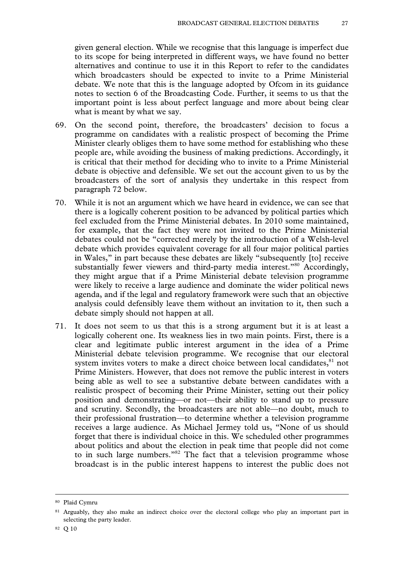given general election. While we recognise that this language is imperfect due to its scope for being interpreted in different ways, we have found no better alternatives and continue to use it in this Report to refer to the candidates which broadcasters should be expected to invite to a Prime Ministerial debate. We note that this is the language adopted by Ofcom in its guidance notes to section 6 of the Broadcasting Code. Further, it seems to us that the important point is less about perfect language and more about being clear what is meant by what we say.

- 69. On the second point, therefore, the broadcasters' decision to focus a programme on candidates with a realistic prospect of becoming the Prime Minister clearly obliges them to have some method for establishing who these people are, while avoiding the business of making predictions. Accordingly, it is critical that their method for deciding who to invite to a Prime Ministerial debate is objective and defensible. We set out the account given to us by the broadcasters of the sort of analysis they undertake in this respect from paragraph 72 below.
- 70. While it is not an argument which we have heard in evidence, we can see that there is a logically coherent position to be advanced by political parties which feel excluded from the Prime Ministerial debates. In 2010 some maintained, for example, that the fact they were not invited to the Prime Ministerial debates could not be "corrected merely by the introduction of a Welsh-level debate which provides equivalent coverage for all four major political parties in Wales," in part because these debates are likely "subsequently [to] receive substantially fewer viewers and third-party media interest."<sup>80</sup> Accordingly, they might argue that if a Prime Ministerial debate television programme were likely to receive a large audience and dominate the wider political news agenda, and if the legal and regulatory framework were such that an objective analysis could defensibly leave them without an invitation to it, then such a debate simply should not happen at all.
- 71. It does not seem to us that this is a strong argument but it is at least a logically coherent one. Its weakness lies in two main points. First, there is a clear and legitimate public interest argument in the idea of a Prime Ministerial debate television programme. We recognise that our electoral system invites voters to make a direct choice between local candidates, <sup>81</sup> not Prime Ministers. However, that does not remove the public interest in voters being able as well to see a substantive debate between candidates with a realistic prospect of becoming their Prime Minister, setting out their policy position and demonstrating—or not—their ability to stand up to pressure and scrutiny. Secondly, the broadcasters are not able—no doubt, much to their professional frustration—to determine whether a television programme receives a large audience. As Michael Jermey told us, "None of us should forget that there is individual choice in this. We scheduled other programmes about politics and about the election in peak time that people did not come to in such large numbers."<sup>82</sup> The fact that a television programme whose broadcast is in the public interest happens to interest the public does not

 <sup>80</sup> Plaid Cymru

<sup>81</sup> Arguably, they also make an indirect choice over the electoral college who play an important part in selecting the party leader.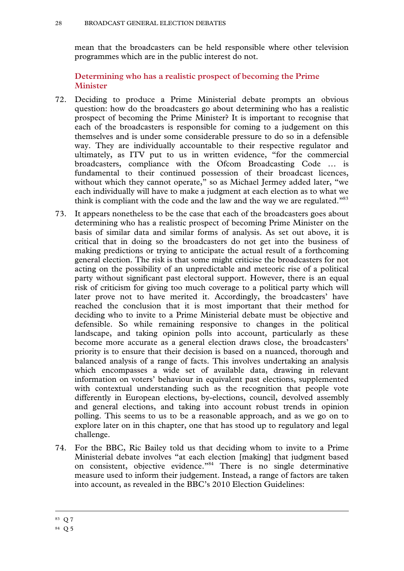mean that the broadcasters can be held responsible where other television programmes which are in the public interest do not.

# **Determining who has a realistic prospect of becoming the Prime Minister**

- 72. Deciding to produce a Prime Ministerial debate prompts an obvious question: how do the broadcasters go about determining who has a realistic prospect of becoming the Prime Minister? It is important to recognise that each of the broadcasters is responsible for coming to a judgement on this themselves and is under some considerable pressure to do so in a defensible way. They are individually accountable to their respective regulator and ultimately, as ITV put to us in written evidence, "for the commercial broadcasters, compliance with the Ofcom Broadcasting Code … is fundamental to their continued possession of their broadcast licences, without which they cannot operate," so as Michael Jermey added later, "we each individually will have to make a judgment at each election as to what we think is compliant with the code and the law and the way we are regulated."<sup>83</sup>
- 73. It appears nonetheless to be the case that each of the broadcasters goes about determining who has a realistic prospect of becoming Prime Minister on the basis of similar data and similar forms of analysis. As set out above, it is critical that in doing so the broadcasters do not get into the business of making predictions or trying to anticipate the actual result of a forthcoming general election. The risk is that some might criticise the broadcasters for not acting on the possibility of an unpredictable and meteoric rise of a political party without significant past electoral support. However, there is an equal risk of criticism for giving too much coverage to a political party which will later prove not to have merited it. Accordingly, the broadcasters' have reached the conclusion that it is most important that their method for deciding who to invite to a Prime Ministerial debate must be objective and defensible. So while remaining responsive to changes in the political landscape, and taking opinion polls into account, particularly as these become more accurate as a general election draws close, the broadcasters' priority is to ensure that their decision is based on a nuanced, thorough and balanced analysis of a range of facts. This involves undertaking an analysis which encompasses a wide set of available data, drawing in relevant information on voters' behaviour in equivalent past elections, supplemented with contextual understanding such as the recognition that people vote differently in European elections, by-elections, council, devolved assembly and general elections, and taking into account robust trends in opinion polling. This seems to us to be a reasonable approach, and as we go on to explore later on in this chapter, one that has stood up to regulatory and legal challenge.
- 74. For the BBC, Ric Bailey told us that deciding whom to invite to a Prime Ministerial debate involves "at each election [making] that judgment based on consistent, objective evidence."84 There is no single determinative measure used to inform their judgement. Instead, a range of factors are taken into account, as revealed in the BBC's 2010 Election Guidelines:

 <sup>83</sup> Q 7

<sup>84</sup> Q 5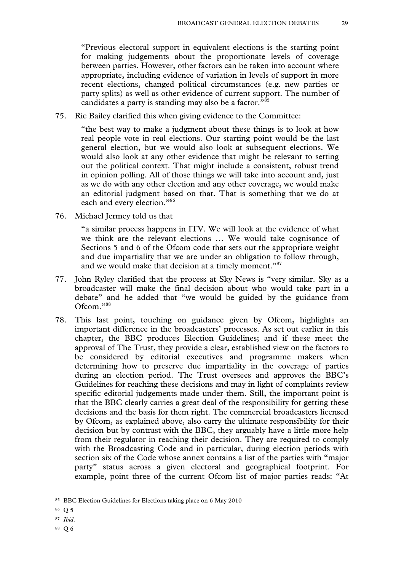"Previous electoral support in equivalent elections is the starting point for making judgements about the proportionate levels of coverage between parties. However, other factors can be taken into account where appropriate, including evidence of variation in levels of support in more recent elections, changed political circumstances (e.g. new parties or party splits) as well as other evidence of current support. The number of candidates a party is standing may also be a factor."<sup>85</sup>

75. Ric Bailey clarified this when giving evidence to the Committee:

"the best way to make a judgment about these things is to look at how real people vote in real elections. Our starting point would be the last general election, but we would also look at subsequent elections. We would also look at any other evidence that might be relevant to setting out the political context. That might include a consistent, robust trend in opinion polling. All of those things we will take into account and, just as we do with any other election and any other coverage, we would make an editorial judgment based on that. That is something that we do at each and every election."<sup>86</sup>

76. Michael Jermey told us that

"a similar process happens in ITV. We will look at the evidence of what we think are the relevant elections … We would take cognisance of Sections 5 and 6 of the Ofcom code that sets out the appropriate weight and due impartiality that we are under an obligation to follow through, and we would make that decision at a timely moment."<sup>87</sup>

- 77. John Ryley clarified that the process at Sky News is "very similar. Sky as a broadcaster will make the final decision about who would take part in a debate" and he added that "we would be guided by the guidance from Ofcom."88
- 78. This last point, touching on guidance given by Ofcom, highlights an important difference in the broadcasters' processes. As set out earlier in this chapter, the BBC produces Election Guidelines; and if these meet the approval of The Trust, they provide a clear, established view on the factors to be considered by editorial executives and programme makers when determining how to preserve due impartiality in the coverage of parties during an election period. The Trust oversees and approves the BBC's Guidelines for reaching these decisions and may in light of complaints review specific editorial judgements made under them. Still, the important point is that the BBC clearly carries a great deal of the responsibility for getting these decisions and the basis for them right. The commercial broadcasters licensed by Ofcom, as explained above, also carry the ultimate responsibility for their decision but by contrast with the BBC, they arguably have a little more help from their regulator in reaching their decision. They are required to comply with the Broadcasting Code and in particular, during election periods with section six of the Code whose annex contains a list of the parties with "major party" status across a given electoral and geographical footprint. For example, point three of the current Ofcom list of major parties reads: "At

- <sup>87</sup> *Ibid*.
- 88 Q 6

 <sup>85</sup> BBC Election Guidelines for Elections taking place on 6 May 2010

<sup>86</sup> Q 5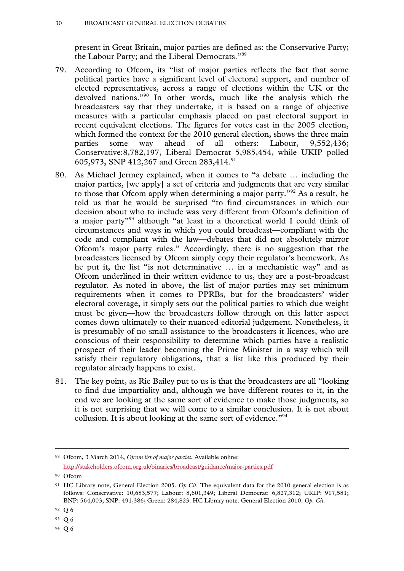present in Great Britain, major parties are defined as: the Conservative Party; the Labour Party; and the Liberal Democrats."89

- 79. According to Ofcom, its "list of major parties reflects the fact that some political parties have a significant level of electoral support, and number of elected representatives, across a range of elections within the UK or the devolved nations."90 In other words, much like the analysis which the broadcasters say that they undertake, it is based on a range of objective measures with a particular emphasis placed on past electoral support in recent equivalent elections. The figures for votes cast in the 2005 election, which formed the context for the 2010 general election, shows the three main parties some way ahead of all others: Labour, 9,552,436; Conservative:8,782,197, Liberal Democrat 5,985,454, while UKIP polled 605,973, SNP 412,267 and Green 283,414.<sup>91</sup>
- 80. As Michael Jermey explained, when it comes to "a debate … including the major parties, [we apply] a set of criteria and judgments that are very similar to those that Ofcom apply when determining a major party."92 As a result, he told us that he would be surprised "to find circumstances in which our decision about who to include was very different from Ofcom's definition of a major party"93 although "at least in a theoretical world I could think of circumstances and ways in which you could broadcast—compliant with the code and compliant with the law—debates that did not absolutely mirror Ofcom's major party rules." Accordingly, there is no suggestion that the broadcasters licensed by Ofcom simply copy their regulator's homework. As he put it, the list "is not determinative … in a mechanistic way" and as Ofcom underlined in their written evidence to us, they are a post-broadcast regulator. As noted in above, the list of major parties may set minimum requirements when it comes to PPRBs, but for the broadcasters' wider electoral coverage, it simply sets out the political parties to which due weight must be given—how the broadcasters follow through on this latter aspect comes down ultimately to their nuanced editorial judgement. Nonetheless, it is presumably of no small assistance to the broadcasters it licences, who are conscious of their responsibility to determine which parties have a realistic prospect of their leader becoming the Prime Minister in a way which will satisfy their regulatory obligations, that a list like this produced by their regulator already happens to exist.
- 81. The key point, as Ric Bailey put to us is that the broadcasters are all "looking to find due impartiality and, although we have different routes to it, in the end we are looking at the same sort of evidence to make those judgments, so it is not surprising that we will come to a similar conclusion. It is not about collusion. It is about looking at the same sort of evidence."<sup>94</sup>

 <sup>89</sup> Ofcom, 3 March 2014, *Ofcom list of major parties.* Available online: http://stakeholders.ofcom.org.uk/binaries/broadcast/guidance/major-parties.pdf

<sup>90</sup> Ofcom

<sup>91</sup> HC Library note, General Election 2005. *Op Cit.* The equivalent data for the 2010 general election is as follows: Conservative: 10,683,577; Labour: 8,601,349; Liberal Democrat: 6,827,312; UKIP: 917,581; BNP: 564,003; SNP: 491,386; Green: 284,823. HC Library note. General Election 2010. *Op. Cit.* 

<sup>92</sup> Q 6

<sup>93</sup> Q 6

<sup>94</sup> Q 6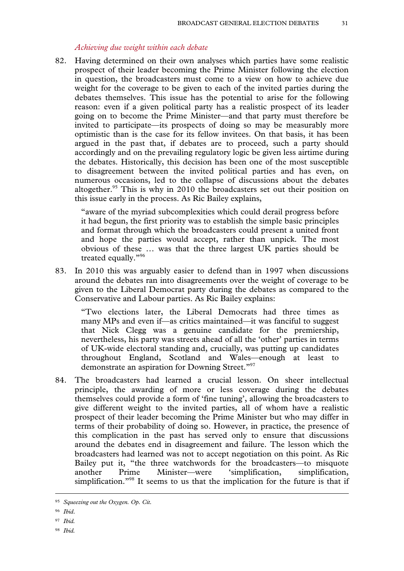#### *Achieving due weight within each debate*

82. Having determined on their own analyses which parties have some realistic prospect of their leader becoming the Prime Minister following the election in question, the broadcasters must come to a view on how to achieve due weight for the coverage to be given to each of the invited parties during the debates themselves. This issue has the potential to arise for the following reason: even if a given political party has a realistic prospect of its leader going on to become the Prime Minister—and that party must therefore be invited to participate—its prospects of doing so may be measurably more optimistic than is the case for its fellow invitees. On that basis, it has been argued in the past that, if debates are to proceed, such a party should accordingly and on the prevailing regulatory logic be given less airtime during the debates. Historically, this decision has been one of the most susceptible to disagreement between the invited political parties and has even, on numerous occasions, led to the collapse of discussions about the debates altogether.<sup>95</sup> This is why in 2010 the broadcasters set out their position on this issue early in the process. As Ric Bailey explains,

"aware of the myriad subcomplexities which could derail progress before it had begun, the first priority was to establish the simple basic principles and format through which the broadcasters could present a united front and hope the parties would accept, rather than unpick. The most obvious of these … was that the three largest UK parties should be treated equally."96

83. In 2010 this was arguably easier to defend than in 1997 when discussions around the debates ran into disagreements over the weight of coverage to be given to the Liberal Democrat party during the debates as compared to the Conservative and Labour parties. As Ric Bailey explains:

"Two elections later, the Liberal Democrats had three times as many MPs and even if—as critics maintained—it was fanciful to suggest that Nick Clegg was a genuine candidate for the premiership, nevertheless, his party was streets ahead of all the 'other' parties in terms of UK-wide electoral standing and, crucially, was putting up candidates throughout England, Scotland and Wales—enough at least to demonstrate an aspiration for Downing Street."97

84. The broadcasters had learned a crucial lesson. On sheer intellectual principle, the awarding of more or less coverage during the debates themselves could provide a form of 'fine tuning', allowing the broadcasters to give different weight to the invited parties, all of whom have a realistic prospect of their leader becoming the Prime Minister but who may differ in terms of their probability of doing so. However, in practice, the presence of this complication in the past has served only to ensure that discussions around the debates end in disagreement and failure. The lesson which the broadcasters had learned was not to accept negotiation on this point. As Ric Bailey put it, "the three watchwords for the broadcasters—to misquote another Prime Minister—were 'simplification, simplification, simplification."<sup>98</sup> It seems to us that the implication for the future is that if

 <sup>95</sup> *Squeezing out the Oxygen. Op. Cit.* 

<sup>96</sup> *Ibid*.

<sup>97</sup> *Ibid.* 

<sup>98</sup> *Ibid.*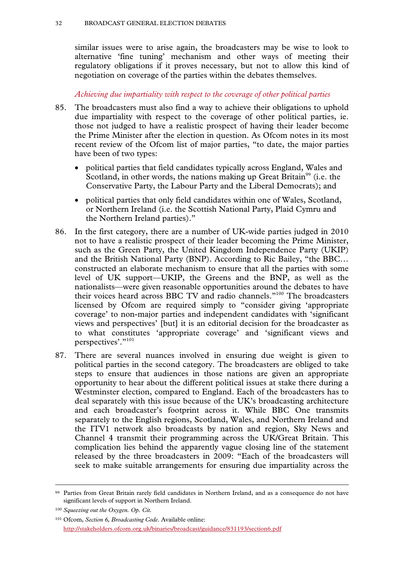similar issues were to arise again, the broadcasters may be wise to look to alternative 'fine tuning' mechanism and other ways of meeting their regulatory obligations if it proves necessary, but not to allow this kind of negotiation on coverage of the parties within the debates themselves.

#### *Achieving due impartiality with respect to the coverage of other political parties*

- 85. The broadcasters must also find a way to achieve their obligations to uphold due impartiality with respect to the coverage of other political parties, ie. those not judged to have a realistic prospect of having their leader become the Prime Minister after the election in question. As Ofcom notes in its most recent review of the Ofcom list of major parties, "to date, the major parties have been of two types:
	- political parties that field candidates typically across England, Wales and Scotland, in other words, the nations making up Great Britain<sup>99</sup> (i.e. the Conservative Party, the Labour Party and the Liberal Democrats); and
	- political parties that only field candidates within one of Wales, Scotland, or Northern Ireland (i.e. the Scottish National Party, Plaid Cymru and the Northern Ireland parties)."
- 86. In the first category, there are a number of UK-wide parties judged in 2010 not to have a realistic prospect of their leader becoming the Prime Minister, such as the Green Party, the United Kingdom Independence Party (UKIP) and the British National Party (BNP). According to Ric Bailey, "the BBC… constructed an elaborate mechanism to ensure that all the parties with some level of UK support—UKIP, the Greens and the BNP, as well as the nationalists—were given reasonable opportunities around the debates to have their voices heard across BBC TV and radio channels."<sup>100</sup> The broadcasters licensed by Ofcom are required simply to "consider giving 'appropriate coverage' to non-major parties and independent candidates with 'significant views and perspectives' [but] it is an editorial decision for the broadcaster as to what constitutes 'appropriate coverage' and 'significant views and perspectives'."101
- 87. There are several nuances involved in ensuring due weight is given to political parties in the second category. The broadcasters are obliged to take steps to ensure that audiences in those nations are given an appropriate opportunity to hear about the different political issues at stake there during a Westminster election, compared to England. Each of the broadcasters has to deal separately with this issue because of the UK's broadcasting architecture and each broadcaster's footprint across it. While BBC One transmits separately to the English regions, Scotland, Wales, and Northern Ireland and the ITV1 network also broadcasts by nation and region, Sky News and Channel 4 transmit their programming across the UK/Great Britain. This complication lies behind the apparently vague closing line of the statement released by the three broadcasters in 2009: "Each of the broadcasters will seek to make suitable arrangements for ensuring due impartiality across the

 <sup>99</sup> Parties from Great Britain rarely field candidates in Northern Ireland, and as a consequence do not have significant levels of support in Northern Ireland.

<sup>100</sup> *Squeezing out the Oxygen. Op. Cit.*

<sup>101</sup> Ofcom, *Section 6, Broadcasting Code*. Available online: http://stakeholders.ofcom.org.uk/binaries/broadcast/guidance/831193/section6.pdf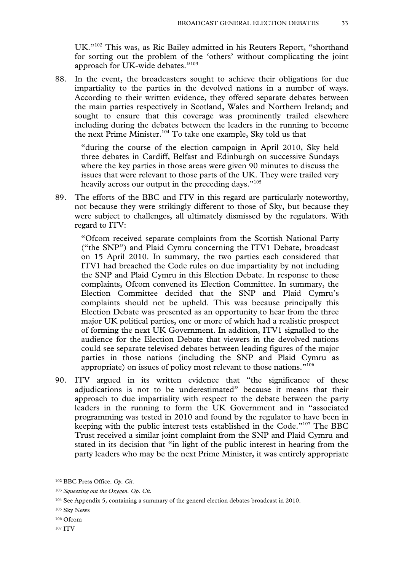UK."102 This was, as Ric Bailey admitted in his Reuters Report, "shorthand for sorting out the problem of the 'others' without complicating the joint approach for UK-wide debates."103

88. In the event, the broadcasters sought to achieve their obligations for due impartiality to the parties in the devolved nations in a number of ways. According to their written evidence, they offered separate debates between the main parties respectively in Scotland, Wales and Northern Ireland; and sought to ensure that this coverage was prominently trailed elsewhere including during the debates between the leaders in the running to become the next Prime Minister.<sup>104</sup> To take one example, Sky told us that

"during the course of the election campaign in April 2010, Sky held three debates in Cardiff, Belfast and Edinburgh on successive Sundays where the key parties in those areas were given 90 minutes to discuss the issues that were relevant to those parts of the UK. They were trailed very heavily across our output in the preceding days."<sup>105</sup>

89. The efforts of the BBC and ITV in this regard are particularly noteworthy, not because they were strikingly different to those of Sky, but because they were subject to challenges, all ultimately dismissed by the regulators. With regard to ITV:

"Ofcom received separate complaints from the Scottish National Party ("the SNP") and Plaid Cymru concerning the ITV1 Debate, broadcast on 15 April 2010. In summary, the two parties each considered that ITV1 had breached the Code rules on due impartiality by not including the SNP and Plaid Cymru in this Election Debate. In response to these complaints, Ofcom convened its Election Committee. In summary, the Election Committee decided that the SNP and Plaid Cymru's complaints should not be upheld. This was because principally this Election Debate was presented as an opportunity to hear from the three major UK political parties, one or more of which had a realistic prospect of forming the next UK Government. In addition, ITV1 signalled to the audience for the Election Debate that viewers in the devolved nations could see separate televised debates between leading figures of the major parties in those nations (including the SNP and Plaid Cymru as appropriate) on issues of policy most relevant to those nations."106

90. ITV argued in its written evidence that "the significance of these adjudications is not to be underestimated" because it means that their approach to due impartiality with respect to the debate between the party leaders in the running to form the UK Government and in "associated programming was tested in 2010 and found by the regulator to have been in keeping with the public interest tests established in the Code."107 The BBC Trust received a similar joint complaint from the SNP and Plaid Cymru and stated in its decision that "in light of the public interest in hearing from the party leaders who may be the next Prime Minister, it was entirely appropriate

107 ITV

 <sup>102</sup> BBC Press Office. *Op. Cit.* 

<sup>103</sup> *Squeezing out the Oxygen. Op. Cit.*

<sup>104</sup> See Appendix 5, containing a summary of the general election debates broadcast in 2010.

<sup>105</sup> Sky News

<sup>106</sup> Ofcom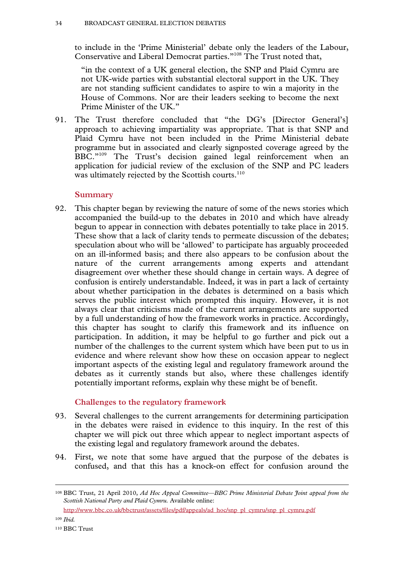to include in the 'Prime Ministerial' debate only the leaders of the Labour, Conservative and Liberal Democrat parties."108 The Trust noted that,

"in the context of a UK general election, the SNP and Plaid Cymru are not UK-wide parties with substantial electoral support in the UK. They are not standing sufficient candidates to aspire to win a majority in the House of Commons. Nor are their leaders seeking to become the next Prime Minister of the UK."

91. The Trust therefore concluded that "the DG's [Director General's] approach to achieving impartiality was appropriate. That is that SNP and Plaid Cymru have not been included in the Prime Ministerial debate programme but in associated and clearly signposted coverage agreed by the BBC."<sup>109</sup> The Trust's decision gained legal reinforcement when an application for judicial review of the exclusion of the SNP and PC leaders was ultimately rejected by the Scottish courts.<sup>110</sup>

#### **Summary**

92. This chapter began by reviewing the nature of some of the news stories which accompanied the build-up to the debates in 2010 and which have already begun to appear in connection with debates potentially to take place in 2015. These show that a lack of clarity tends to permeate discussion of the debates; speculation about who will be 'allowed' to participate has arguably proceeded on an ill-informed basis; and there also appears to be confusion about the nature of the current arrangements among experts and attendant disagreement over whether these should change in certain ways. A degree of confusion is entirely understandable. Indeed, it was in part a lack of certainty about whether participation in the debates is determined on a basis which serves the public interest which prompted this inquiry. However, it is not always clear that criticisms made of the current arrangements are supported by a full understanding of how the framework works in practice. Accordingly, this chapter has sought to clarify this framework and its influence on participation. In addition, it may be helpful to go further and pick out a number of the challenges to the current system which have been put to us in evidence and where relevant show how these on occasion appear to neglect important aspects of the existing legal and regulatory framework around the debates as it currently stands but also, where these challenges identify potentially important reforms, explain why these might be of benefit.

# **Challenges to the regulatory framework**

- 93. Several challenges to the current arrangements for determining participation in the debates were raised in evidence to this inquiry. In the rest of this chapter we will pick out three which appear to neglect important aspects of the existing legal and regulatory framework around the debates.
- 94. First, we note that some have argued that the purpose of the debates is confused, and that this has a knock-on effect for confusion around the

http://www.bbc.co.uk/bbctrust/assets/files/pdf/appeals/ad\_hoc/snp\_pl\_cymru/snp\_pl\_cymru.pdf

<sup>109</sup> *Ibid.*

 <sup>108</sup> BBC Trust, 21 April 2010, *Ad Hoc Appeal Committee—BBC Prime Ministerial Debate Joint appeal from the Scottish National Party and Plaid Cymru.* Available online: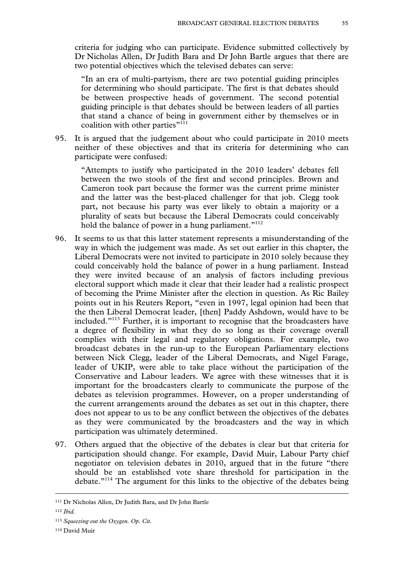criteria for judging who can participate. Evidence submitted collectively by Dr Nicholas Allen, Dr Judith Bara and Dr John Bartle argues that there are two potential objectives which the televised debates can serve:

"In an era of multi-partyism, there are two potential guiding principles for determining who should participate. The first is that debates should be between prospective heads of government. The second potential guiding principle is that debates should be between leaders of all parties that stand a chance of being in government either by themselves or in coalition with other parties"<sup>111</sup>

95. It is argued that the judgement about who could participate in 2010 meets neither of these objectives and that its criteria for determining who can participate were confused:

"Attempts to justify who participated in the 2010 leaders' debates fell between the two stools of the first and second principles. Brown and Cameron took part because the former was the current prime minister and the latter was the best-placed challenger for that job. Clegg took part, not because his party was ever likely to obtain a majority or a plurality of seats but because the Liberal Democrats could conceivably hold the balance of power in a hung parliament."<sup>112</sup>

- 96. It seems to us that this latter statement represents a misunderstanding of the way in which the judgement was made. As set out earlier in this chapter, the Liberal Democrats were not invited to participate in 2010 solely because they could conceivably hold the balance of power in a hung parliament. Instead they were invited because of an analysis of factors including previous electoral support which made it clear that their leader had a realistic prospect of becoming the Prime Minister after the election in question. As Ric Bailey points out in his Reuters Report, "even in 1997, legal opinion had been that the then Liberal Democrat leader, [then] Paddy Ashdown, would have to be included."113 Further, it is important to recognise that the broadcasters have a degree of flexibility in what they do so long as their coverage overall complies with their legal and regulatory obligations. For example, two broadcast debates in the run-up to the European Parliamentary elections between Nick Clegg, leader of the Liberal Democrats, and Nigel Farage, leader of UKIP, were able to take place without the participation of the Conservative and Labour leaders. We agree with these witnesses that it is important for the broadcasters clearly to communicate the purpose of the debates as television programmes. However, on a proper understanding of the current arrangements around the debates as set out in this chapter, there does not appear to us to be any conflict between the objectives of the debates as they were communicated by the broadcasters and the way in which participation was ultimately determined.
- 97. Others argued that the objective of the debates is clear but that criteria for participation should change. For example, David Muir, Labour Party chief negotiator on television debates in 2010, argued that in the future "there should be an established vote share threshold for participation in the debate."114 The argument for this links to the objective of the debates being

 <sup>111</sup> Dr Nicholas Allen, Dr Judith Bara, and Dr John Bartle

<sup>112</sup> *Ibid.*

<sup>113</sup> *Squeezing out the Oxygen. Op. Cit.*

<sup>114</sup> David Muir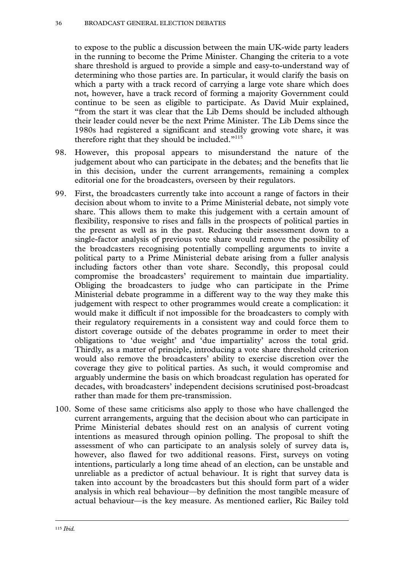to expose to the public a discussion between the main UK-wide party leaders in the running to become the Prime Minister. Changing the criteria to a vote share threshold is argued to provide a simple and easy-to-understand way of determining who those parties are. In particular, it would clarify the basis on which a party with a track record of carrying a large vote share which does not, however, have a track record of forming a majority Government could continue to be seen as eligible to participate. As David Muir explained, "from the start it was clear that the Lib Dems should be included although their leader could never be the next Prime Minister. The Lib Dems since the 1980s had registered a significant and steadily growing vote share, it was therefore right that they should be included. $"$ <sup>115</sup>

- 98. However, this proposal appears to misunderstand the nature of the judgement about who can participate in the debates; and the benefits that lie in this decision, under the current arrangements, remaining a complex editorial one for the broadcasters, overseen by their regulators.
- 99. First, the broadcasters currently take into account a range of factors in their decision about whom to invite to a Prime Ministerial debate, not simply vote share. This allows them to make this judgement with a certain amount of flexibility, responsive to rises and falls in the prospects of political parties in the present as well as in the past. Reducing their assessment down to a single-factor analysis of previous vote share would remove the possibility of the broadcasters recognising potentially compelling arguments to invite a political party to a Prime Ministerial debate arising from a fuller analysis including factors other than vote share. Secondly, this proposal could compromise the broadcasters' requirement to maintain due impartiality. Obliging the broadcasters to judge who can participate in the Prime Ministerial debate programme in a different way to the way they make this judgement with respect to other programmes would create a complication: it would make it difficult if not impossible for the broadcasters to comply with their regulatory requirements in a consistent way and could force them to distort coverage outside of the debates programme in order to meet their obligations to 'due weight' and 'due impartiality' across the total grid. Thirdly, as a matter of principle, introducing a vote share threshold criterion would also remove the broadcasters' ability to exercise discretion over the coverage they give to political parties. As such, it would compromise and arguably undermine the basis on which broadcast regulation has operated for decades, with broadcasters' independent decisions scrutinised post-broadcast rather than made for them pre-transmission.
- 100. Some of these same criticisms also apply to those who have challenged the current arrangements, arguing that the decision about who can participate in Prime Ministerial debates should rest on an analysis of current voting intentions as measured through opinion polling. The proposal to shift the assessment of who can participate to an analysis solely of survey data is, however, also flawed for two additional reasons. First, surveys on voting intentions, particularly a long time ahead of an election, can be unstable and unreliable as a predictor of actual behaviour. It is right that survey data is taken into account by the broadcasters but this should form part of a wider analysis in which real behaviour—by definition the most tangible measure of actual behaviour—is the key measure. As mentioned earlier, Ric Bailey told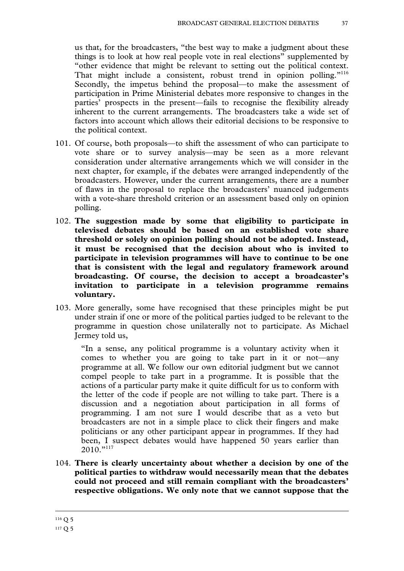us that, for the broadcasters, "the best way to make a judgment about these things is to look at how real people vote in real elections" supplemented by "other evidence that might be relevant to setting out the political context. That might include a consistent, robust trend in opinion polling."<sup>116</sup> Secondly, the impetus behind the proposal—to make the assessment of participation in Prime Ministerial debates more responsive to changes in the parties' prospects in the present—fails to recognise the flexibility already inherent to the current arrangements. The broadcasters take a wide set of factors into account which allows their editorial decisions to be responsive to the political context.

- 101. Of course, both proposals—to shift the assessment of who can participate to vote share or to survey analysis—may be seen as a more relevant consideration under alternative arrangements which we will consider in the next chapter, for example, if the debates were arranged independently of the broadcasters. However, under the current arrangements, there are a number of flaws in the proposal to replace the broadcasters' nuanced judgements with a vote-share threshold criterion or an assessment based only on opinion polling.
- 102. **The suggestion made by some that eligibility to participate in televised debates should be based on an established vote share threshold or solely on opinion polling should not be adopted. Instead, it must be recognised that the decision about who is invited to participate in television programmes will have to continue to be one that is consistent with the legal and regulatory framework around broadcasting. Of course, the decision to accept a broadcaster's invitation to participate in a television programme remains voluntary.**
- 103. More generally, some have recognised that these principles might be put under strain if one or more of the political parties judged to be relevant to the programme in question chose unilaterally not to participate. As Michael Jermey told us,

"In a sense, any political programme is a voluntary activity when it comes to whether you are going to take part in it or not—any programme at all. We follow our own editorial judgment but we cannot compel people to take part in a programme. It is possible that the actions of a particular party make it quite difficult for us to conform with the letter of the code if people are not willing to take part. There is a discussion and a negotiation about participation in all forms of programming. I am not sure I would describe that as a veto but broadcasters are not in a simple place to click their fingers and make politicians or any other participant appear in programmes. If they had been, I suspect debates would have happened 50 years earlier than  $2010.^{"""""$ 

104. **There is clearly uncertainty about whether a decision by one of the political parties to withdraw would necessarily mean that the debates could not proceed and still remain compliant with the broadcasters' respective obligations. We only note that we cannot suppose that the**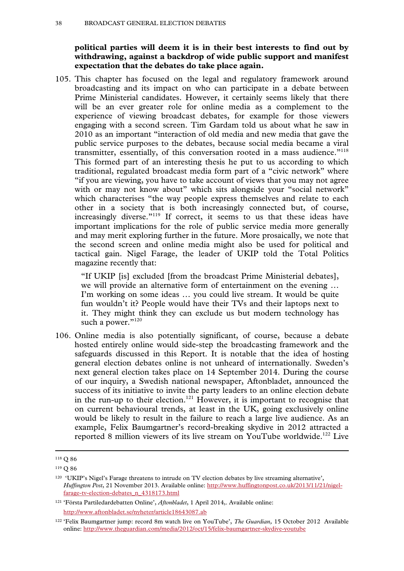**political parties will deem it is in their best interests to find out by withdrawing, against a backdrop of wide public support and manifest expectation that the debates do take place again.**

105. This chapter has focused on the legal and regulatory framework around broadcasting and its impact on who can participate in a debate between Prime Ministerial candidates. However, it certainly seems likely that there will be an ever greater role for online media as a complement to the experience of viewing broadcast debates, for example for those viewers engaging with a second screen. Tim Gardam told us about what he saw in 2010 as an important "interaction of old media and new media that gave the public service purposes to the debates, because social media became a viral transmitter, essentially, of this conversation rooted in a mass audience."<sup>118</sup> This formed part of an interesting thesis he put to us according to which traditional, regulated broadcast media form part of a "civic network" where "if you are viewing, you have to take account of views that you may not agree with or may not know about" which sits alongside your "social network" which characterises "the way people express themselves and relate to each other in a society that is both increasingly connected but, of course, increasingly diverse."<sup>119</sup> If correct, it seems to us that these ideas have important implications for the role of public service media more generally and may merit exploring further in the future. More prosaically, we note that the second screen and online media might also be used for political and tactical gain. Nigel Farage, the leader of UKIP told the Total Politics magazine recently that:

"If UKIP [is] excluded [from the broadcast Prime Ministerial debates], we will provide an alternative form of entertainment on the evening … I'm working on some ideas … you could live stream. It would be quite fun wouldn't it? People would have their TVs and their laptops next to it. They might think they can exclude us but modern technology has such a power."120

106. Online media is also potentially significant, of course, because a debate hosted entirely online would side-step the broadcasting framework and the safeguards discussed in this Report. It is notable that the idea of hosting general election debates online is not unheard of internationally. Sweden's next general election takes place on 14 September 2014. During the course of our inquiry, a Swedish national newspaper, Aftonbladet, announced the success of its initiative to invite the party leaders to an online election debate in the run-up to their election.<sup>121</sup> However, it is important to recognise that on current behavioural trends, at least in the UK, going exclusively online would be likely to result in the failure to reach a large live audience. As an example, Felix Baumgartner's record-breaking skydive in 2012 attracted a reported 8 million viewers of its live stream on YouTube worldwide.<sup>122</sup> Live

 <sup>118</sup> Q 86

<sup>119</sup> Q 86

<sup>120 &#</sup>x27;UKIP's Nigel's Farage threatens to intrude on TV election debates by live streaming alternative', *Huffington Post*, 21 November 2013. Available online: http://www.huffingtonpost.co.uk/2013/11/21/nigelfarage-tv-election-debates\_n\_4318173.html

<sup>121 &#</sup>x27;Första Partiledardebatten Online', *Aftonbladet*, 1 April 2014,. Available online: http://www.aftonbladet.se/nyheter/article18643087.ab

<sup>122 &#</sup>x27;Felix Baumgartner jump: record 8m watch live on YouTube', *The Guardian,* 15 October 2012 Available online: http://www.theguardian.com/media/2012/oct/15/felix-baumgartner-skydive-youtube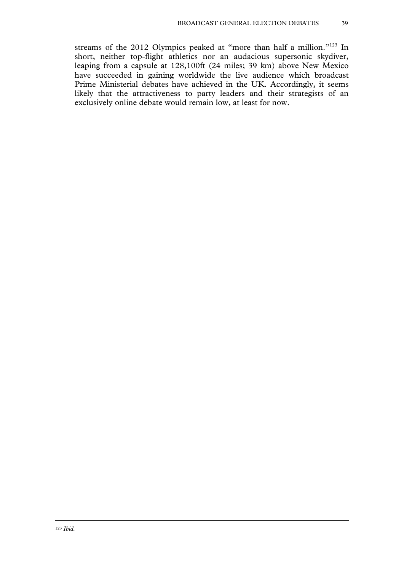streams of the 2012 Olympics peaked at "more than half a million."<sup>123</sup> In short, neither top-flight athletics nor an audacious supersonic skydiver, leaping from a capsule at 128,100ft (24 miles; 39 km) above New Mexico have succeeded in gaining worldwide the live audience which broadcast Prime Ministerial debates have achieved in the UK. Accordingly, it seems likely that the attractiveness to party leaders and their strategists of an exclusively online debate would remain low, at least for now.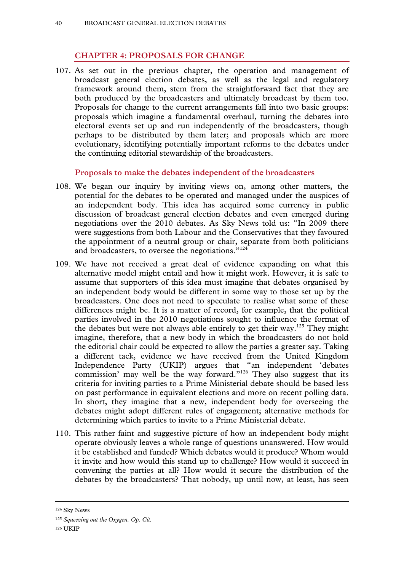## **CHAPTER 4: PROPOSALS FOR CHANGE**

107. As set out in the previous chapter, the operation and management of broadcast general election debates, as well as the legal and regulatory framework around them, stem from the straightforward fact that they are both produced by the broadcasters and ultimately broadcast by them too. Proposals for change to the current arrangements fall into two basic groups: proposals which imagine a fundamental overhaul, turning the debates into electoral events set up and run independently of the broadcasters, though perhaps to be distributed by them later; and proposals which are more evolutionary, identifying potentially important reforms to the debates under the continuing editorial stewardship of the broadcasters.

#### **Proposals to make the debates independent of the broadcasters**

- 108. We began our inquiry by inviting views on, among other matters, the potential for the debates to be operated and managed under the auspices of an independent body. This idea has acquired some currency in public discussion of broadcast general election debates and even emerged during negotiations over the 2010 debates. As Sky News told us: "In 2009 there were suggestions from both Labour and the Conservatives that they favoured the appointment of a neutral group or chair, separate from both politicians and broadcasters, to oversee the negotiations."<sup>124</sup>
- 109. We have not received a great deal of evidence expanding on what this alternative model might entail and how it might work. However, it is safe to assume that supporters of this idea must imagine that debates organised by an independent body would be different in some way to those set up by the broadcasters. One does not need to speculate to realise what some of these differences might be. It is a matter of record, for example, that the political parties involved in the 2010 negotiations sought to influence the format of the debates but were not always able entirely to get their way.<sup>125</sup> They might imagine, therefore, that a new body in which the broadcasters do not hold the editorial chair could be expected to allow the parties a greater say. Taking a different tack, evidence we have received from the United Kingdom Independence Party (UKIP) argues that "an independent 'debates commission' may well be the way forward."126 They also suggest that its criteria for inviting parties to a Prime Ministerial debate should be based less on past performance in equivalent elections and more on recent polling data. In short, they imagine that a new, independent body for overseeing the debates might adopt different rules of engagement; alternative methods for determining which parties to invite to a Prime Ministerial debate.
- 110. This rather faint and suggestive picture of how an independent body might operate obviously leaves a whole range of questions unanswered. How would it be established and funded? Which debates would it produce? Whom would it invite and how would this stand up to challenge? How would it succeed in convening the parties at all? How would it secure the distribution of the debates by the broadcasters? That nobody, up until now, at least, has seen

 <sup>124</sup> Sky News

<sup>125</sup> *Squeezing out the Oxygen. Op. Cit.*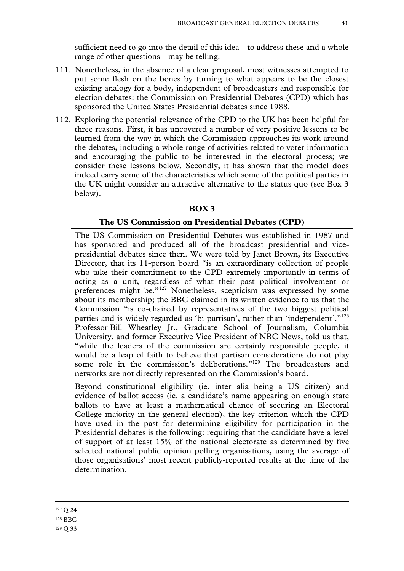sufficient need to go into the detail of this idea—to address these and a whole range of other questions—may be telling.

- 111. Nonetheless, in the absence of a clear proposal, most witnesses attempted to put some flesh on the bones by turning to what appears to be the closest existing analogy for a body, independent of broadcasters and responsible for election debates: the Commission on Presidential Debates (CPD) which has sponsored the United States Presidential debates since 1988.
- 112. Exploring the potential relevance of the CPD to the UK has been helpful for three reasons. First, it has uncovered a number of very positive lessons to be learned from the way in which the Commission approaches its work around the debates, including a whole range of activities related to voter information and encouraging the public to be interested in the electoral process; we consider these lessons below. Secondly, it has shown that the model does indeed carry some of the characteristics which some of the political parties in the UK might consider an attractive alternative to the status quo (see Box 3 below).

#### **BOX 3**

#### **The US Commission on Presidential Debates (CPD)**

The US Commission on Presidential Debates was established in 1987 and has sponsored and produced all of the broadcast presidential and vicepresidential debates since then. We were told by Janet Brown, its Executive Director, that its 11-person board "is an extraordinary collection of people who take their commitment to the CPD extremely importantly in terms of acting as a unit, regardless of what their past political involvement or preferences might be."<sup>127</sup> Nonetheless, scepticism was expressed by some about its membership; the BBC claimed in its written evidence to us that the Commission "is co-chaired by representatives of the two biggest political parties and is widely regarded as 'bi-partisan', rather than 'independent'."128 Professor Bill Wheatley Jr., Graduate School of Journalism, Columbia University, and former Executive Vice President of NBC News, told us that, "while the leaders of the commission are certainly responsible people, it would be a leap of faith to believe that partisan considerations do not play some role in the commission's deliberations."<sup>129</sup> The broadcasters and networks are not directly represented on the Commission's board.

Beyond constitutional eligibility (ie. inter alia being a US citizen) and evidence of ballot access (ie. a candidate's name appearing on enough state ballots to have at least a mathematical chance of securing an Electoral College majority in the general election), the key criterion which the CPD have used in the past for determining eligibility for participation in the Presidential debates is the following: requiring that the candidate have a level of support of at least 15% of the national electorate as determined by five selected national public opinion polling organisations, using the average of those organisations' most recent publicly-reported results at the time of the determination.

#### 127 Q 24

<sup>128</sup> BBC

<sup>129</sup> Q 33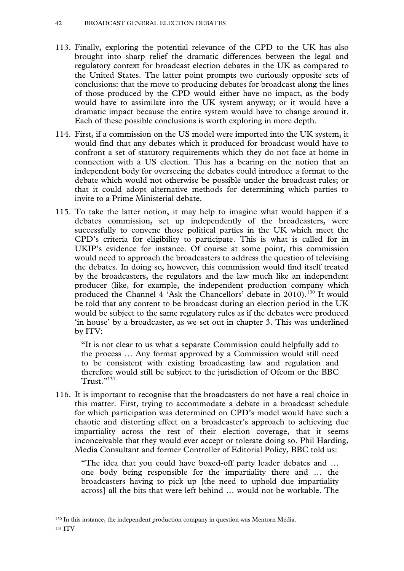- 113. Finally, exploring the potential relevance of the CPD to the UK has also brought into sharp relief the dramatic differences between the legal and regulatory context for broadcast election debates in the UK as compared to the United States. The latter point prompts two curiously opposite sets of conclusions: that the move to producing debates for broadcast along the lines of those produced by the CPD would either have no impact, as the body would have to assimilate into the UK system anyway; or it would have a dramatic impact because the entire system would have to change around it. Each of these possible conclusions is worth exploring in more depth.
- 114. First, if a commission on the US model were imported into the UK system, it would find that any debates which it produced for broadcast would have to confront a set of statutory requirements which they do not face at home in connection with a US election. This has a bearing on the notion that an independent body for overseeing the debates could introduce a format to the debate which would not otherwise be possible under the broadcast rules; or that it could adopt alternative methods for determining which parties to invite to a Prime Ministerial debate.
- 115. To take the latter notion, it may help to imagine what would happen if a debates commission, set up independently of the broadcasters, were successfully to convene those political parties in the UK which meet the CPD's criteria for eligibility to participate. This is what is called for in UKIP's evidence for instance. Of course at some point, this commission would need to approach the broadcasters to address the question of televising the debates. In doing so, however, this commission would find itself treated by the broadcasters, the regulators and the law much like an independent producer (like, for example, the independent production company which produced the Channel 4 'Ask the Chancellors' debate in 2010).<sup>130</sup> It would be told that any content to be broadcast during an election period in the UK would be subject to the same regulatory rules as if the debates were produced 'in house' by a broadcaster, as we set out in chapter 3. This was underlined by ITV:

"It is not clear to us what a separate Commission could helpfully add to the process … Any format approved by a Commission would still need to be consistent with existing broadcasting law and regulation and therefore would still be subject to the jurisdiction of Ofcom or the BBC Trust."131

116. It is important to recognise that the broadcasters do not have a real choice in this matter. First, trying to accommodate a debate in a broadcast schedule for which participation was determined on CPD's model would have such a chaotic and distorting effect on a broadcaster's approach to achieving due impartiality across the rest of their election coverage, that it seems inconceivable that they would ever accept or tolerate doing so. Phil Harding, Media Consultant and former Controller of Editorial Policy, BBC told us:

"The idea that you could have boxed-off party leader debates and … one body being responsible for the impartiality there and … the broadcasters having to pick up [the need to uphold due impartiality across] all the bits that were left behind … would not be workable. The

 <sup>130</sup> In this instance, the independent production company in question was Mentorn Media. 131 ITV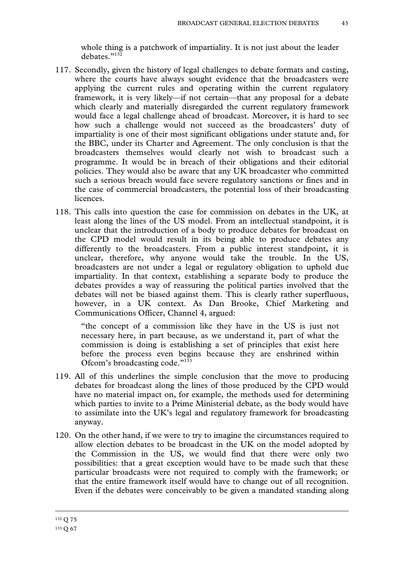whole thing is a patchwork of impartiality. It is not just about the leader debates."<sup>132</sup>

- 117. Secondly, given the history of legal challenges to debate formats and casting, where the courts have always sought evidence that the broadcasters were applying the current rules and operating within the current regulatory framework, it is very likely—if not certain—that any proposal for a debate which clearly and materially disregarded the current regulatory framework would face a legal challenge ahead of broadcast. Moreover, it is hard to see how such a challenge would not succeed as the broadcasters' duty of impartiality is one of their most significant obligations under statute and, for the BBC, under its Charter and Agreement. The only conclusion is that the broadcasters themselves would clearly not wish to broadcast such a programme. It would be in breach of their obligations and their editorial policies. They would also be aware that any UK broadcaster who committed such a serious breach would face severe regulatory sanctions or fines and in the case of commercial broadcasters, the potential loss of their broadcasting licences.
- 118. This calls into question the case for commission on debates in the UK, at least along the lines of the US model. From an intellectual standpoint, it is unclear that the introduction of a body to produce debates for broadcast on the CPD model would result in its being able to produce debates any differently to the broadcasters. From a public interest standpoint, it is unclear, therefore, why anyone would take the trouble. In the US, broadcasters are not under a legal or regulatory obligation to uphold due impartiality. In that context, establishing a separate body to produce the debates provides a way of reassuring the political parties involved that the debates will not be biased against them. This is clearly rather superfluous, however, in a UK context. As Dan Brooke, Chief Marketing and Communications Officer, Channel 4, argued:

"the concept of a commission like they have in the US is just not necessary here, in part because, as we understand it, part of what the commission is doing is establishing a set of principles that exist here before the process even begins because they are enshrined within Ofcom's broadcasting code."133

- 119. All of this underlines the simple conclusion that the move to producing debates for broadcast along the lines of those produced by the CPD would have no material impact on, for example, the methods used for determining which parties to invite to a Prime Ministerial debate, as the body would have to assimilate into the UK's legal and regulatory framework for broadcasting anyway.
- 120. On the other hand, if we were to try to imagine the circumstances required to allow election debates to be broadcast in the UK on the model adopted by the Commission in the US, we would find that there were only two possibilities: that a great exception would have to be made such that these particular broadcasts were not required to comply with the framework; or that the entire framework itself would have to change out of all recognition. Even if the debates were conceivably to be given a mandated standing along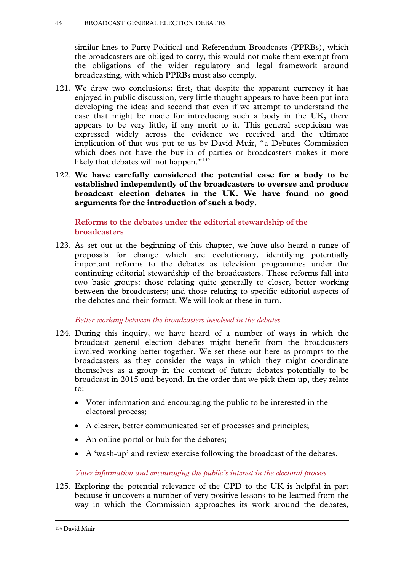similar lines to Party Political and Referendum Broadcasts (PPRBs), which the broadcasters are obliged to carry, this would not make them exempt from the obligations of the wider regulatory and legal framework around broadcasting, with which PPRBs must also comply.

- 121. We draw two conclusions: first, that despite the apparent currency it has enjoyed in public discussion, very little thought appears to have been put into developing the idea; and second that even if we attempt to understand the case that might be made for introducing such a body in the UK, there appears to be very little, if any merit to it. This general scepticism was expressed widely across the evidence we received and the ultimate implication of that was put to us by David Muir, "a Debates Commission which does not have the buy-in of parties or broadcasters makes it more likely that debates will not happen."<sup>134</sup>
- 122. **We have carefully considered the potential case for a body to be established independently of the broadcasters to oversee and produce broadcast election debates in the UK. We have found no good arguments for the introduction of such a body.**

**Reforms to the debates under the editorial stewardship of the broadcasters** 

123. As set out at the beginning of this chapter, we have also heard a range of proposals for change which are evolutionary, identifying potentially important reforms to the debates as television programmes under the continuing editorial stewardship of the broadcasters. These reforms fall into two basic groups: those relating quite generally to closer, better working between the broadcasters; and those relating to specific editorial aspects of the debates and their format. We will look at these in turn.

## *Better working between the broadcasters involved in the debates*

- 124. During this inquiry, we have heard of a number of ways in which the broadcast general election debates might benefit from the broadcasters involved working better together. We set these out here as prompts to the broadcasters as they consider the ways in which they might coordinate themselves as a group in the context of future debates potentially to be broadcast in 2015 and beyond. In the order that we pick them up, they relate to:
	- Voter information and encouraging the public to be interested in the electoral process;
	- A clearer, better communicated set of processes and principles;
	- An online portal or hub for the debates;
	- A 'wash-up' and review exercise following the broadcast of the debates.

## *Voter information and encouraging the public's interest in the electoral process*

125. Exploring the potential relevance of the CPD to the UK is helpful in part because it uncovers a number of very positive lessons to be learned from the way in which the Commission approaches its work around the debates,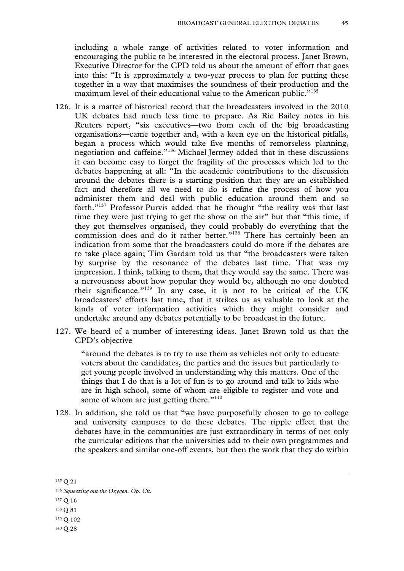including a whole range of activities related to voter information and encouraging the public to be interested in the electoral process. Janet Brown, Executive Director for the CPD told us about the amount of effort that goes into this: "It is approximately a two-year process to plan for putting these together in a way that maximises the soundness of their production and the maximum level of their educational value to the American public."<sup>135</sup>

- 126. It is a matter of historical record that the broadcasters involved in the 2010 UK debates had much less time to prepare. As Ric Bailey notes in his Reuters report, "six executives—two from each of the big broadcasting organisations—came together and, with a keen eye on the historical pitfalls, began a process which would take five months of remorseless planning, negotiation and caffeine."136 Michael Jermey added that in these discussions it can become easy to forget the fragility of the processes which led to the debates happening at all: "In the academic contributions to the discussion around the debates there is a starting position that they are an established fact and therefore all we need to do is refine the process of how you administer them and deal with public education around them and so forth."137 Professor Purvis added that he thought "the reality was that last time they were just trying to get the show on the air" but that "this time, if they got themselves organised, they could probably do everything that the commission does and do it rather better."<sup>138</sup> There has certainly been an indication from some that the broadcasters could do more if the debates are to take place again; Tim Gardam told us that "the broadcasters were taken by surprise by the resonance of the debates last time. That was my impression. I think, talking to them, that they would say the same. There was a nervousness about how popular they would be, although no one doubted their significance."139 In any case, it is not to be critical of the UK broadcasters' efforts last time, that it strikes us as valuable to look at the kinds of voter information activities which they might consider and undertake around any debates potentially to be broadcast in the future.
- 127. We heard of a number of interesting ideas. Janet Brown told us that the CPD's objective

"around the debates is to try to use them as vehicles not only to educate voters about the candidates, the parties and the issues but particularly to get young people involved in understanding why this matters. One of the things that I do that is a lot of fun is to go around and talk to kids who are in high school, some of whom are eligible to register and vote and some of whom are just getting there. $"$ <sup>140</sup>

128. In addition, she told us that "we have purposefully chosen to go to college and university campuses to do these debates. The ripple effect that the debates have in the communities are just extraordinary in terms of not only the curricular editions that the universities add to their own programmes and the speakers and similar one-off events, but then the work that they do within

 <sup>135</sup> Q 21

<sup>136</sup> *Squeezing out the Oxygen. Op. Cit.*

<sup>137</sup> Q 16

<sup>138</sup> Q 81

<sup>139</sup> Q 102

<sup>140</sup> Q 28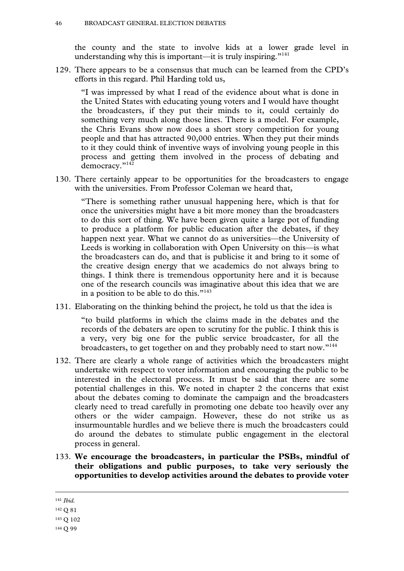the county and the state to involve kids at a lower grade level in understanding why this is important—it is truly inspiring."<sup>141</sup>

129. There appears to be a consensus that much can be learned from the CPD's efforts in this regard. Phil Harding told us,

"I was impressed by what I read of the evidence about what is done in the United States with educating young voters and I would have thought the broadcasters, if they put their minds to it, could certainly do something very much along those lines. There is a model. For example, the Chris Evans show now does a short story competition for young people and that has attracted 90,000 entries. When they put their minds to it they could think of inventive ways of involving young people in this process and getting them involved in the process of debating and democracy."<sup>142</sup>

130. There certainly appear to be opportunities for the broadcasters to engage with the universities. From Professor Coleman we heard that,

"There is something rather unusual happening here, which is that for once the universities might have a bit more money than the broadcasters to do this sort of thing. We have been given quite a large pot of funding to produce a platform for public education after the debates, if they happen next year. What we cannot do as universities—the University of Leeds is working in collaboration with Open University on this—is what the broadcasters can do, and that is publicise it and bring to it some of the creative design energy that we academics do not always bring to things. I think there is tremendous opportunity here and it is because one of the research councils was imaginative about this idea that we are in a position to be able to do this. $"143"$ 

131. Elaborating on the thinking behind the project, he told us that the idea is

"to build platforms in which the claims made in the debates and the records of the debaters are open to scrutiny for the public. I think this is a very, very big one for the public service broadcaster, for all the broadcasters, to get together on and they probably need to start now."144

- 132. There are clearly a whole range of activities which the broadcasters might undertake with respect to voter information and encouraging the public to be interested in the electoral process. It must be said that there are some potential challenges in this. We noted in chapter 2 the concerns that exist about the debates coming to dominate the campaign and the broadcasters clearly need to tread carefully in promoting one debate too heavily over any others or the wider campaign. However, these do not strike us as insurmountable hurdles and we believe there is much the broadcasters could do around the debates to stimulate public engagement in the electoral process in general.
- 133. **We encourage the broadcasters, in particular the PSBs, mindful of their obligations and public purposes, to take very seriously the opportunities to develop activities around the debates to provide voter**

141 *Ibid.*

<sup>142</sup> Q 81

<sup>143</sup> Q 102

<sup>144</sup> Q 99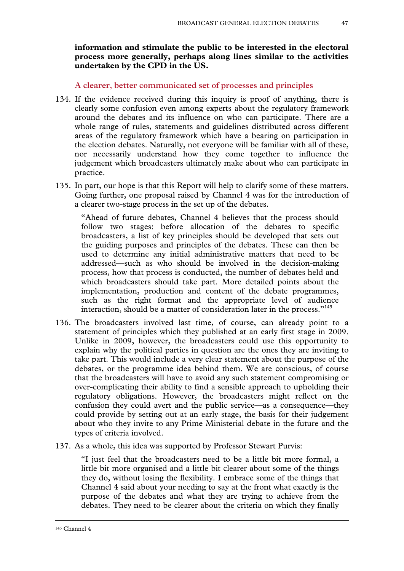**information and stimulate the public to be interested in the electoral process more generally, perhaps along lines similar to the activities undertaken by the CPD in the US.**

**A clearer, better communicated set of processes and principles** 

- 134. If the evidence received during this inquiry is proof of anything, there is clearly some confusion even among experts about the regulatory framework around the debates and its influence on who can participate. There are a whole range of rules, statements and guidelines distributed across different areas of the regulatory framework which have a bearing on participation in the election debates. Naturally, not everyone will be familiar with all of these, nor necessarily understand how they come together to influence the judgement which broadcasters ultimately make about who can participate in practice.
- 135. In part, our hope is that this Report will help to clarify some of these matters. Going further, one proposal raised by Channel 4 was for the introduction of a clearer two-stage process in the set up of the debates.

"Ahead of future debates, Channel 4 believes that the process should follow two stages: before allocation of the debates to specific broadcasters, a list of key principles should be developed that sets out the guiding purposes and principles of the debates. These can then be used to determine any initial administrative matters that need to be addressed—such as who should be involved in the decision-making process, how that process is conducted, the number of debates held and which broadcasters should take part. More detailed points about the implementation, production and content of the debate programmes, such as the right format and the appropriate level of audience interaction, should be a matter of consideration later in the process."<sup>145</sup>

- 136. The broadcasters involved last time, of course, can already point to a statement of principles which they published at an early first stage in 2009. Unlike in 2009, however, the broadcasters could use this opportunity to explain why the political parties in question are the ones they are inviting to take part. This would include a very clear statement about the purpose of the debates, or the programme idea behind them. We are conscious, of course that the broadcasters will have to avoid any such statement compromising or over-complicating their ability to find a sensible approach to upholding their regulatory obligations. However, the broadcasters might reflect on the confusion they could avert and the public service—as a consequence—they could provide by setting out at an early stage, the basis for their judgement about who they invite to any Prime Ministerial debate in the future and the types of criteria involved.
- 137. As a whole, this idea was supported by Professor Stewart Purvis:

"I just feel that the broadcasters need to be a little bit more formal, a little bit more organised and a little bit clearer about some of the things they do, without losing the flexibility. I embrace some of the things that Channel 4 said about your needing to say at the front what exactly is the purpose of the debates and what they are trying to achieve from the debates. They need to be clearer about the criteria on which they finally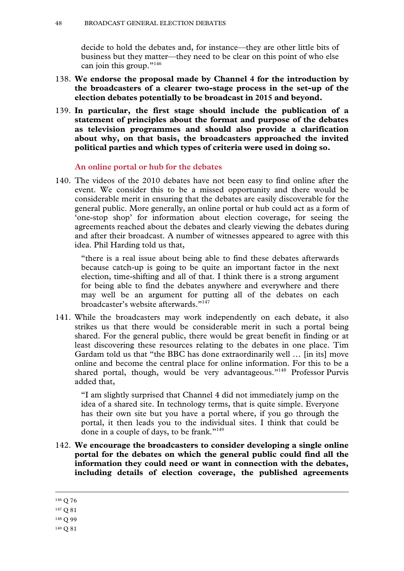decide to hold the debates and, for instance—they are other little bits of business but they matter—they need to be clear on this point of who else can join this group."<sup>146</sup>

- 138. **We endorse the proposal made by Channel 4 for the introduction by the broadcasters of a clearer two-stage process in the set-up of the election debates potentially to be broadcast in 2015 and beyond.**
- 139. **In particular, the first stage should include the publication of a statement of principles about the format and purpose of the debates as television programmes and should also provide a clarification about why, on that basis, the broadcasters approached the invited political parties and which types of criteria were used in doing so.**

#### **An online portal or hub for the debates**

140. The videos of the 2010 debates have not been easy to find online after the event. We consider this to be a missed opportunity and there would be considerable merit in ensuring that the debates are easily discoverable for the general public. More generally, an online portal or hub could act as a form of 'one-stop shop' for information about election coverage, for seeing the agreements reached about the debates and clearly viewing the debates during and after their broadcast. A number of witnesses appeared to agree with this idea. Phil Harding told us that,

"there is a real issue about being able to find these debates afterwards because catch-up is going to be quite an important factor in the next election, time-shifting and all of that. I think there is a strong argument for being able to find the debates anywhere and everywhere and there may well be an argument for putting all of the debates on each broadcaster's website afterwards."147

141. While the broadcasters may work independently on each debate, it also strikes us that there would be considerable merit in such a portal being shared. For the general public, there would be great benefit in finding or at least discovering these resources relating to the debates in one place. Tim Gardam told us that "the BBC has done extraordinarily well … [in its] move online and become the central place for online information. For this to be a shared portal, though, would be very advantageous."<sup>148</sup> Professor Purvis added that,

"I am slightly surprised that Channel 4 did not immediately jump on the idea of a shared site. In technology terms, that is quite simple. Everyone has their own site but you have a portal where, if you go through the portal, it then leads you to the individual sites. I think that could be done in a couple of days, to be frank."149

142. **We encourage the broadcasters to consider developing a single online portal for the debates on which the general public could find all the information they could need or want in connection with the debates, including details of election coverage, the published agreements** 

 <sup>146</sup> Q 76

<sup>147</sup> Q 81

<sup>148</sup> Q 99

<sup>149</sup> Q 81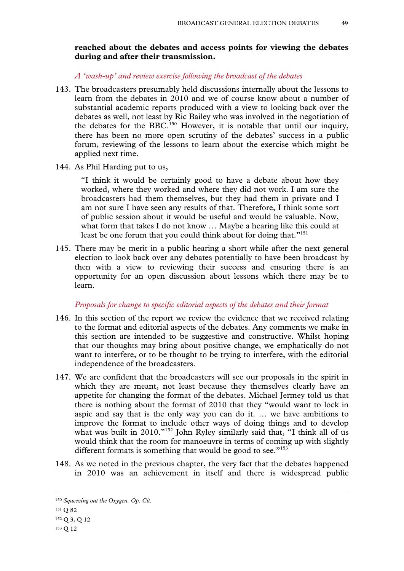### **reached about the debates and access points for viewing the debates during and after their transmission.**

*A 'wash-up' and review exercise following the broadcast of the debates* 

- 143. The broadcasters presumably held discussions internally about the lessons to learn from the debates in 2010 and we of course know about a number of substantial academic reports produced with a view to looking back over the debates as well, not least by Ric Bailey who was involved in the negotiation of the debates for the BBC.<sup>150</sup> However, it is notable that until our inquiry, there has been no more open scrutiny of the debates' success in a public forum, reviewing of the lessons to learn about the exercise which might be applied next time.
- 144. As Phil Harding put to us,

"I think it would be certainly good to have a debate about how they worked, where they worked and where they did not work. I am sure the broadcasters had them themselves, but they had them in private and I am not sure I have seen any results of that. Therefore, I think some sort of public session about it would be useful and would be valuable. Now, what form that takes I do not know … Maybe a hearing like this could at least be one forum that you could think about for doing that."<sup>151</sup>

145. There may be merit in a public hearing a short while after the next general election to look back over any debates potentially to have been broadcast by then with a view to reviewing their success and ensuring there is an opportunity for an open discussion about lessons which there may be to learn.

#### *Proposals for change to specific editorial aspects of the debates and their format*

- 146. In this section of the report we review the evidence that we received relating to the format and editorial aspects of the debates. Any comments we make in this section are intended to be suggestive and constructive. Whilst hoping that our thoughts may bring about positive change, we emphatically do not want to interfere, or to be thought to be trying to interfere, with the editorial independence of the broadcasters.
- 147. We are confident that the broadcasters will see our proposals in the spirit in which they are meant, not least because they themselves clearly have an appetite for changing the format of the debates. Michael Jermey told us that there is nothing about the format of 2010 that they "would want to lock in aspic and say that is the only way you can do it. … we have ambitions to improve the format to include other ways of doing things and to develop what was built in 2010."<sup>152</sup> John Ryley similarly said that, "I think all of us would think that the room for manoeuvre in terms of coming up with slightly different formats is something that would be good to see. $153$
- 148. As we noted in the previous chapter, the very fact that the debates happened in 2010 was an achievement in itself and there is widespread public

 <sup>150</sup> *Squeezing out the Oxygen. Op. Cit.*

<sup>151</sup> Q 82

<sup>152</sup> Q 3, Q 12

<sup>153</sup> Q 12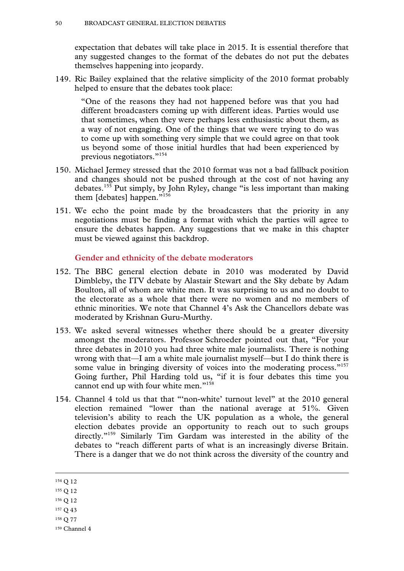expectation that debates will take place in 2015. It is essential therefore that any suggested changes to the format of the debates do not put the debates themselves happening into jeopardy.

149. Ric Bailey explained that the relative simplicity of the 2010 format probably helped to ensure that the debates took place:

"One of the reasons they had not happened before was that you had different broadcasters coming up with different ideas. Parties would use that sometimes, when they were perhaps less enthusiastic about them, as a way of not engaging. One of the things that we were trying to do was to come up with something very simple that we could agree on that took us beyond some of those initial hurdles that had been experienced by previous negotiators."154

- 150. Michael Jermey stressed that the 2010 format was not a bad fallback position and changes should not be pushed through at the cost of not having any debates.155 Put simply, by John Ryley, change "is less important than making them [debates] happen."156
- 151. We echo the point made by the broadcasters that the priority in any negotiations must be finding a format with which the parties will agree to ensure the debates happen. Any suggestions that we make in this chapter must be viewed against this backdrop.

#### **Gender and ethnicity of the debate moderators**

- 152. The BBC general election debate in 2010 was moderated by David Dimbleby, the ITV debate by Alastair Stewart and the Sky debate by Adam Boulton, all of whom are white men. It was surprising to us and no doubt to the electorate as a whole that there were no women and no members of ethnic minorities. We note that Channel 4's Ask the Chancellors debate was moderated by Krishnan Guru-Murthy.
- 153. We asked several witnesses whether there should be a greater diversity amongst the moderators. Professor Schroeder pointed out that, "For your three debates in 2010 you had three white male journalists. There is nothing wrong with that—I am a white male journalist myself—but I do think there is some value in bringing diversity of voices into the moderating process."<sup>157</sup> Going further, Phil Harding told us, "if it is four debates this time you cannot end up with four white men."<sup>158</sup>
- 154. Channel 4 told us that that "'non-white' turnout level" at the 2010 general election remained "lower than the national average at 51%. Given television's ability to reach the UK population as a whole, the general election debates provide an opportunity to reach out to such groups directly."159 Similarly Tim Gardam was interested in the ability of the debates to "reach different parts of what is an increasingly diverse Britain. There is a danger that we do not think across the diversity of the country and

- 156 Q 12
- 157 Q 43
- 158 Q 77
- 159 Channel 4

 <sup>154</sup> Q 12

<sup>155</sup> Q 12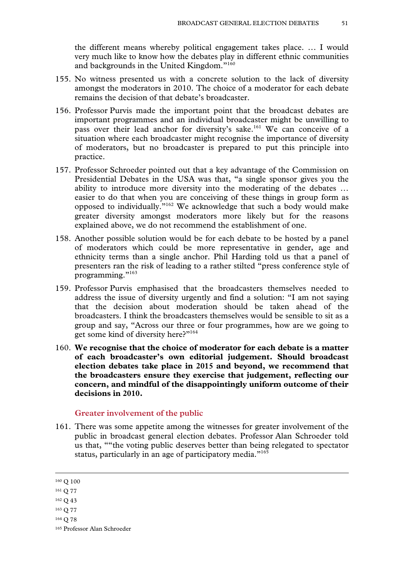the different means whereby political engagement takes place. … I would very much like to know how the debates play in different ethnic communities and backgrounds in the United Kingdom."160

- 155. No witness presented us with a concrete solution to the lack of diversity amongst the moderators in 2010. The choice of a moderator for each debate remains the decision of that debate's broadcaster.
- 156. Professor Purvis made the important point that the broadcast debates are important programmes and an individual broadcaster might be unwilling to pass over their lead anchor for diversity's sake.<sup>161</sup> We can conceive of a situation where each broadcaster might recognise the importance of diversity of moderators, but no broadcaster is prepared to put this principle into practice.
- 157. Professor Schroeder pointed out that a key advantage of the Commission on Presidential Debates in the USA was that, "a single sponsor gives you the ability to introduce more diversity into the moderating of the debates … easier to do that when you are conceiving of these things in group form as opposed to individually."162 We acknowledge that such a body would make greater diversity amongst moderators more likely but for the reasons explained above, we do not recommend the establishment of one.
- 158. Another possible solution would be for each debate to be hosted by a panel of moderators which could be more representative in gender, age and ethnicity terms than a single anchor. Phil Harding told us that a panel of presenters ran the risk of leading to a rather stilted "press conference style of programming."<sup>163</sup>
- 159. Professor Purvis emphasised that the broadcasters themselves needed to address the issue of diversity urgently and find a solution: "I am not saying that the decision about moderation should be taken ahead of the broadcasters. I think the broadcasters themselves would be sensible to sit as a group and say, "Across our three or four programmes, how are we going to get some kind of diversity here?"<sup>164</sup>
- 160. **We recognise that the choice of moderator for each debate is a matter of each broadcaster's own editorial judgement. Should broadcast election debates take place in 2015 and beyond, we recommend that the broadcasters ensure they exercise that judgement, reflecting our concern, and mindful of the disappointingly uniform outcome of their decisions in 2010.**

#### **Greater involvement of the public**

161. There was some appetite among the witnesses for greater involvement of the public in broadcast general election debates. Professor Alan Schroeder told us that, ""the voting public deserves better than being relegated to spectator status, particularly in an age of participatory media."<sup>165</sup>

164 Q 78

 <sup>160</sup> Q 100

<sup>161</sup> Q 77

<sup>162</sup> Q 43

<sup>163</sup> Q 77

<sup>165</sup> Professor Alan Schroeder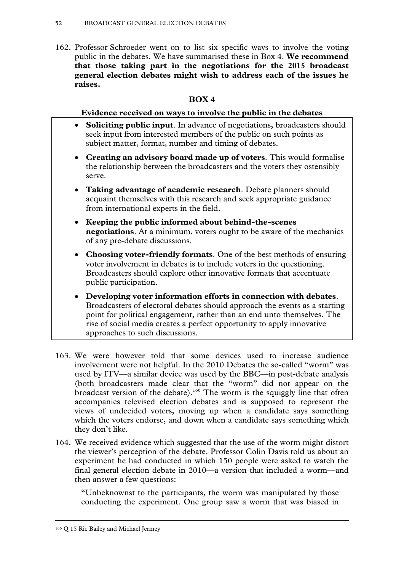162. Professor Schroeder went on to list six specific ways to involve the voting **that those taking part in the negotiations for the 2015 broadcast general election debates might wish to address each of the issues he raises.**  public in the debates. We have summarised these in Box 4. **We recommend** 

# **BOX 4**

# **Evidence received on ways to involve the public in the debates**

- **Soliciting public input**. In advance of negotiations, broadcasters should seek input from interested members of the public on such points as subject matter, format, number and timing of debates.
- **Creating an advisory board made up of voters**. This would formalise the relationship between the broadcasters and the voters they ostensibly serve.
- **Taking advantage of academic research**. Debate planners should acquaint themselves with this research and seek appropriate guidance from international experts in the field.
- **Keeping the public informed about behind-the-scenes negotiations**. At a minimum, voters ought to be aware of the mechanics of any pre-debate discussions.
- **Choosing voter-friendly formats**. One of the best methods of ensuring voter involvement in debates is to include voters in the questioning. Broadcasters should explore other innovative formats that accentuate public participation.
- **Developing voter information efforts in connection with debates**. Broadcasters of electoral debates should approach the events as a starting point for political engagement, rather than an end unto themselves. The rise of social media creates a perfect opportunity to apply innovative approaches to such discussions.
- 163. We were however told that some devices used to increase audience involvement were not helpful. In the 2010 Debates the so-called "worm" was used by ITV—a similar device was used by the BBC—in post-debate analysis (both broadcasters made clear that the "worm" did not appear on the broadcast version of the debate).<sup>166</sup> The worm is the squiggly line that often accompanies televised election debates and is supposed to represent the views of undecided voters, moving up when a candidate says something which the voters endorse, and down when a candidate says something which they don't like.
- 164. We received evidence which suggested that the use of the worm might distort the viewer's perception of the debate. Professor Colin Davis told us about an experiment he had conducted in which 150 people were asked to watch the final general election debate in 2010—a version that included a worm—and then answer a few questions:

"Unbeknownst to the participants, the worm was manipulated by those conducting the experiment. One group saw a worm that was biased in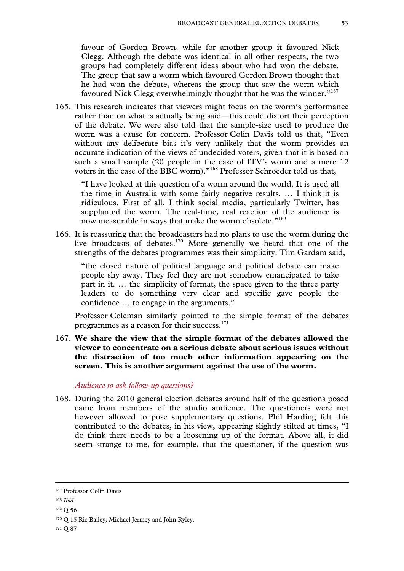favour of Gordon Brown, while for another group it favoured Nick Clegg. Although the debate was identical in all other respects, the two groups had completely different ideas about who had won the debate. The group that saw a worm which favoured Gordon Brown thought that he had won the debate, whereas the group that saw the worm which favoured Nick Clegg overwhelmingly thought that he was the winner."<sup>167</sup>

165. This research indicates that viewers might focus on the worm's performance rather than on what is actually being said—this could distort their perception of the debate. We were also told that the sample-size used to produce the worm was a cause for concern. Professor Colin Davis told us that, "Even without any deliberate bias it's very unlikely that the worm provides an accurate indication of the views of undecided voters, given that it is based on such a small sample (20 people in the case of ITV's worm and a mere 12 voters in the case of the BBC worm)."168 Professor Schroeder told us that,

"I have looked at this question of a worm around the world. It is used all the time in Australia with some fairly negative results. … I think it is ridiculous. First of all, I think social media, particularly Twitter, has supplanted the worm. The real-time, real reaction of the audience is now measurable in ways that make the worm obsolete."<sup>169</sup>

166. It is reassuring that the broadcasters had no plans to use the worm during the live broadcasts of debates.170 More generally we heard that one of the strengths of the debates programmes was their simplicity. Tim Gardam said,

"the closed nature of political language and political debate can make people shy away. They feel they are not somehow emancipated to take part in it. … the simplicity of format, the space given to the three party leaders to do something very clear and specific gave people the confidence … to engage in the arguments."

Professor Coleman similarly pointed to the simple format of the debates programmes as a reason for their success.171

167. **We share the view that the simple format of the debates allowed the viewer to concentrate on a serious debate about serious issues without the distraction of too much other information appearing on the screen. This is another argument against the use of the worm.**

#### *Audience to ask follow-up questions?*

168. During the 2010 general election debates around half of the questions posed came from members of the studio audience. The questioners were not however allowed to pose supplementary questions. Phil Harding felt this contributed to the debates, in his view, appearing slightly stilted at times, "I do think there needs to be a loosening up of the format. Above all, it did seem strange to me, for example, that the questioner, if the question was

 <sup>167</sup> Professor Colin Davis

<sup>168</sup> *Ibid.*

<sup>169</sup> Q 56

<sup>170</sup> Q 15 Ric Bailey, Michael Jermey and John Ryley.

<sup>171</sup> Q 87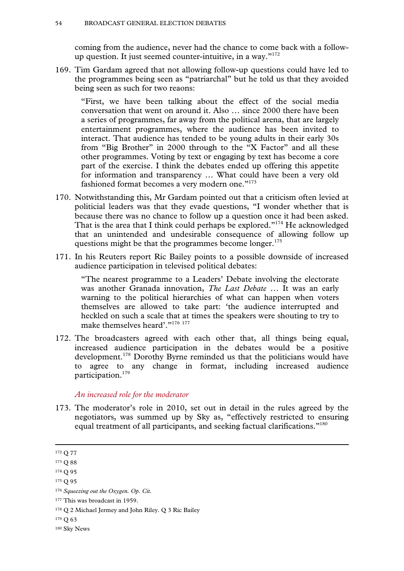coming from the audience, never had the chance to come back with a followup question. It just seemed counter-intuitive, in a way."172

169. Tim Gardam agreed that not allowing follow-up questions could have led to the programmes being seen as "patriarchal" but he told us that they avoided being seen as such for two reaons:

"First, we have been talking about the effect of the social media conversation that went on around it. Also … since 2000 there have been a series of programmes, far away from the political arena, that are largely entertainment programmes, where the audience has been invited to interact. That audience has tended to be young adults in their early 30s from "Big Brother" in 2000 through to the "X Factor" and all these other programmes. Voting by text or engaging by text has become a core part of the exercise. I think the debates ended up offering this appetite for information and transparency … What could have been a very old fashioned format becomes a very modern one."<sup>173</sup>

- 170. Notwithstanding this, Mr Gardam pointed out that a criticism often levied at politicial leaders was that they evade questions, "I wonder whether that is because there was no chance to follow up a question once it had been asked. That is the area that I think could perhaps be explored."174 He acknowledged that an unintended and undesirable consequence of allowing follow up questions might be that the programmes become longer.<sup>175</sup>
- 171. In his Reuters report Ric Bailey points to a possible downside of increased audience participation in televised political debates:

"The nearest programme to a Leaders' Debate involving the electorate was another Granada innovation, *The Last Debate* … It was an early warning to the political hierarchies of what can happen when voters themselves are allowed to take part: 'the audience interrupted and heckled on such a scale that at times the speakers were shouting to try to make themselves heard'."<sup>176 177</sup>

172. The broadcasters agreed with each other that, all things being equal, increased audience participation in the debates would be a positive development.178 Dorothy Byrne reminded us that the politicians would have to agree to any change in format, including increased audience participation.179

#### *An increased role for the moderator*

173. The moderator's role in 2010, set out in detail in the rules agreed by the negotiators, was summed up by Sky as, "effectively restricted to ensuring equal treatment of all participants, and seeking factual clarifications."<sup>180</sup>

175 Q 95

 <sup>172</sup> Q 77

<sup>173</sup> Q 88

<sup>174</sup> Q 95

<sup>176</sup> *Squeezing out the Oxygen. Op. Cit.*

<sup>177</sup> This was broadcast in 1959.

<sup>178</sup> Q 2 Michael Jermey and John Riley. Q 3 Ric Bailey

<sup>179</sup> Q 63

<sup>180</sup> Sky News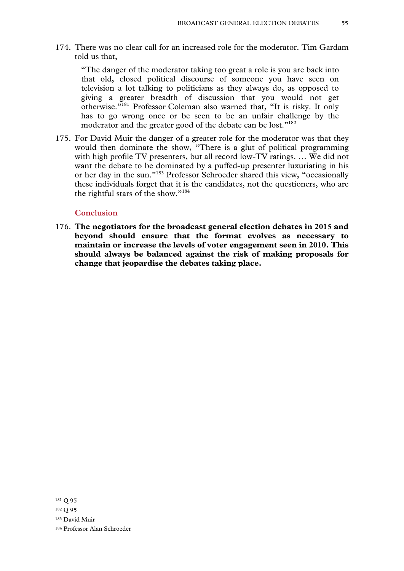174. There was no clear call for an increased role for the moderator. Tim Gardam told us that,

"The danger of the moderator taking too great a role is you are back into that old, closed political discourse of someone you have seen on television a lot talking to politicians as they always do, as opposed to giving a greater breadth of discussion that you would not get otherwise."181 Professor Coleman also warned that, "It is risky. It only has to go wrong once or be seen to be an unfair challenge by the moderator and the greater good of the debate can be lost."182

175. For David Muir the danger of a greater role for the moderator was that they would then dominate the show, "There is a glut of political programming with high profile TV presenters, but all record low-TV ratings. … We did not want the debate to be dominated by a puffed-up presenter luxuriating in his or her day in the sun."183 Professor Schroeder shared this view, "occasionally these individuals forget that it is the candidates, not the questioners, who are the rightful stars of the show."184

#### **Conclusion**

176. **The negotiators for the broadcast general election debates in 2015 and beyond should ensure that the format evolves as necessary to maintain or increase the levels of voter engagement seen in 2010. This should always be balanced against the risk of making proposals for change that jeopardise the debates taking place.**

- 182 Q 95
- 183 David Muir
- 184 Professor Alan Schroeder

 <sup>181</sup> Q 95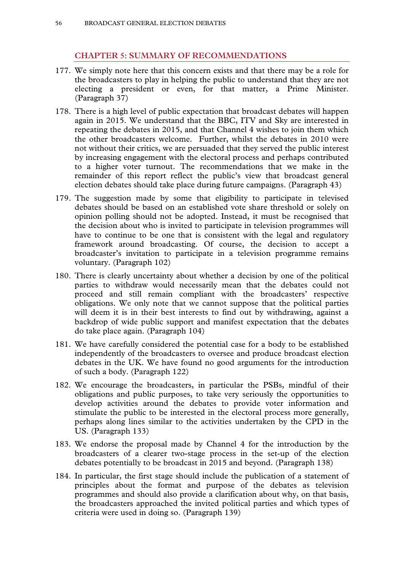# **CHAPTER 5: SUMMARY OF RECOMMENDATIONS**

- 177. We simply note here that this concern exists and that there may be a role for the broadcasters to play in helping the public to understand that they are not electing a president or even, for that matter, a Prime Minister. (Paragraph 37)
- 178. There is a high level of public expectation that broadcast debates will happen again in 2015. We understand that the BBC, ITV and Sky are interested in repeating the debates in 2015, and that Channel 4 wishes to join them which the other broadcasters welcome. Further, whilst the debates in 2010 were not without their critics, we are persuaded that they served the public interest by increasing engagement with the electoral process and perhaps contributed to a higher voter turnout. The recommendations that we make in the remainder of this report reflect the public's view that broadcast general election debates should take place during future campaigns. (Paragraph 43)
- 179. The suggestion made by some that eligibility to participate in televised debates should be based on an established vote share threshold or solely on opinion polling should not be adopted. Instead, it must be recognised that the decision about who is invited to participate in television programmes will have to continue to be one that is consistent with the legal and regulatory framework around broadcasting. Of course, the decision to accept a broadcaster's invitation to participate in a television programme remains voluntary. (Paragraph 102)
- 180. There is clearly uncertainty about whether a decision by one of the political parties to withdraw would necessarily mean that the debates could not proceed and still remain compliant with the broadcasters' respective obligations. We only note that we cannot suppose that the political parties will deem it is in their best interests to find out by withdrawing, against a backdrop of wide public support and manifest expectation that the debates do take place again. (Paragraph 104)
- 181. We have carefully considered the potential case for a body to be established independently of the broadcasters to oversee and produce broadcast election debates in the UK. We have found no good arguments for the introduction of such a body. (Paragraph 122)
- 182. We encourage the broadcasters, in particular the PSBs, mindful of their obligations and public purposes, to take very seriously the opportunities to develop activities around the debates to provide voter information and stimulate the public to be interested in the electoral process more generally, perhaps along lines similar to the activities undertaken by the CPD in the US. (Paragraph 133)
- 183. We endorse the proposal made by Channel 4 for the introduction by the broadcasters of a clearer two-stage process in the set-up of the election debates potentially to be broadcast in 2015 and beyond. (Paragraph 138)
- 184. In particular, the first stage should include the publication of a statement of principles about the format and purpose of the debates as television programmes and should also provide a clarification about why, on that basis, the broadcasters approached the invited political parties and which types of criteria were used in doing so. (Paragraph 139)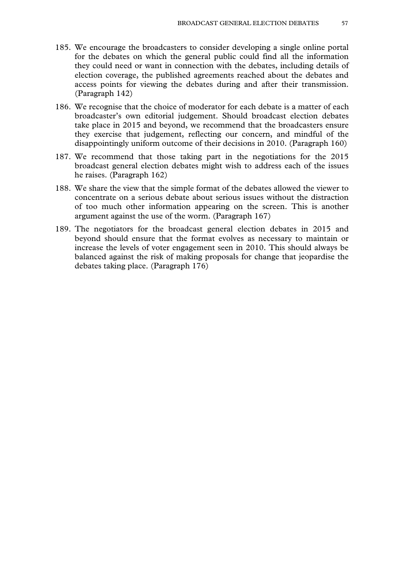- 185. We encourage the broadcasters to consider developing a single online portal for the debates on which the general public could find all the information they could need or want in connection with the debates, including details of election coverage, the published agreements reached about the debates and access points for viewing the debates during and after their transmission. (Paragraph 142)
- 186. We recognise that the choice of moderator for each debate is a matter of each broadcaster's own editorial judgement. Should broadcast election debates take place in 2015 and beyond, we recommend that the broadcasters ensure they exercise that judgement, reflecting our concern, and mindful of the disappointingly uniform outcome of their decisions in 2010. (Paragraph 160)
- 187. We recommend that those taking part in the negotiations for the 2015 broadcast general election debates might wish to address each of the issues he raises. (Paragraph 162)
- 188. We share the view that the simple format of the debates allowed the viewer to concentrate on a serious debate about serious issues without the distraction of too much other information appearing on the screen. This is another argument against the use of the worm. (Paragraph 167)
- 189. The negotiators for the broadcast general election debates in 2015 and beyond should ensure that the format evolves as necessary to maintain or increase the levels of voter engagement seen in 2010. This should always be balanced against the risk of making proposals for change that jeopardise the debates taking place. (Paragraph 176)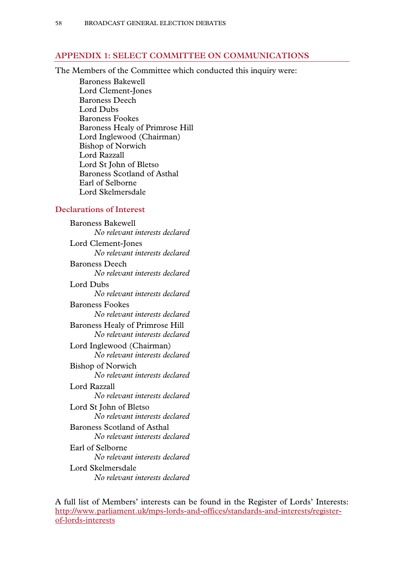## **APPENDIX 1: SELECT COMMITTEE ON COMMUNICATIONS**

The Members of the Committee which conducted this inquiry were:

Baroness Bakewell Lord Clement-Jones Baroness Deech Lord Dubs Baroness Fookes Baroness Healy of Primrose Hill Lord Inglewood (Chairman) Bishop of Norwich Lord Razzall Lord St John of Bletso Baroness Scotland of Asthal Earl of Selborne Lord Skelmersdale

### **Declarations of Interest**

Baroness Bakewell *No relevant interests declared*  Lord Clement-Jones *No relevant interests declared*  Baroness Deech *No relevant interests declared*  Lord Dubs *No relevant interests declared*  Baroness Fookes *No relevant interests declared*  Baroness Healy of Primrose Hill *No relevant interests declared*  Lord Inglewood (Chairman) *No relevant interests declared*  Bishop of Norwich *No relevant interests declared*  Lord Razzall *No relevant interests declared*  Lord St John of Bletso *No relevant interests declared*  Baroness Scotland of Asthal *No relevant interests declared*  Earl of Selborne *No relevant interests declared*  Lord Skelmersdale *No relevant interests declared* 

A full list of Members' interests can be found in the Register of Lords' Interests: http://www.parliament.uk/mps-lords-and-offices/standards-and-interests/registerof-lords-interests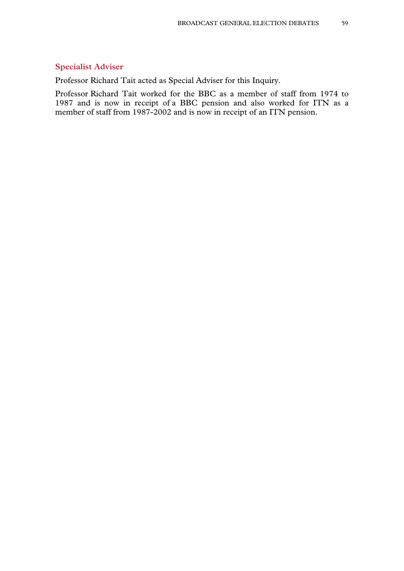### **Specialist Adviser**

Professor Richard Tait acted as Special Adviser for this Inquiry.

Professor Richard Tait worked for the BBC as a member of staff from 1974 to 1987 and is now in receipt of a BBC pension and also worked for ITN as a member of staff from 1987-2002 and is now in receipt of an ITN pension.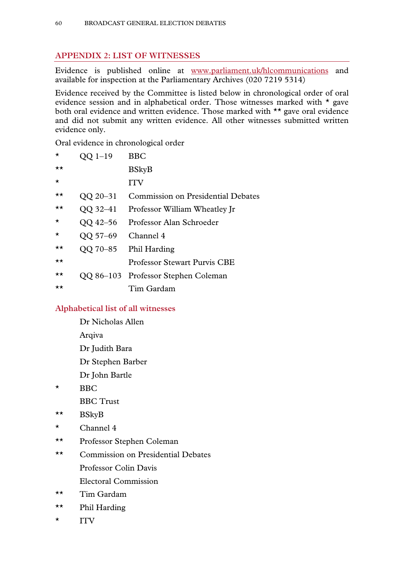# **APPENDIX 2: LIST OF WITNESSES**

Evidence is published online at www.parliament.uk/hlcommunications and available for inspection at the Parliamentary Archives (020 7219 5314)

Evidence received by the Committee is listed below in chronological order of oral evidence session and in alphabetical order. Those witnesses marked with \* gave both oral evidence and written evidence. Those marked with \*\* gave oral evidence and did not submit any written evidence. All other witnesses submitted written evidence only.

Oral evidence in chronological order

| $\star$      | QQ 1-19  | <b>BBC</b>                                |
|--------------|----------|-------------------------------------------|
| $\star\star$ |          | <b>BSkyB</b>                              |
| $\star$      |          | <b>ITV</b>                                |
| ★★           | QQ 20-31 | <b>Commission on Presidential Debates</b> |
| $\star\star$ | QQ 32-41 | Professor William Wheatley Jr             |
| $\star$      | QQ 42–56 | Professor Alan Schroeder                  |
| $\star$      | QQ 57-69 | Channel 4                                 |
| $\star\star$ |          | QQ 70-85 Phil Harding                     |
| ★★           |          | <b>Professor Stewart Purvis CBE</b>       |
| $\star\star$ |          | QQ 86–103 Professor Stephen Coleman       |
| $\star\star$ |          | Tim Gardam                                |

## **Alphabetical list of all witnesses**

 Dr Nicholas Allen Arqiva

Dr Judith Bara

Dr Stephen Barber

- Dr John Bartle
- \* BBC

BBC Trust

- \*\* BSkyB
- $\star$  Channel 4
- \*\* Professor Stephen Coleman
- \*\* Commission on Presidential Debates Professor Colin Davis Electoral Commission
- \*\* Tim Gardam
- \*\* Phil Harding
- \* ITV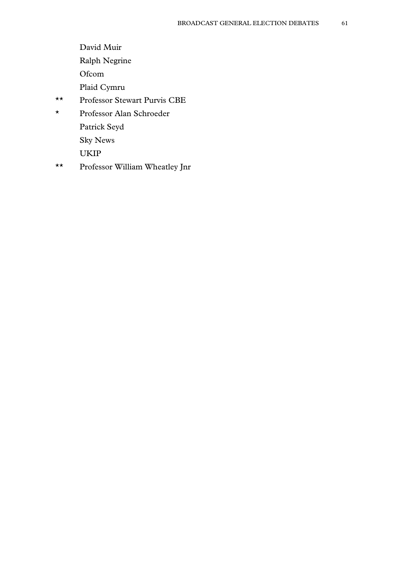- David Muir
- Ralph Negrine
- Ofcom
- Plaid Cymru
- \*\* Professor Stewart Purvis CBE
- \* Professor Alan Schroeder Patrick Seyd
	- Sky News
	- UKIP
- \*\* Professor William Wheatley Jnr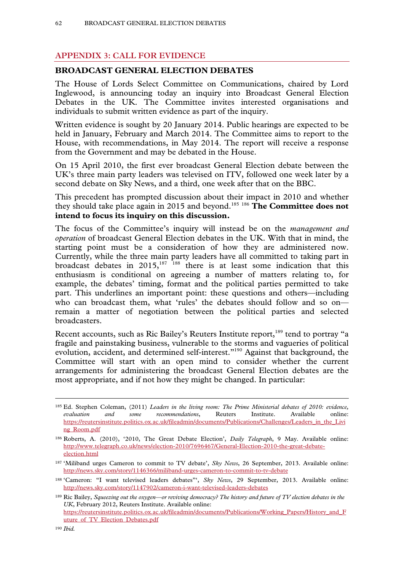# **APPENDIX 3: CALL FOR EVIDENCE**

### **BROADCAST GENERAL ELECTION DEBATES**

The House of Lords Select Committee on Communications, chaired by Lord Inglewood, is announcing today an inquiry into Broadcast General Election Debates in the UK. The Committee invites interested organisations and individuals to submit written evidence as part of the inquiry.

Written evidence is sought by 20 January 2014. Public hearings are expected to be held in January, February and March 2014. The Committee aims to report to the House, with recommendations, in May 2014. The report will receive a response from the Government and may be debated in the House.

On 15 April 2010, the first ever broadcast General Election debate between the UK's three main party leaders was televised on ITV, followed one week later by a second debate on Sky News, and a third, one week after that on the BBC.

This precedent has prompted discussion about their impact in 2010 and whether they should take place again in 2015 and beyond.185 <sup>186</sup> **The Committee does not intend to focus its inquiry on this discussion.** 

The focus of the Committee's inquiry will instead be on the *management and operation* of broadcast General Election debates in the UK. With that in mind, the starting point must be a consideration of how they are administered now. Currently, while the three main party leaders have all committed to taking part in broadcast debates in  $2015$ ,  $187$   $188$  there is at least some indication that this enthusiasm is conditional on agreeing a number of matters relating to, for example, the debates' timing, format and the political parties permitted to take part. This underlines an important point: these questions and others—including who can broadcast them, what 'rules' the debates should follow and so on remain a matter of negotiation between the political parties and selected broadcasters.

Recent accounts, such as Ric Bailey's Reuters Institute report,<sup>189</sup> tend to portray "a fragile and painstaking business, vulnerable to the storms and vagueries of political evolution, accident, and determined self-interest."190 Against that background, the Committee will start with an open mind to consider whether the current arrangements for administering the broadcast General Election debates are the most appropriate, and if not how they might be changed. In particular:

 <sup>185</sup> Ed. Stephen Coleman, (2011) *Leaders in the living room: The Prime Ministerial debates of 2010: evidence, evaluation and some recommendations*, Reuters Institute. Available online: https://reutersinstitute.politics.ox.ac.uk/fileadmin/documents/Publications/Challenges/Leaders\_in\_the\_Livi ng\_Room.pdf

<sup>186</sup> Roberts, A. (2010), '2010, The Great Debate Election', *Daily Telegraph*, 9 May. Available online: http://www.telegraph.co.uk/news/election-2010/7696467/General-Election-2010-the-great-debateelection.html

<sup>187 &#</sup>x27;Miliband urges Cameron to commit to TV debate', *Sky News*, 26 September, 2013. Available online: http://news.sky.com/story/1146366/miliband-urges-cameron-to-commit-to-tv-debate

<sup>188 &#</sup>x27;Cameron: "I want televised leaders debates"', *Sky News*, 29 September, 2013. Available online: http://news.sky.com/story/1147902/cameron-i-want-televised-leaders-debates

<sup>189</sup> Ric Bailey, *Squeezing out the oxygen—or reviving democracy? The history and future of TV election debates in the UK*, February 2012, Reuters Institute. Available online: https://reutersinstitute.politics.ox.ac.uk/fileadmin/documents/Publications/Working\_Papers/History\_and\_F uture of TV Election Debates.pdf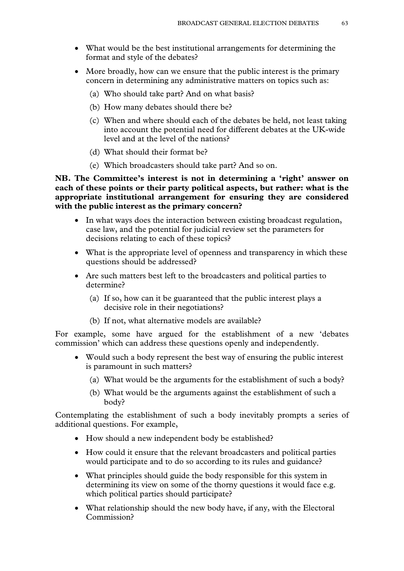- What would be the best institutional arrangements for determining the format and style of the debates?
- More broadly, how can we ensure that the public interest is the primary concern in determining any administrative matters on topics such as:
	- (a) Who should take part? And on what basis?
	- (b) How many debates should there be?
	- (c) When and where should each of the debates be held, not least taking into account the potential need for different debates at the UK-wide level and at the level of the nations?
	- (d) What should their format be?
	- (e) Which broadcasters should take part? And so on.

**NB. The Committee's interest is not in determining a 'right' answer on each of these points or their party political aspects, but rather: what is the appropriate institutional arrangement for ensuring they are considered with the public interest as the primary concern?** 

- In what ways does the interaction between existing broadcast regulation, case law, and the potential for judicial review set the parameters for decisions relating to each of these topics?
- What is the appropriate level of openness and transparency in which these questions should be addressed?
- Are such matters best left to the broadcasters and political parties to determine?
	- (a) If so, how can it be guaranteed that the public interest plays a decisive role in their negotiations?
	- (b) If not, what alternative models are available?

For example, some have argued for the establishment of a new 'debates commission' which can address these questions openly and independently.

- Would such a body represent the best way of ensuring the public interest is paramount in such matters?
	- (a) What would be the arguments for the establishment of such a body?
	- (b) What would be the arguments against the establishment of such a body?

Contemplating the establishment of such a body inevitably prompts a series of additional questions. For example,

- How should a new independent body be established?
- How could it ensure that the relevant broadcasters and political parties would participate and to do so according to its rules and guidance?
- What principles should guide the body responsible for this system in determining its view on some of the thorny questions it would face e.g. which political parties should participate?
- What relationship should the new body have, if any, with the Electoral Commission?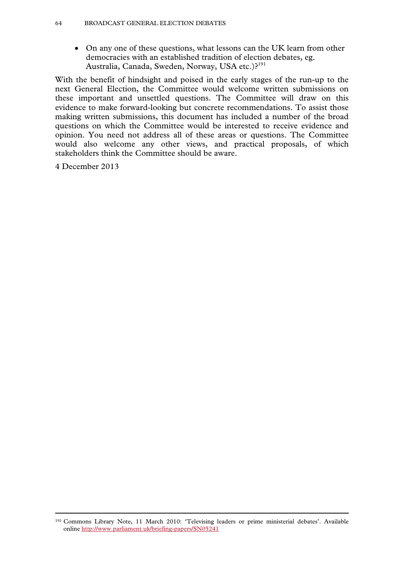On any one of these questions, what lessons can the UK learn from other democracies with an established tradition of election debates, eg. Australia, Canada, Sweden, Norway, USA etc.)?<sup>191</sup>

With the benefit of hindsight and poised in the early stages of the run-up to the next General Election, the Committee would welcome written submissions on these important and unsettled questions. The Committee will draw on this evidence to make forward-looking but concrete recommendations. To assist those making written submissions, this document has included a number of the broad questions on which the Committee would be interested to receive evidence and opinion. You need not address all of these areas or questions. The Committee would also welcome any other views, and practical proposals, of which stakeholders think the Committee should be aware.

4 December 2013

 <sup>191</sup> Commons Library Note, 11 March 2010: 'Televising leaders or prime ministerial debates'. Available online http://www.parliament.uk/briefing-papers/SN05241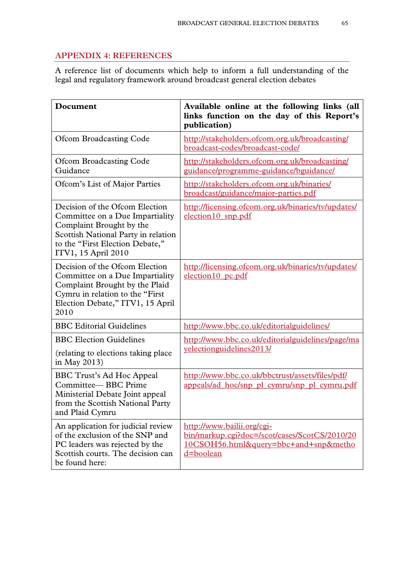## **APPENDIX 4: REFERENCES**

A reference list of documents which help to inform a full understanding of the legal and regulatory framework around broadcast general election debates

| Document                                                                                                                                                                                       | Available online at the following links (all<br>links function on the day of this Report's<br>publication)                        |  |
|------------------------------------------------------------------------------------------------------------------------------------------------------------------------------------------------|-----------------------------------------------------------------------------------------------------------------------------------|--|
| <b>Ofcom Broadcasting Code</b>                                                                                                                                                                 | http://stakeholders.ofcom.org.uk/broadcasting/<br>broadcast-codes/broadcast-code/                                                 |  |
| <b>Ofcom Broadcasting Code</b><br>Guidance                                                                                                                                                     | http://stakeholders.ofcom.org.uk/broadcasting/<br>guidance/programme-guidance/bguidance/                                          |  |
| Ofcom's List of Major Parties                                                                                                                                                                  | http://stakeholders.ofcom.org.uk/binaries/<br>broadcast/guidance/major-parties.pdf                                                |  |
| Decision of the Ofcom Election<br>Committee on a Due Impartiality<br>Complaint Brought by the<br>Scottish National Party in relation<br>to the "First Election Debate,"<br>ITV1, 15 April 2010 | http://licensing.ofcom.org.uk/binaries/tv/updates/<br>election10 snp.pdf                                                          |  |
| Decision of the Ofcom Election<br>Committee on a Due Impartiality<br>Complaint Brought by the Plaid<br>Cymru in relation to the "First"<br>Election Debate," ITV1, 15 April<br>2010            | http://licensing.ofcom.org.uk/binaries/tv/updates/<br>election10 pc.pdf                                                           |  |
| <b>BBC</b> Editorial Guidelines                                                                                                                                                                | http://www.bbc.co.uk/editorialguidelines/                                                                                         |  |
| <b>BBC</b> Election Guidelines                                                                                                                                                                 | http://www.bbc.co.uk/editorialguidelines/page/ma                                                                                  |  |
| (relating to elections taking place)<br>in May 2013)                                                                                                                                           | <u>velectionguidelines2013/</u>                                                                                                   |  |
| BBC Trust's Ad Hoc Appeal<br>Committee-BBC Prime<br>Ministerial Debate Joint appeal<br>from the Scottish National Party<br>and Plaid Cymru                                                     | http://www.bbc.co.uk/bbctrust/assets/files/pdf/<br>appeals/ad_hoc/snp_pl_cymru/snp_pl_cymru.pdf                                   |  |
| An application for judicial review<br>of the exclusion of the SNP and<br>PC leaders was rejected by the<br>Scottish courts. The decision can<br>be found here:                                 | http://www.bailii.org/cgi-<br>bin/markup.cgi?doc=/scot/cases/ScotCS/2010/20<br>10CSOH56.html&query=bbc+and+snp&metho<br>d=boolean |  |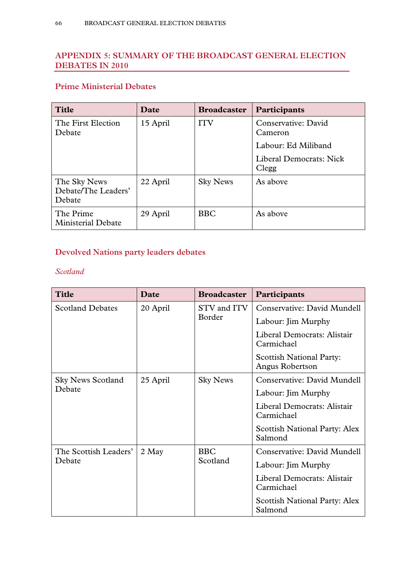# **APPENDIX 5: SUMMARY OF THE BROADCAST GENERAL ELECTION DEBATES IN 2010**

# **Prime Ministerial Debates**

| <b>Title</b>                                  | Date     | <b>Broadcaster</b> | <b>Participants</b>              |
|-----------------------------------------------|----------|--------------------|----------------------------------|
| The First Election<br>Debate                  | 15 April | <b>ITV</b>         | Conservative: David<br>Cameron   |
|                                               |          |                    | Labour: Ed Miliband              |
|                                               |          |                    | Liberal Democrats: Nick<br>Clegg |
| The Sky News<br>Debate/The Leaders'<br>Debate | 22 April | <b>Sky News</b>    | As above                         |
| The Prime<br><b>Ministerial Debate</b>        | 29 April | <b>BBC</b>         | As above                         |

# **Devolved Nations party leaders debates**

# *Scotland*

| <b>Title</b>             | Date     | <b>Broadcaster</b>     | Participants                                       |
|--------------------------|----------|------------------------|----------------------------------------------------|
| <b>Scotland Debates</b>  | 20 April | STV and ITV<br>Border  | Conservative: David Mundell                        |
|                          |          |                        | Labour: Jim Murphy                                 |
|                          |          |                        | Liberal Democrats: Alistair<br>Carmichael          |
|                          |          |                        | <b>Scottish National Party:</b><br>Angus Robertson |
| <b>Sky News Scotland</b> | 25 April | <b>Sky News</b>        | Conservative: David Mundell                        |
| Debate                   |          |                        | Labour: Jim Murphy                                 |
|                          |          |                        | Liberal Democrats: Alistair<br>Carmichael          |
|                          |          |                        | <b>Scottish National Party: Alex</b><br>Salmond    |
| The Scottish Leaders'    | 2 May    | <b>BBC</b><br>Scotland | Conservative: David Mundell                        |
| Debate                   |          |                        | Labour: Jim Murphy                                 |
|                          |          |                        | Liberal Democrats: Alistair<br>Carmichael          |
|                          |          |                        | <b>Scottish National Party: Alex</b><br>Salmond    |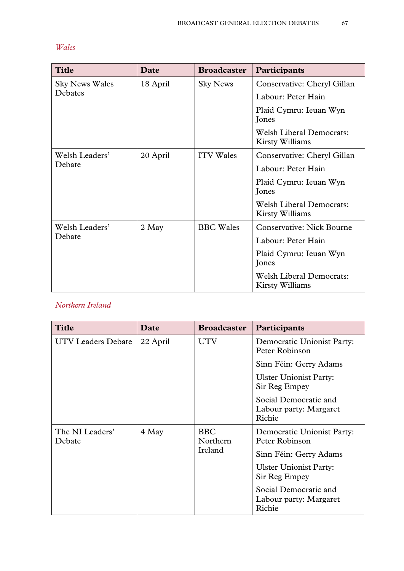| ×<br>۰. |
|---------|
|---------|

| <b>Title</b>          | Date     | <b>Broadcaster</b> | Participants                                       |
|-----------------------|----------|--------------------|----------------------------------------------------|
| <b>Sky News Wales</b> | 18 April | <b>Sky News</b>    | Conservative: Cheryl Gillan                        |
| Debates               |          |                    | Labour: Peter Hain                                 |
|                       |          |                    | Plaid Cymru: Ieuan Wyn<br>Jones                    |
|                       |          |                    | <b>Welsh Liberal Democrats:</b><br>Kirsty Williams |
| Welsh Leaders'        | 20 April | <b>ITV</b> Wales   | Conservative: Cheryl Gillan                        |
| Debate                |          |                    | Labour: Peter Hain                                 |
|                       |          |                    | Plaid Cymru: Ieuan Wyn<br>Jones                    |
|                       |          |                    | <b>Welsh Liberal Democrats:</b><br>Kirsty Williams |
| Welsh Leaders'        | 2 May    | <b>BBC</b> Wales   | <b>Conservative: Nick Bourne</b>                   |
| Debate                |          |                    | Labour: Peter Hain                                 |
|                       |          |                    | Plaid Cymru: Ieuan Wyn<br>Jones                    |
|                       |          |                    | <b>Welsh Liberal Democrats:</b><br>Kirsty Williams |

# *Northern Ireland*

| <b>Title</b>              | Date     | <b>Broadcaster</b>     | Participants                                              |
|---------------------------|----------|------------------------|-----------------------------------------------------------|
| <b>UTV Leaders Debate</b> | 22 April | <b>UTV</b>             | Democratic Unionist Party:<br>Peter Robinson              |
|                           |          |                        | Sinn Féin: Gerry Adams                                    |
|                           |          |                        | <b>Ulster Unionist Party:</b><br>Sir Reg Empey            |
|                           |          |                        | Social Democratic and<br>Labour party: Margaret<br>Richie |
| The NI Leaders'<br>Debate | 4 May    | <b>BBC</b><br>Northern | Democratic Unionist Party:<br>Peter Robinson              |
|                           |          | Ireland                | Sinn Féin: Gerry Adams                                    |
|                           |          |                        | <b>Ulster Unionist Party:</b><br>Sir Reg Empey            |
|                           |          |                        | Social Democratic and<br>Labour party: Margaret<br>Richie |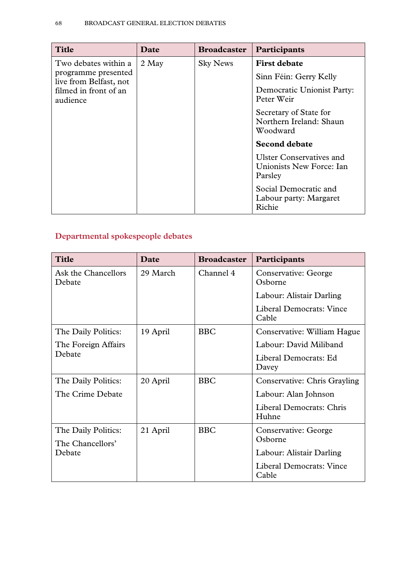| <b>Title</b>                                                                                               | Date  | <b>Broadcaster</b> | Participants                                                                                                                                   |
|------------------------------------------------------------------------------------------------------------|-------|--------------------|------------------------------------------------------------------------------------------------------------------------------------------------|
| Two debates within a<br>programme presented<br>live from Belfast, not<br>filmed in front of an<br>audience | 2 May | <b>Sky News</b>    | <b>First debate</b><br>Sinn Féin: Gerry Kelly<br>Democratic Unionist Party:<br>Peter Weir<br>Secretary of State for<br>Northern Ireland: Shaun |
|                                                                                                            |       |                    | Woodward                                                                                                                                       |
|                                                                                                            |       |                    | <b>Second debate</b>                                                                                                                           |
|                                                                                                            |       |                    | <b>Ulster Conservatives and</b><br>Unionists New Force: Ian<br>Parsley                                                                         |
|                                                                                                            |       |                    | Social Democratic and<br>Labour party: Margaret<br>Richie                                                                                      |

# **Departmental spokespeople debates**

| <b>Title</b>                  | Date     | <b>Broadcaster</b> | Participants                             |
|-------------------------------|----------|--------------------|------------------------------------------|
| Ask the Chancellors<br>Debate | 29 March | Channel 4          | Conservative: George<br>Osborne          |
|                               |          |                    | Labour: Alistair Darling                 |
|                               |          |                    | Liberal Democrats: Vince<br>Cable        |
| The Daily Politics:           | 19 April | <b>BBC</b>         | Conservative: William Hague              |
| The Foreign Affairs           |          |                    | Labour: David Miliband                   |
| Debate                        |          |                    | Liberal Democrats: Ed<br>Davey           |
| The Daily Politics:           | 20 April | <b>BBC</b>         | <b>Conservative: Chris Grayling</b>      |
| The Crime Debate              |          |                    | Labour: Alan Johnson                     |
|                               |          |                    | Liberal Democrats: Chris<br>Huhne        |
| The Daily Politics:           | 21 April | <b>BBC</b>         | Conservative: George                     |
| The Chancellors'              |          |                    | Osborne                                  |
| Debate                        |          |                    | Labour: Alistair Darling                 |
|                               |          |                    | <b>Liberal Democrats: Vince</b><br>Cable |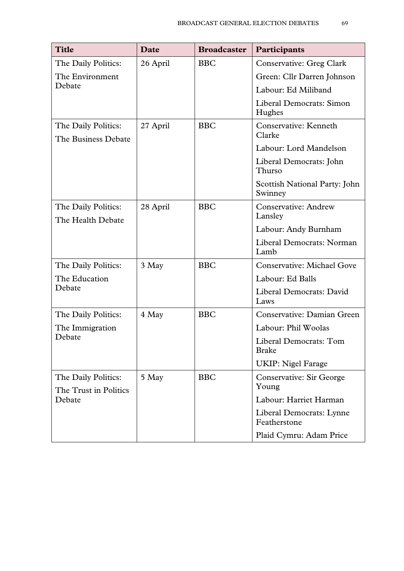| <b>Title</b>                                 | <b>Date</b> | <b>Broadcaster</b> | Participants                              |
|----------------------------------------------|-------------|--------------------|-------------------------------------------|
| The Daily Politics:                          | 26 April    | <b>BBC</b>         | <b>Conservative: Greg Clark</b>           |
| The Environment                              |             |                    | Green: Cllr Darren Johnson                |
| Debate                                       |             |                    | Labour: Ed Miliband                       |
|                                              |             |                    | <b>Liberal Democrats: Simon</b><br>Hughes |
| The Daily Politics:<br>The Business Debate   | 27 April    | <b>BBC</b>         | Conservative: Kenneth<br>Clarke           |
|                                              |             |                    | Labour: Lord Mandelson                    |
|                                              |             |                    | Liberal Democrats: John<br>Thurso         |
|                                              |             |                    | Scottish National Party: John<br>Swinney  |
| The Daily Politics:<br>The Health Debate     | 28 April    | <b>BBC</b>         | <b>Conservative: Andrew</b><br>Lansley    |
|                                              |             |                    | Labour: Andy Burnham                      |
|                                              |             |                    | Liberal Democrats: Norman<br>Lamb         |
| The Daily Politics:                          | 3 May       | <b>BBC</b>         | <b>Conservative: Michael Gove</b>         |
| The Education                                |             |                    | Labour: Ed Balls                          |
| Debate                                       |             |                    | Liberal Democrats: David<br>Laws          |
| The Daily Politics:                          | 4 May       | <b>BBC</b>         | Conservative: Damian Green                |
| The Immigration                              |             |                    | Labour: Phil Woolas                       |
| Debate                                       |             |                    | Liberal Democrats: Tom<br><b>Brake</b>    |
|                                              |             |                    | <b>UKIP: Nigel Farage</b>                 |
| The Daily Politics:<br>The Trust in Politics | 5 May       | <b>BBC</b>         | <b>Conservative: Sir George</b><br>Young  |
| Debate                                       |             |                    | Labour: Harriet Harman                    |
|                                              |             |                    | Liberal Democrats: Lynne<br>Featherstone  |
|                                              |             |                    | Plaid Cymru: Adam Price                   |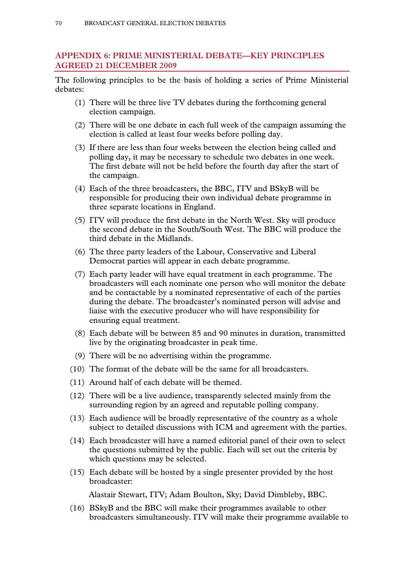# **APPENDIX 6: PRIME MINISTERIAL DEBATE—KEY PRINCIPLES AGREED 21 DECEMBER 2009**

The following principles to be the basis of holding a series of Prime Ministerial debates:

- (1) There will be three live TV debates during the forthcoming general election campaign.
- (2) There will be one debate in each full week of the campaign assuming the election is called at least four weeks before polling day.
- (3) If there are less than four weeks between the election being called and polling day, it may be necessary to schedule two debates in one week. The first debate will not be held before the fourth day after the start of the campaign.
- (4) Each of the three broadcasters, the BBC, ITV and BSkyB will be responsible for producing their own individual debate programme in three separate locations in England.
- (5) ITV will produce the first debate in the North West. Sky will produce the second debate in the South/South West. The BBC will produce the third debate in the Midlands.
- (6) The three party leaders of the Labour, Conservative and Liberal Democrat parties will appear in each debate programme.
- (7) Each party leader will have equal treatment in each programme. The broadcasters will each nominate one person who will monitor the debate and be contactable by a nominated representative of each of the parties during the debate. The broadcaster's nominated person will advise and liaise with the executive producer who will have responsibility for ensuring equal treatment.
- (8) Each debate will be between 85 and 90 minutes in duration, transmitted live by the originating broadcaster in peak time.
- (9) There will be no advertising within the programme.
- (10) The format of the debate will be the same for all broadcasters.
- (11) Around half of each debate will be themed.
- (12) There will be a live audience, transparently selected mainly from the surrounding region by an agreed and reputable polling company.
- (13) Each audience will be broadly representative of the country as a whole subject to detailed discussions with ICM and agreement with the parties.
- (14) Each broadcaster will have a named editorial panel of their own to select the questions submitted by the public. Each will set out the criteria by which questions may be selected.
- (15) Each debate will be hosted by a single presenter provided by the host broadcaster:

Alastair Stewart, ITV; Adam Boulton, Sky; David Dimbleby, BBC.

(16) BSkyB and the BBC will make their programmes available to other broadcasters simultaneously. ITV will make their programme available to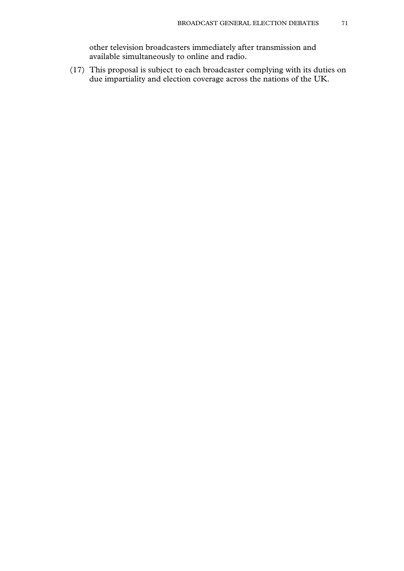other television broadcasters immediately after transmission and available simultaneously to online and radio.

(17) This proposal is subject to each broadcaster complying with its duties on due impartiality and election coverage across the nations of the UK.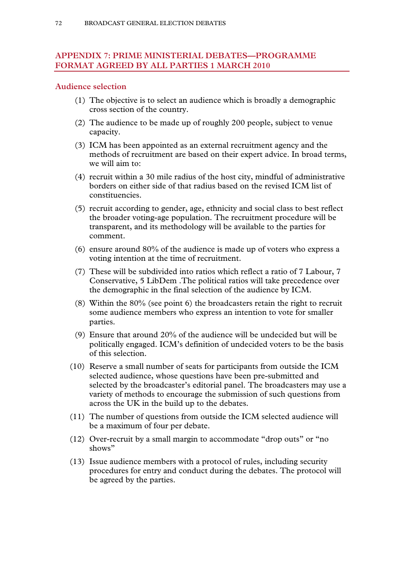# **APPENDIX 7: PRIME MINISTERIAL DEBATES—PROGRAMME FORMAT AGREED BY ALL PARTIES 1 MARCH 2010**

#### **Audience selection**

- (1) The objective is to select an audience which is broadly a demographic cross section of the country.
- (2) The audience to be made up of roughly 200 people, subject to venue capacity.
- (3) ICM has been appointed as an external recruitment agency and the methods of recruitment are based on their expert advice. In broad terms, we will aim to:
- (4) recruit within a 30 mile radius of the host city, mindful of administrative borders on either side of that radius based on the revised ICM list of constituencies.
- (5) recruit according to gender, age, ethnicity and social class to best reflect the broader voting-age population. The recruitment procedure will be transparent, and its methodology will be available to the parties for comment.
- (6) ensure around 80% of the audience is made up of voters who express a voting intention at the time of recruitment.
- (7) These will be subdivided into ratios which reflect a ratio of 7 Labour, 7 Conservative, 5 LibDem .The political ratios will take precedence over the demographic in the final selection of the audience by ICM.
- (8) Within the 80% (see point 6) the broadcasters retain the right to recruit some audience members who express an intention to vote for smaller parties.
- (9) Ensure that around 20% of the audience will be undecided but will be politically engaged. ICM's definition of undecided voters to be the basis of this selection.
- (10) Reserve a small number of seats for participants from outside the ICM selected audience, whose questions have been pre-submitted and selected by the broadcaster's editorial panel. The broadcasters may use a variety of methods to encourage the submission of such questions from across the UK in the build up to the debates.
- (11) The number of questions from outside the ICM selected audience will be a maximum of four per debate.
- (12) Over-recruit by a small margin to accommodate "drop outs" or "no shows"
- (13) Issue audience members with a protocol of rules, including security procedures for entry and conduct during the debates. The protocol will be agreed by the parties.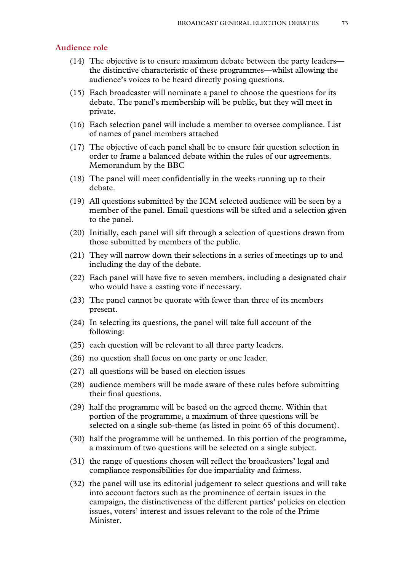#### **Audience role**

- (14) The objective is to ensure maximum debate between the party leaders the distinctive characteristic of these programmes—whilst allowing the audience's voices to be heard directly posing questions.
- (15) Each broadcaster will nominate a panel to choose the questions for its debate. The panel's membership will be public, but they will meet in private.
- (16) Each selection panel will include a member to oversee compliance. List of names of panel members attached
- (17) The objective of each panel shall be to ensure fair question selection in order to frame a balanced debate within the rules of our agreements. Memorandum by the BBC
- (18) The panel will meet confidentially in the weeks running up to their debate.
- (19) All questions submitted by the ICM selected audience will be seen by a member of the panel. Email questions will be sifted and a selection given to the panel.
- (20) Initially, each panel will sift through a selection of questions drawn from those submitted by members of the public.
- (21) They will narrow down their selections in a series of meetings up to and including the day of the debate.
- (22) Each panel will have five to seven members, including a designated chair who would have a casting vote if necessary.
- (23) The panel cannot be quorate with fewer than three of its members present.
- (24) In selecting its questions, the panel will take full account of the following:
- (25) each question will be relevant to all three party leaders.
- (26) no question shall focus on one party or one leader.
- (27) all questions will be based on election issues
- (28) audience members will be made aware of these rules before submitting their final questions.
- (29) half the programme will be based on the agreed theme. Within that portion of the programme, a maximum of three questions will be selected on a single sub-theme (as listed in point 65 of this document).
- (30) half the programme will be unthemed. In this portion of the programme, a maximum of two questions will be selected on a single subject.
- (31) the range of questions chosen will reflect the broadcasters' legal and compliance responsibilities for due impartiality and fairness.
- (32) the panel will use its editorial judgement to select questions and will take into account factors such as the prominence of certain issues in the campaign, the distinctiveness of the different parties' policies on election issues, voters' interest and issues relevant to the role of the Prime Minister.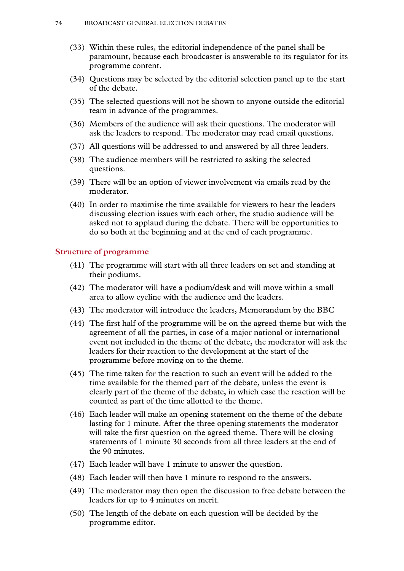- (33) Within these rules, the editorial independence of the panel shall be paramount, because each broadcaster is answerable to its regulator for its programme content.
- (34) Questions may be selected by the editorial selection panel up to the start of the debate.
- (35) The selected questions will not be shown to anyone outside the editorial team in advance of the programmes.
- (36) Members of the audience will ask their questions. The moderator will ask the leaders to respond. The moderator may read email questions.
- (37) All questions will be addressed to and answered by all three leaders.
- (38) The audience members will be restricted to asking the selected questions.
- (39) There will be an option of viewer involvement via emails read by the moderator.
- (40) In order to maximise the time available for viewers to hear the leaders discussing election issues with each other, the studio audience will be asked not to applaud during the debate. There will be opportunities to do so both at the beginning and at the end of each programme.

## **Structure of programme**

- (41) The programme will start with all three leaders on set and standing at their podiums.
- (42) The moderator will have a podium/desk and will move within a small area to allow eyeline with the audience and the leaders.
- (43) The moderator will introduce the leaders, Memorandum by the BBC
- (44) The first half of the programme will be on the agreed theme but with the agreement of all the parties, in case of a major national or international event not included in the theme of the debate, the moderator will ask the leaders for their reaction to the development at the start of the programme before moving on to the theme.
- (45) The time taken for the reaction to such an event will be added to the time available for the themed part of the debate, unless the event is clearly part of the theme of the debate, in which case the reaction will be counted as part of the time allotted to the theme.
- (46) Each leader will make an opening statement on the theme of the debate lasting for 1 minute. After the three opening statements the moderator will take the first question on the agreed theme. There will be closing statements of 1 minute 30 seconds from all three leaders at the end of the 90 minutes.
- (47) Each leader will have 1 minute to answer the question.
- (48) Each leader will then have 1 minute to respond to the answers.
- (49) The moderator may then open the discussion to free debate between the leaders for up to 4 minutes on merit.
- (50) The length of the debate on each question will be decided by the programme editor.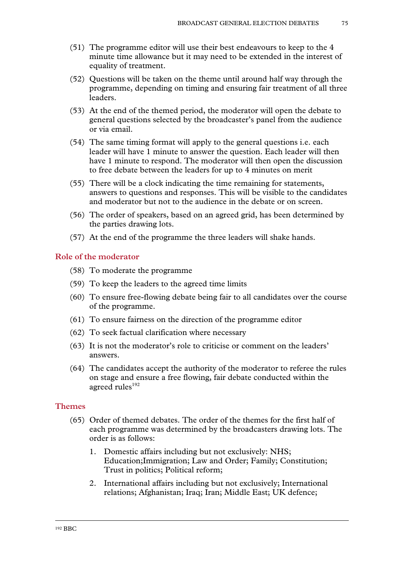- (51) The programme editor will use their best endeavours to keep to the 4 minute time allowance but it may need to be extended in the interest of equality of treatment.
- (52) Questions will be taken on the theme until around half way through the programme, depending on timing and ensuring fair treatment of all three leaders.
- (53) At the end of the themed period, the moderator will open the debate to general questions selected by the broadcaster's panel from the audience or via email.
- (54) The same timing format will apply to the general questions i.e. each leader will have 1 minute to answer the question. Each leader will then have 1 minute to respond. The moderator will then open the discussion to free debate between the leaders for up to 4 minutes on merit
- (55) There will be a clock indicating the time remaining for statements, answers to questions and responses. This will be visible to the candidates and moderator but not to the audience in the debate or on screen.
- (56) The order of speakers, based on an agreed grid, has been determined by the parties drawing lots.
- (57) At the end of the programme the three leaders will shake hands.

## **Role of the moderator**

- (58) To moderate the programme
- (59) To keep the leaders to the agreed time limits
- (60) To ensure free-flowing debate being fair to all candidates over the course of the programme.
- (61) To ensure fairness on the direction of the programme editor
- (62) To seek factual clarification where necessary
- (63) It is not the moderator's role to criticise or comment on the leaders' answers.
- (64) The candidates accept the authority of the moderator to referee the rules on stage and ensure a free flowing, fair debate conducted within the agreed rules<sup>192</sup>

## **Themes**

- (65) Order of themed debates. The order of the themes for the first half of each programme was determined by the broadcasters drawing lots. The order is as follows:
	- 1. Domestic affairs including but not exclusively: NHS; Education;Immigration; Law and Order; Family; Constitution; Trust in politics; Political reform;
	- 2. International affairs including but not exclusively; International relations; Afghanistan; Iraq; Iran; Middle East; UK defence;

192 BBC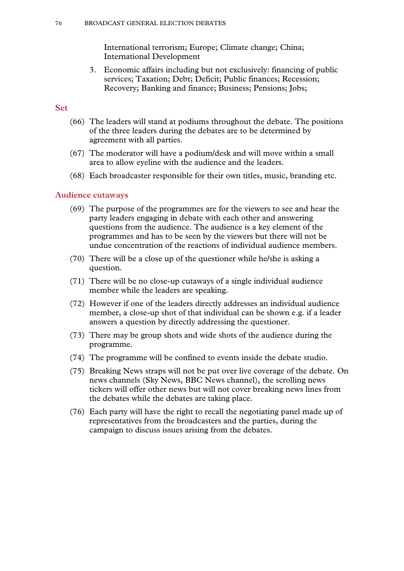International terrorism; Europe; Climate change; China; International Development

3. Economic affairs including but not exclusively: financing of public services; Taxation; Debt; Deficit; Public finances; Recession; Recovery; Banking and finance; Business; Pensions; Jobs;

## **Set**

- (66) The leaders will stand at podiums throughout the debate. The positions of the three leaders during the debates are to be determined by agreement with all parties.
- (67) The moderator will have a podium/desk and will move within a small area to allow eyeline with the audience and the leaders.
- (68) Each broadcaster responsible for their own titles, music, branding etc.

#### **Audience cutaways**

- (69) The purpose of the programmes are for the viewers to see and hear the party leaders engaging in debate with each other and answering questions from the audience. The audience is a key element of the programmes and has to be seen by the viewers but there will not be undue concentration of the reactions of individual audience members.
- (70) There will be a close up of the questioner while he/she is asking a question.
- (71) There will be no close-up cutaways of a single individual audience member while the leaders are speaking.
- (72) However if one of the leaders directly addresses an individual audience member, a close-up shot of that individual can be shown e.g. if a leader answers a question by directly addressing the questioner.
- (73) There may be group shots and wide shots of the audience during the programme.
- (74) The programme will be confined to events inside the debate studio.
- (75) Breaking News straps will not be put over live coverage of the debate. On news channels (Sky News, BBC News channel), the scrolling news tickers will offer other news but will not cover breaking news lines from the debates while the debates are taking place.
- (76) Each party will have the right to recall the negotiating panel made up of representatives from the broadcasters and the parties, during the campaign to discuss issues arising from the debates.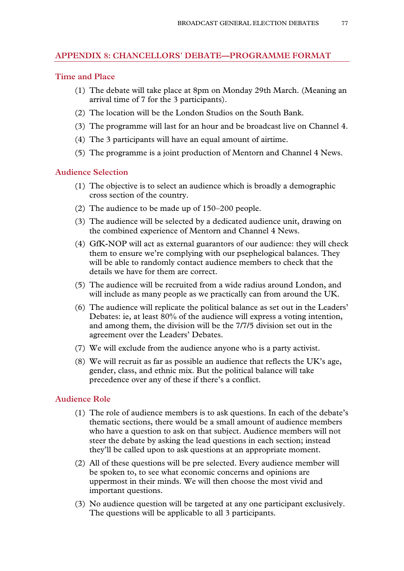# **APPENDIX 8: CHANCELLORS' DEBATE—PROGRAMME FORMAT**

### **Time and Place**

- (1) The debate will take place at 8pm on Monday 29th March. (Meaning an arrival time of 7 for the 3 participants).
- (2) The location will be the London Studios on the South Bank.
- (3) The programme will last for an hour and be broadcast live on Channel 4.
- (4) The 3 participants will have an equal amount of airtime.
- (5) The programme is a joint production of Mentorn and Channel 4 News.

## **Audience Selection**

- (1) The objective is to select an audience which is broadly a demographic cross section of the country.
- (2) The audience to be made up of 150–200 people.
- (3) The audience will be selected by a dedicated audience unit, drawing on the combined experience of Mentorn and Channel 4 News.
- (4) GfK-NOP will act as external guarantors of our audience: they will check them to ensure we're complying with our psephelogical balances. They will be able to randomly contact audience members to check that the details we have for them are correct.
- (5) The audience will be recruited from a wide radius around London, and will include as many people as we practically can from around the UK.
- (6) The audience will replicate the political balance as set out in the Leaders' Debates: ie, at least 80% of the audience will express a voting intention, and among them, the division will be the 7/7/5 division set out in the agreement over the Leaders' Debates.
- (7) We will exclude from the audience anyone who is a party activist.
- (8) We will recruit as far as possible an audience that reflects the UK's age, gender, class, and ethnic mix. But the political balance will take precedence over any of these if there's a conflict.

# **Audience Role**

- (1) The role of audience members is to ask questions. In each of the debate's thematic sections, there would be a small amount of audience members who have a question to ask on that subject. Audience members will not steer the debate by asking the lead questions in each section; instead they'll be called upon to ask questions at an appropriate moment.
- (2) All of these questions will be pre selected. Every audience member will be spoken to, to see what economic concerns and opinions are uppermost in their minds. We will then choose the most vivid and important questions.
- (3) No audience question will be targeted at any one participant exclusively. The questions will be applicable to all 3 participants.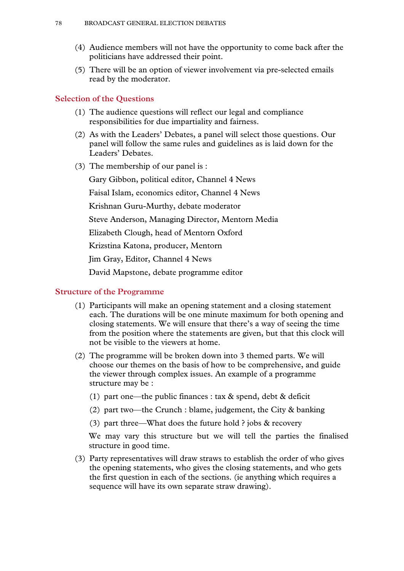- (4) Audience members will not have the opportunity to come back after the politicians have addressed their point.
- (5) There will be an option of viewer involvement via pre-selected emails read by the moderator.

#### **Selection of the Questions**

- (1) The audience questions will reflect our legal and compliance responsibilities for due impartiality and fairness.
- (2) As with the Leaders' Debates, a panel will select those questions. Our panel will follow the same rules and guidelines as is laid down for the Leaders' Debates.
- (3) The membership of our panel is :

Gary Gibbon, political editor, Channel 4 News Faisal Islam, economics editor, Channel 4 News Krishnan Guru-Murthy, debate moderator Steve Anderson, Managing Director, Mentorn Media Elizabeth Clough, head of Mentorn Oxford Krizstina Katona, producer, Mentorn Jim Gray, Editor, Channel 4 News

David Mapstone, debate programme editor

#### **Structure of the Programme**

- (1) Participants will make an opening statement and a closing statement each. The durations will be one minute maximum for both opening and closing statements. We will ensure that there's a way of seeing the time from the position where the statements are given, but that this clock will not be visible to the viewers at home.
- (2) The programme will be broken down into 3 themed parts. We will choose our themes on the basis of how to be comprehensive, and guide the viewer through complex issues. An example of a programme structure may be :
	- (1) part one—the public finances : tax  $\&$  spend, debt  $\&$  deficit
	- (2) part two—the Crunch : blame, judgement, the City & banking
	- (3) part three—What does the future hold ? jobs & recovery

 We may vary this structure but we will tell the parties the finalised structure in good time.

(3) Party representatives will draw straws to establish the order of who gives the opening statements, who gives the closing statements, and who gets the first question in each of the sections. (ie anything which requires a sequence will have its own separate straw drawing).